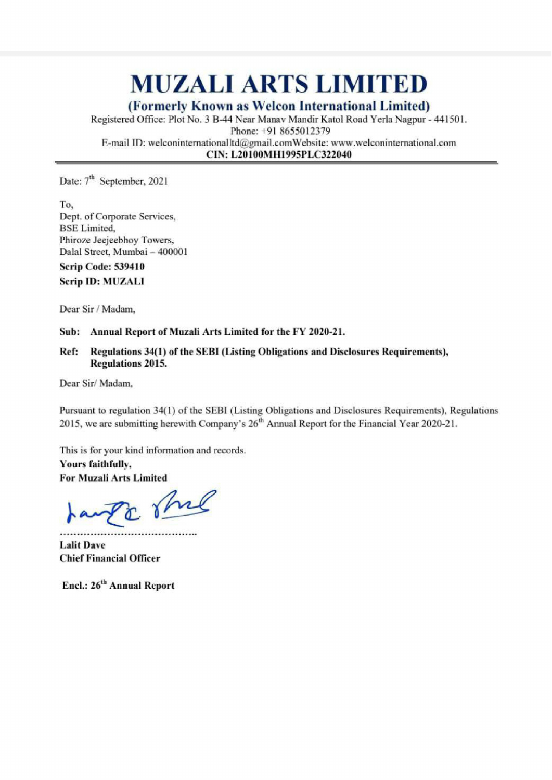# MUZALI ARTS LIMITED

(Formerly Known as Welcon International Limited)

Registered Office: Plot No. 3 B-44 Near Manav Mandir Katol Road Yerla Nagpur - 441501. Phone: +91 8655012379 E-mail ID: welconinternationalltd@gmail.comWebsite: www.welconinternational.com CIN: L20100MH1995PLC322040

Date: 7<sup>th</sup> September, 2021

To, Dept. of Corporate Services, BSE Limited, Phiroze Jeejeebhoy Towers, Dalal Street, Mumbai — 400001

Scrip Code: 539410 Scrip ID: MUZALI

Dear Sir / Madam,

#### Sub: Annual Report of Muzali Arts Limited for the FY 2020-21.

Ref: Regulations 34(1) of the SEBI (Listing Obligations and Disclosures Requirements), Regulations 2015.

Dear Sir/ Madam,

Pursuant to regulation 34(1) of the SEBI (Listing Obligations and Disclosures Requirements), Regulations 2015, we are submitting herewith Company's 26" Annual Report for the Financial Year 2020-21.

This is for your kind information and records. Yours faithfully, For Muzali Arts Limited

a shal

Lalit Dave Chief Financial Officer

Encl.: 26" Annual Report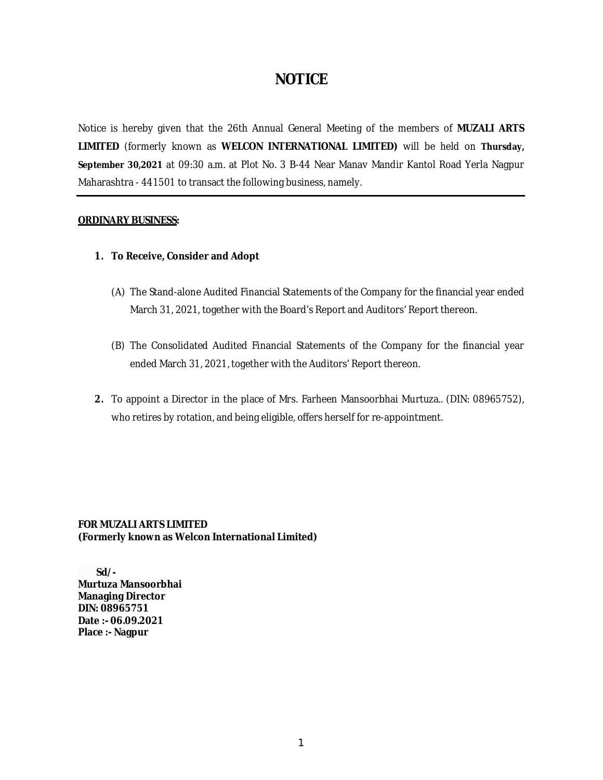## **NOTICE**

Notice is hereby given that the 26th Annual General Meeting of the members of **MUZALI ARTS LIMITED** (formerly known as **WELCON INTERNATIONAL LIMITED)** will be held on **Thursday, September 30,2021** at 09:30 a.m. at Plot No. 3 B-44 Near Manav Mandir Kantol Road Yerla Nagpur Maharashtra - 441501 to transact the following business, namely.

#### **ORDINARY BUSINESS:**

- **1. To Receive, Consider and Adopt** 
	- (A) The Stand-alone Audited Financial Statements of the Company for the financial year ended March 31, 2021, together with the Board's Report and Auditors' Report thereon.
	- (B) The Consolidated Audited Financial Statements of the Company for the financial year ended March 31, 2021, together with the Auditors' Report thereon.
- **2.** To appoint a Director in the place of Mrs. Farheen Mansoorbhai Murtuza.. (DIN: 08965752), who retires by rotation, and being eligible, offers herself for re-appointment.

**FOR MUZALI ARTS LIMITED (Formerly known as Welcon International Limited)**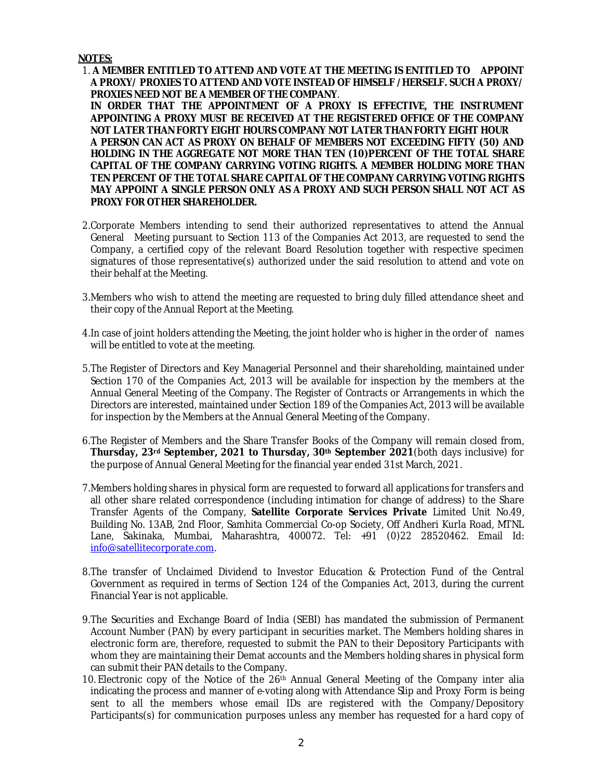#### **NOTES:**

1. **A MEMBER ENTITLED TO ATTEND AND VOTE AT THE MEETING IS ENTITLED TO APPOINT A PROXY/ PROXIES TO ATTEND AND VOTE INSTEAD OF HIMSELF /HERSELF. SUCH A PROXY/ PROXIES NEED NOT BE A MEMBER OF THE COMPANY**.

**IN ORDER THAT THE APPOINTMENT OF A PROXY IS EFFECTIVE, THE INSTRUMENT APPOINTING A PROXY MUST BE RECEIVED AT THE REGISTERED OFFICE OF THE COMPANY NOT LATER THAN FORTY EIGHT HOURS COMPANY NOT LATER THAN FORTY EIGHT HOUR A PERSON CAN ACT AS PROXY ON BEHALF OF MEMBERS NOT EXCEEDING FIFTY (50) AND HOLDING IN THE AGGREGATE NOT MORE THAN TEN (10)PERCENT OF THE TOTAL SHARE CAPITAL OF THE COMPANY CARRYING VOTING RIGHTS. A MEMBER HOLDING MORE THAN TEN PERCENT OF THE TOTAL SHARE CAPITAL OF THE COMPANY CARRYING VOTING RIGHTS MAY APPOINT A SINGLE PERSON ONLY AS A PROXY AND SUCH PERSON SHALL NOT ACT AS PROXY FOR OTHER SHAREHOLDER.**

- 2.Corporate Members intending to send their authorized representatives to attend the Annual General Meeting pursuant to Section 113 of the Companies Act 2013, are requested to send the Company, a certified copy of the relevant Board Resolution together with respective specimen signatures of those representative(s) authorized under the said resolution to attend and vote on their behalf at the Meeting.
- 3.Members who wish to attend the meeting are requested to bring duly filled attendance sheet and their copy of the Annual Report at the Meeting.
- 4.In case of joint holders attending the Meeting, the joint holder who is higher in the order of names will be entitled to vote at the meeting.
- 5.The Register of Directors and Key Managerial Personnel and their shareholding, maintained under Section 170 of the Companies Act, 2013 will be available for inspection by the members at the Annual General Meeting of the Company. The Register of Contracts or Arrangements in which the Directors are interested, maintained under Section 189 of the Companies Act, 2013 will be available for inspection by the Members at the Annual General Meeting of the Company.
- 6.The Register of Members and the Share Transfer Books of the Company will remain closed from, **Thursday, 23rd September, 2021 to Thursday, 30th September 2021**(both days inclusive) for the purpose of Annual General Meeting for the financial year ended 31st March, 2021.
- 7.Members holding shares in physical form are requested to forward all applications for transfers and all other share related correspondence (including intimation for change of address) to the Share Transfer Agents of the Company, **Satellite Corporate Services Private** Limited Unit No.49, Building No. 13AB, 2nd Floor, Samhita Commercial Co-op Society, Off Andheri Kurla Road, MTNL Lane, Sakinaka, Mumbai, Maharashtra, 400072. Tel: +91 (0)22 28520462. Email Id: [info@satellitecorporate.com.](mailto:info@satellitecorporate.com.)
- 8.The transfer of Unclaimed Dividend to Investor Education & Protection Fund of the Central Government as required in terms of Section 124 of the Companies Act, 2013, during the current Financial Year is not applicable.
- 9.The Securities and Exchange Board of India (SEBI) has mandated the submission of Permanent Account Number (PAN) by every participant in securities market. The Members holding shares in electronic form are, therefore, requested to submit the PAN to their Depository Participants with whom they are maintaining their Demat accounts and the Members holding shares in physical form can submit their PAN details to the Company.
- 10. Electronic copy of the Notice of the 26th Annual General Meeting of the Company inter alia indicating the process and manner of e-voting along with Attendance Slip and Proxy Form is being sent to all the members whose email IDs are registered with the Company/Depository Participants(s) for communication purposes unless any member has requested for a hard copy of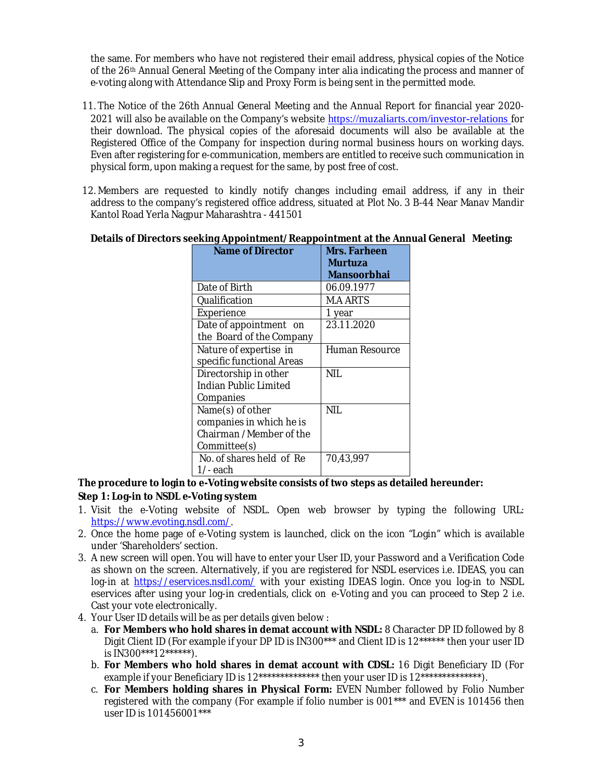the same. For members who have not registered their email address, physical copies of the Notice of the 26th Annual General Meeting of the Company inter alia indicating the process and manner of e-voting along with Attendance Slip and Proxy Form is being sent in the permitted mode.

- 11. The Notice of the 26th Annual General Meeting and the Annual Report for financial year 2020 2021 will also be available on the Company's website <https://muzaliarts.com/investor-relations> for their download. The physical copies of the aforesaid documents will also be available at the Registered Office of the Company for inspection during normal business hours on working days. Even after registering for e-communication, members are entitled to receive such communication in physical form, upon making a request for the same, by post free of cost.
- 12. Members are requested to kindly notify changes including email address, if any in their address to the company's registered office address, situated at Plot No. 3 B-44 Near Manav Mandir Kantol Road Yerla Nagpur Maharashtra - 441501

#### **Details of Directors seeking Appointment/Reappointment at the Annual General Meeting:**

| <b>Name of Director</b>   | Mrs. Farheen    |
|---------------------------|-----------------|
|                           | <b>Murtuza</b>  |
|                           | Mansoorbhai     |
| Date of Birth             | 06.09.1977      |
| Qualification             | <b>M.A ARTS</b> |
| Experience                | 1 year          |
| Date of appointment on    | 23.11.2020      |
| the Board of the Company  |                 |
| Nature of expertise in    | Human Resource  |
| specific functional Areas |                 |
| Directorship in other     | NII             |
| Indian Public Limited     |                 |
| Companies                 |                 |
| Name(s) of other          | NIL             |
| companies in which he is  |                 |
| Chairman /Member of the   |                 |
| Committee(s)              |                 |
| No. of shares held of Re  | 70,43,997       |
| 1/-each                   |                 |

#### **The procedure to login to e-Voting website consists of two steps as detailed hereunder: Step 1: Log-in to NSDL e-Voting system**

- 1. Visit the e-Voting website of NSDL. Open web browser by typing the following URL: <https://www.evoting.nsdl.com/.>
- 2. Once the home page of e-Voting system is launched, click on the icon "Login" which is available under 'Shareholders' section.
- 3. A new screen will open. You will have to enter your User ID, your Password and a Verification Code as shown on the screen. Alternatively, if you are registered for NSDL eservices i.e. IDEAS, you can log-in at <https://eservices.nsdl.com/> with your existing IDEAS login. Once you log-in to NSDL eservices after using your log-in credentials, click on e-Voting and you can proceed to Step 2 i.e. Cast your vote electronically.
- 4. Your User ID details will be as per details given below :
	- a. **For Members who hold shares in demat account with NSDL:** 8 Character DP ID followed by 8 Digit Client ID (For example if your DP ID is IN300\*\*\* and Client ID is 12\*\*\*\*\*\* then your user ID is IN300\*\*\*12\*\*\*\*\*\*).
	- b. **For Members who hold shares in demat account with CDSL:** 16 Digit Beneficiary ID (For example if your Beneficiary ID is 12\*\*\*\*\*\*\*\*\*\*\*\*\*\*\* then your user ID is 12\*\*\*\*\*\*\*\*\*\*\*\*\*\*\*.
	- c. **For Members holding shares in Physical Form:** EVEN Number followed by Folio Number registered with the company (For example if folio number is 001\*\*\* and EVEN is 101456 then user ID is 101456001\*\*\*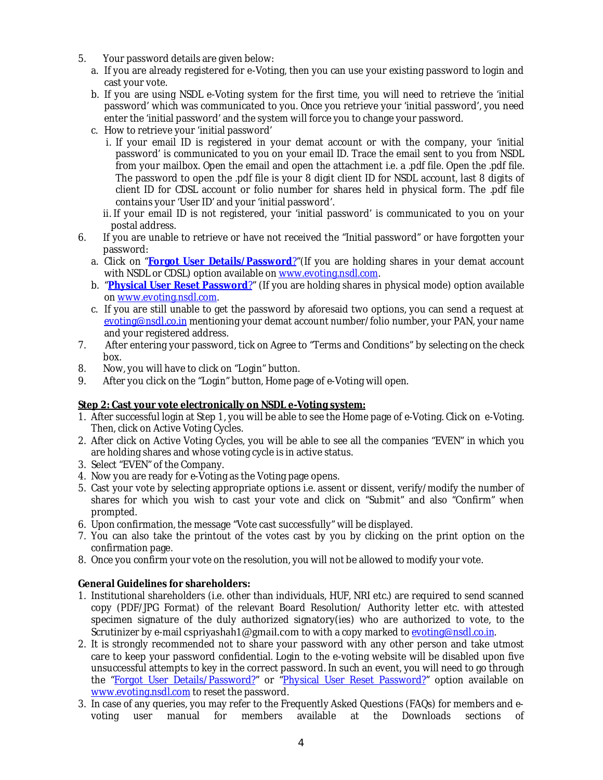- 5. Your password details are given below:
	- a. If you are already registered for e-Voting, then you can use your existing password to login and cast your vote.
	- b. If you are using NSDL e-Voting system for the first time, you will need to retrieve the 'initial password' which was communicated to you. Once you retrieve your 'initial password', you need enter the 'initial password' and the system will force you to change your password.
	- c. How to retrieve your 'initial password'
		- i. If your email ID is registered in your demat account or with the company, your 'initial password' is communicated to you on your email ID. Trace the email sent to you from NSDL from your mailbox. Open the email and open the attachment i.e. a .pdf file. Open the .pdf file. The password to open the .pdf file is your 8 digit client ID for NSDL account, last 8 digits of client ID for CDSL account or folio number for shares held in physical form. The .pdf file contains your 'User ID' and your 'initial password'.
		- ii. If your email ID is not registered, your 'initial password' is communicated to you on your postal address.
- 6. If you are unable to retrieve or have not received the "Initial password" or have forgotten your password:
	- a. Click on "**Forgot User Details/Password**?"(If you are holding shares in your demat account with NSDL or CDSL) option available on [www.evoting.nsdl.com.](http://www.evoting.nsdl.com.)
	- b. "**Physical User Reset Password**?" (If you are holding shares in physical mode) option available on [www.evoting.nsdl.com.](http://www.evoting.nsdl.com.)
	- c. If you are still unable to get the password by aforesaid two options, you can send a request at [evoting@nsdl.co.in](mailto:evoting@nsdl.co.in) mentioning your demat account number/folio number, your PAN, your name and your registered address.
- 7. After entering your password, tick on Agree to "Terms and Conditions" by selecting on the check box.
- 8. Now, you will have to click on "Login" button.
- 9. After you click on the "Login" button, Home page of e-Voting will open.

#### **Step 2: Cast your vote electronically on NSDL e-Voting system:**

- 1. After successful login at Step 1, you will be able to see the Home page of e-Voting. Click on e-Voting. Then, click on Active Voting Cycles.
- 2. After click on Active Voting Cycles, you will be able to see all the companies "EVEN" in which you are holding shares and whose voting cycle is in active status.
- 3. Select "EVEN" of the Company.
- 4. Now you are ready for e-Voting as the Voting page opens.
- 5. Cast your vote by selecting appropriate options i.e. assent or dissent, verify/modify the number of shares for which you wish to cast your vote and click on "Submit" and also "Confirm" when prompted.
- 6. Upon confirmation, the message "Vote cast successfully" will be displayed.
- 7. You can also take the printout of the votes cast by you by clicking on the print option on the confirmation page.
- 8. Once you confirm your vote on the resolution, you will not be allowed to modify your vote.

## **General Guidelines for shareholders:**

- 1. Institutional shareholders (i.e. other than individuals, HUF, NRI etc.) are required to send scanned copy (PDF/JPG Format) of the relevant Board Resolution/ Authority letter etc. with attested specimen signature of the duly authorized signatory(ies) who are authorized to vote, to the Scrutinizer by e-mail [cspriyashah1@gmail.com](mailto:cspriyashah1@gmail.com) to with a copy marked to [evoting@nsdl.co.in.](mailto:evoting@nsdl.co.in.)
- 2. It is strongly recommended not to share your password with any other person and take utmost care to keep your password confidential. Login to the e-voting website will be disabled upon five unsuccessful attempts to key in the correct password. In such an event, you will need to go through the "Forgot User Details/Password?" or "Physical User Reset Password?" option available on [www.evoting.nsdl.com](http://www.evoting.nsdl.com) to reset the password.
- 3. In case of any queries, you may refer to the Frequently Asked Questions (FAQs) for members and evoting user manual for members available at the Downloads sections of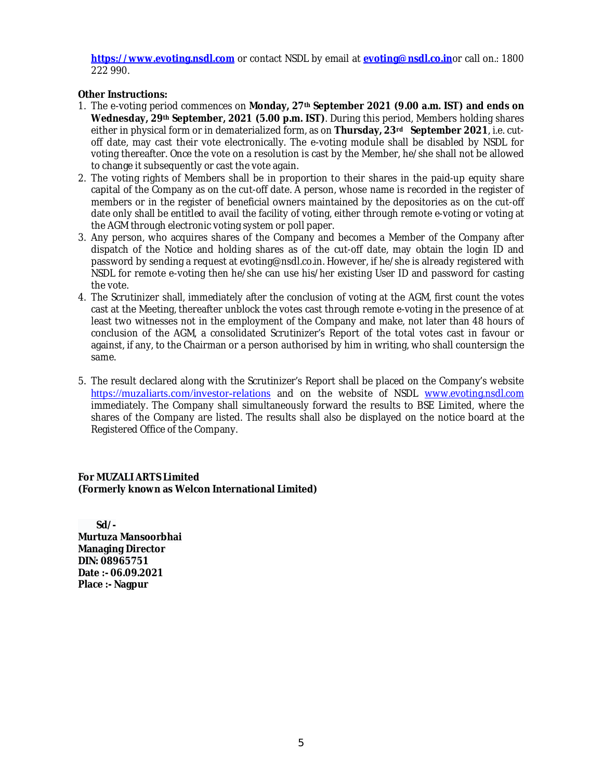**<https://www.evoting.nsdl.com>** or contact NSDL by email at **[evoting@nsdl.co.in](mailto:evoting@nsdl.co.in)**or call on.: 1800 222 990.

#### **Other Instructions:**

- 1. The e-voting period commences on **Monday, 27th September 2021 (9.00 a.m. IST) and ends on Wednesday, 29th September, 2021 (5.00 p.m. IST)**. During this period, Members holding shares either in physical form or in dematerialized form, as on **Thursday, 23rd September 2021**, i.e. cutoff date, may cast their vote electronically. The e-voting module shall be disabled by NSDL for voting thereafter. Once the vote on a resolution is cast by the Member, he/she shall not be allowed to change it subsequently or cast the vote again.
- 2. The voting rights of Members shall be in proportion to their shares in the paid-up equity share capital of the Company as on the cut-off date. A person, whose name is recorded in the register of members or in the register of beneficial owners maintained by the depositories as on the cut-off date only shall be entitled to avail the facility of voting, either through remote e-voting or voting at the AGM through electronic voting system or poll paper.
- 3. Any person, who acquires shares of the Company and becomes a Member of the Company after dispatch of the Notice and holding shares as of the cut-off date, may obtain the login ID and password by sending a request at [evoting@nsdl.co.in.](mailto:evoting@nsdl.co.in.) However, if he/she is already registered with NSDL for remote e-voting then he/she can use his/her existing User ID and password for casting the vote.
- 4. The Scrutinizer shall, immediately after the conclusion of voting at the AGM, first count the votes cast at the Meeting, thereafter unblock the votes cast through remote e-voting in the presence of at least two witnesses not in the employment of the Company and make, not later than 48 hours of conclusion of the AGM, a consolidated Scrutinizer's Report of the total votes cast in favour or against, if any, to the Chairman or a person authorised by him in writing, who shall countersign the same.
- 5. The result declared along with the Scrutinizer's Report shall be placed on the Company's website <https://muzaliarts.com/investor-relations> and on the website of NSDL [www.evoting.nsdl.com](http://www.evoting.nsdl.com) immediately. The Company shall simultaneously forward the results to BSE Limited, where the shares of the Company are listed. The results shall also be displayed on the notice board at the Registered Office of the Company.

#### **For MUZALI ARTS Limited (Formerly known as Welcon International Limited)**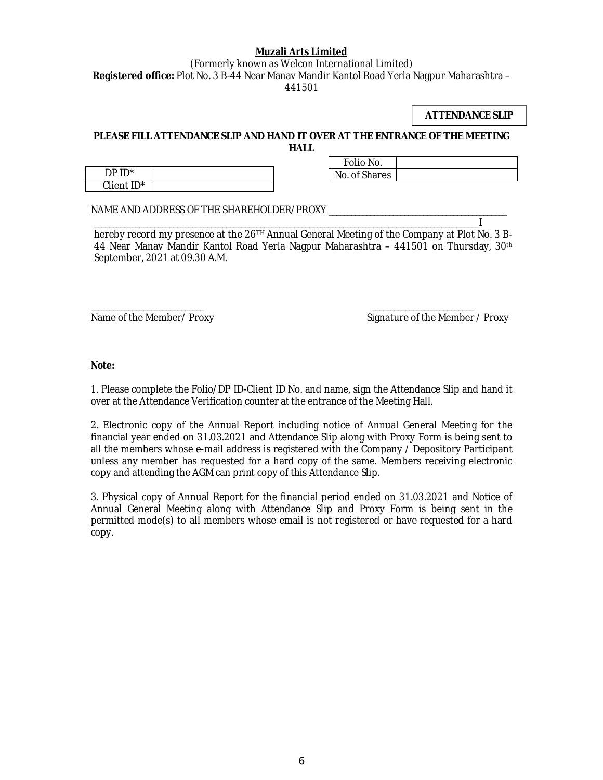#### **Muzali Arts Limited**

(Formerly known as Welcon International Limited)

**Registered office:** Plot No. 3 B-44 Near Manav Mandir Kantol Road Yerla Nagpur Maharashtra –

441501

#### **ATTENDANCE SLIP**

#### **PLEASE FILL ATTENDANCE SLIP AND HAND IT OVER AT THE ENTRANCE OF THE MEETING HALL**

| אחו פי *<br>H۲. |  |
|-----------------|--|
| Client ID*      |  |

| Folio No.     |  |
|---------------|--|
| No. of Shares |  |

NAME AND ADDRESS OF THE SHAREHOLDER/PROXY

\_\_\_\_\_\_\_\_\_\_\_\_\_\_\_\_\_\_\_\_\_\_\_\_\_\_\_\_\_\_\_\_\_\_\_\_\_\_\_\_\_\_\_\_\_\_\_\_\_\_\_\_\_\_\_\_\_\_\_\_\_\_\_\_\_\_\_\_\_\_\_\_\_\_\_\_\_\_\_\_\_\_\_\_\_\_\_\_\_\_\_\_\_\_\_\_\_\_\_\_\_\_I hereby record my presence at the 26<sup>TH</sup> Annual General Meeting of the Company at Plot No. 3 B-44 Near Manav Mandir Kantol Road Yerla Nagpur Maharashtra – 441501 on Thursday, 30th September, 2021 at 09.30 A.M.

\_\_\_\_\_\_\_\_\_\_\_\_\_\_\_\_\_\_\_\_\_\_\_\_\_\_\_\_\_\_ \_\_\_\_\_\_\_\_\_\_\_\_\_\_\_\_\_\_\_\_\_\_\_\_\_\_\_

Name of the Member/ Proxy extending the Signature of the Member / Proxy

#### *Note:*

1. Please complete the Folio/DP ID-Client ID No. and name, sign the Attendance Slip and hand it over at the Attendance Verification counter at the entrance of the Meeting Hall.

2. Electronic copy of the Annual Report including notice of Annual General Meeting for the financial year ended on 31.03.2021 and Attendance Slip along with Proxy Form is being sent to all the members whose e-mail address is registered with the Company / Depository Participant unless any member has requested for a hard copy of the same. Members receiving electronic copy and attending the AGM can print copy of this Attendance Slip.

3. Physical copy of Annual Report for the financial period ended on 31.03.2021 and Notice of Annual General Meeting along with Attendance Slip and Proxy Form is being sent in the permitted mode(s) to all members whose email is not registered or have requested for a hard copy.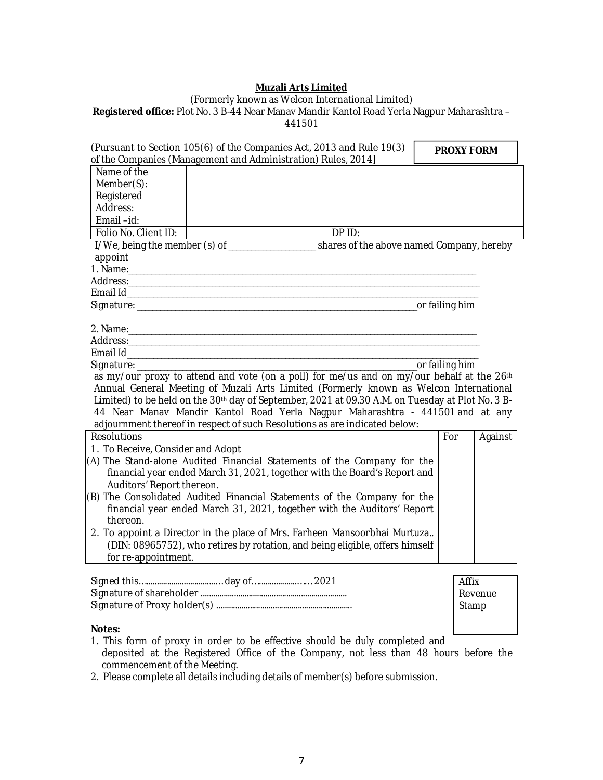#### **Muzali Arts Limited**

#### (Formerly known as Welcon International Limited) **Registered office:** Plot No. 3 B-44 Near Manav Mandir Kantol Road Yerla Nagpur Maharashtra – 441501

|                                   | (Pursuant to Section 105(6) of the Companies Act, 2013 and Rule 19(3)<br>of the Companies (Management and Administration) Rules, 2014] |        | <b>PROXY FORM</b> |         |
|-----------------------------------|----------------------------------------------------------------------------------------------------------------------------------------|--------|-------------------|---------|
| Name of the                       |                                                                                                                                        |        |                   |         |
| Member(S):                        |                                                                                                                                        |        |                   |         |
| Registered                        |                                                                                                                                        |        |                   |         |
| Address:                          |                                                                                                                                        |        |                   |         |
| Email-id:                         |                                                                                                                                        |        |                   |         |
| Folio No. Client ID:              |                                                                                                                                        | DP ID: |                   |         |
|                                   | Folio No. Client ID:  <br>I/We, being the member (s) of _____________________shares of the above named Company, hereby                 |        |                   |         |
| appoint                           |                                                                                                                                        |        |                   |         |
|                                   |                                                                                                                                        |        |                   |         |
|                                   |                                                                                                                                        |        |                   |         |
|                                   |                                                                                                                                        |        |                   |         |
|                                   |                                                                                                                                        |        | _or failing him   |         |
|                                   |                                                                                                                                        |        |                   |         |
|                                   |                                                                                                                                        |        |                   |         |
|                                   |                                                                                                                                        |        |                   |         |
|                                   |                                                                                                                                        |        |                   |         |
| Signature: _________              |                                                                                                                                        |        | _or failing him   |         |
|                                   | as my/our proxy to attend and vote (on a poll) for me/us and on my/our behalf at the 26th                                              |        |                   |         |
|                                   | Annual General Meeting of Muzali Arts Limited (Formerly known as Welcon International                                                  |        |                   |         |
|                                   | Limited) to be held on the 30th day of September, 2021 at 09.30 A.M. on Tuesday at Plot No. 3 B-                                       |        |                   |         |
|                                   | 44 Near Manav Mandir Kantol Road Yerla Nagpur Maharashtra - 441501 and at any                                                          |        |                   |         |
|                                   | adjournment thereof in respect of such Resolutions as are indicated below:                                                             |        |                   |         |
| <b>Resolutions</b>                |                                                                                                                                        |        | For               | Against |
| 1. To Receive, Consider and Adopt |                                                                                                                                        |        |                   |         |
|                                   | (A) The Stand-alone Audited Financial Statements of the Company for the                                                                |        |                   |         |
|                                   | financial year ended March 31, 2021, together with the Board's Report and                                                              |        |                   |         |
| Auditors' Report thereon.         |                                                                                                                                        |        |                   |         |
|                                   | (B) The Consolidated Audited Financial Statements of the Company for the                                                               |        |                   |         |
|                                   | financial year ended March 31, 2021, together with the Auditors' Report                                                                |        |                   |         |
| thereon.                          |                                                                                                                                        |        |                   |         |
|                                   | 2. To appoint a Director in the place of Mrs. Farheen Mansoorbhai Murtuza                                                              |        |                   |         |
|                                   | (DIN: 08965752), who retires by rotation, and being eligible, offers himself                                                           |        |                   |         |
| for re-appointment.               |                                                                                                                                        |        |                   |         |
|                                   |                                                                                                                                        |        |                   |         |
|                                   |                                                                                                                                        |        | Affix             |         |
|                                   | Cianative of a bounded value                                                                                                           |        | D.                |         |

|        | <i>I</i> 11 1 <i>I</i> 1 |
|--------|--------------------------|
|        | Revenue                  |
|        | Stamp                    |
| Notes: |                          |

- 1. This form of proxy in order to be effective should be duly completed and deposited at the Registered Office of the Company, not less than 48 hours before the commencement of the Meeting.
- 2. Please complete all details including details of member(s) before submission.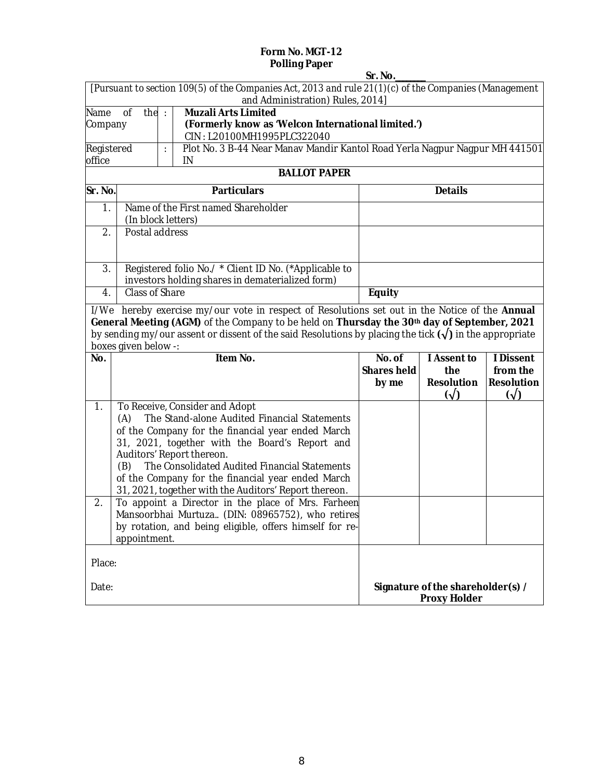## **Form No. MGT-12 Polling Paper**

|            |                                                                                                                                           |   |                                                                                                                            | Sr. No.                      |                                                          |                                  |
|------------|-------------------------------------------------------------------------------------------------------------------------------------------|---|----------------------------------------------------------------------------------------------------------------------------|------------------------------|----------------------------------------------------------|----------------------------------|
|            | [Pursuant to section 109(5) of the Companies Act, 2013 and rule 21(1)(c) of the Companies (Management<br>and Administration) Rules, 2014] |   |                                                                                                                            |                              |                                                          |                                  |
| Name       | of<br>the :                                                                                                                               |   | <b>Muzali Arts Limited</b>                                                                                                 |                              |                                                          |                                  |
|            | (Formerly know as 'Welcon International limited.')<br>Company                                                                             |   |                                                                                                                            |                              |                                                          |                                  |
|            | CIN: L20100MH1995PLC322040                                                                                                                |   |                                                                                                                            |                              |                                                          |                                  |
| Registered |                                                                                                                                           | ÷ | Plot No. 3 B-44 Near Manav Mandir Kantol Road Yerla Nagpur Nagpur MH 441501                                                |                              |                                                          |                                  |
| office     |                                                                                                                                           |   | IN                                                                                                                         |                              |                                                          |                                  |
|            |                                                                                                                                           |   | <b>BALLOT PAPER</b>                                                                                                        |                              |                                                          |                                  |
| Sr. No.    |                                                                                                                                           |   | <b>Particulars</b>                                                                                                         |                              | <b>Details</b>                                           |                                  |
| 1.         | (In block letters)                                                                                                                        |   | Name of the First named Shareholder                                                                                        |                              |                                                          |                                  |
| 2.         | Postal address                                                                                                                            |   |                                                                                                                            |                              |                                                          |                                  |
|            |                                                                                                                                           |   |                                                                                                                            |                              |                                                          |                                  |
|            |                                                                                                                                           |   |                                                                                                                            |                              |                                                          |                                  |
| 3.         |                                                                                                                                           |   | Registered folio No./ * Client ID No. (*Applicable to                                                                      |                              |                                                          |                                  |
|            |                                                                                                                                           |   | investors holding shares in dematerialized form)                                                                           |                              |                                                          |                                  |
| 4.         | <b>Class of Share</b>                                                                                                                     |   |                                                                                                                            | <b>Equity</b>                |                                                          |                                  |
| No.        | boxes given below -:                                                                                                                      |   | by sending my/our assent or dissent of the said Resolutions by placing the tick $(\sqrt{})$ in the appropriate<br>Item No. | No. of<br><b>Shares held</b> | I Assent to<br>the                                       | I Dissent<br>from the            |
|            |                                                                                                                                           |   |                                                                                                                            | by me                        | <b>Resolution</b><br>$(\sqrt{)}$                         | <b>Resolution</b><br>$(\sqrt{)}$ |
| 1.         |                                                                                                                                           |   | To Receive, Consider and Adopt                                                                                             |                              |                                                          |                                  |
|            | (A)                                                                                                                                       |   | The Stand-alone Audited Financial Statements                                                                               |                              |                                                          |                                  |
|            |                                                                                                                                           |   | of the Company for the financial year ended March                                                                          |                              |                                                          |                                  |
|            |                                                                                                                                           |   | 31, 2021, together with the Board's Report and                                                                             |                              |                                                          |                                  |
|            |                                                                                                                                           |   | Auditors' Report thereon.                                                                                                  |                              |                                                          |                                  |
|            | (B)                                                                                                                                       |   | The Consolidated Audited Financial Statements                                                                              |                              |                                                          |                                  |
|            |                                                                                                                                           |   | of the Company for the financial year ended March                                                                          |                              |                                                          |                                  |
|            |                                                                                                                                           |   | 31, 2021, together with the Auditors' Report thereon.                                                                      |                              |                                                          |                                  |
| 2.         |                                                                                                                                           |   | To appoint a Director in the place of Mrs. Farheen                                                                         |                              |                                                          |                                  |
|            |                                                                                                                                           |   | Mansoorbhai Murtuza (DIN: 08965752), who retires                                                                           |                              |                                                          |                                  |
|            |                                                                                                                                           |   | by rotation, and being eligible, offers himself for re-                                                                    |                              |                                                          |                                  |
|            | appointment.                                                                                                                              |   |                                                                                                                            |                              |                                                          |                                  |
| Place:     |                                                                                                                                           |   |                                                                                                                            |                              |                                                          |                                  |
| Date:      |                                                                                                                                           |   |                                                                                                                            |                              | Signature of the shareholder(s) /<br><b>Proxy Holder</b> |                                  |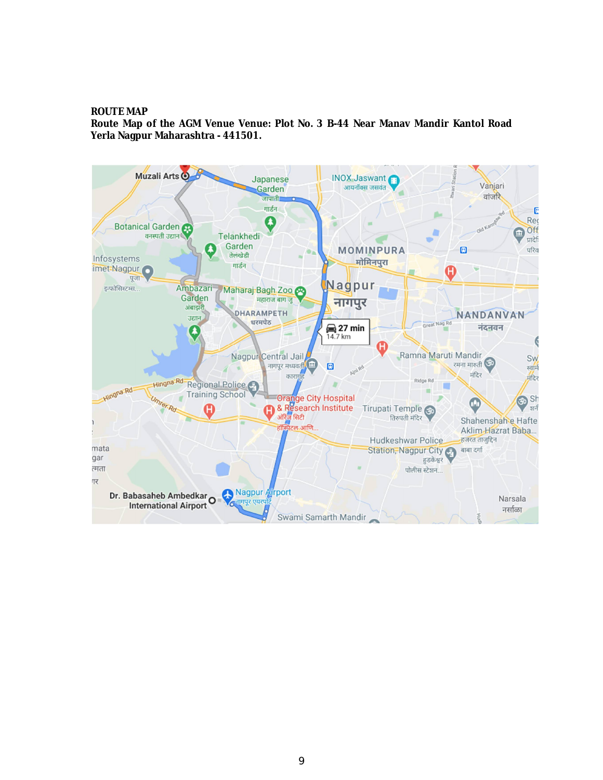#### **ROUTE MAP**

**Route Map of the AGM Venue Venue: Plot No. 3 B-44 Near Manav Mandir Kantol Road Yerla Nagpur Maharashtra - 441501.**

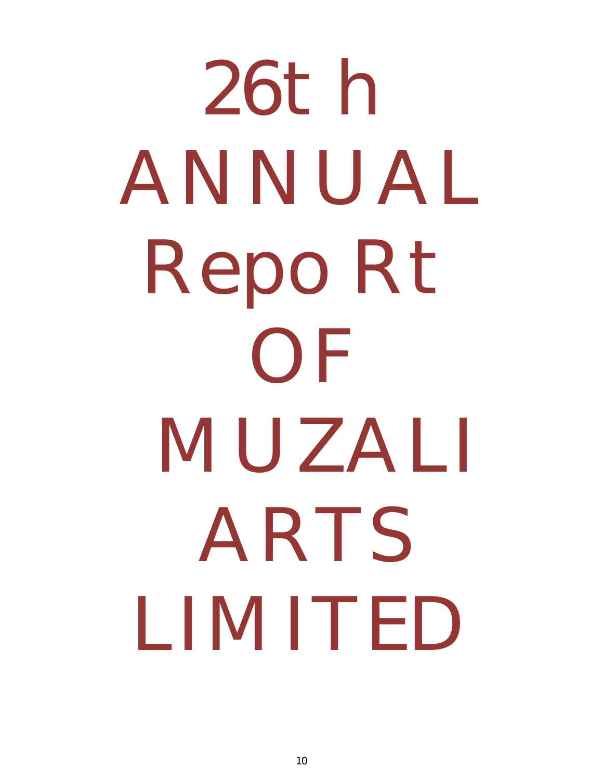26th ANNUAL RepoRt OF MUZALI ARTS LIMITED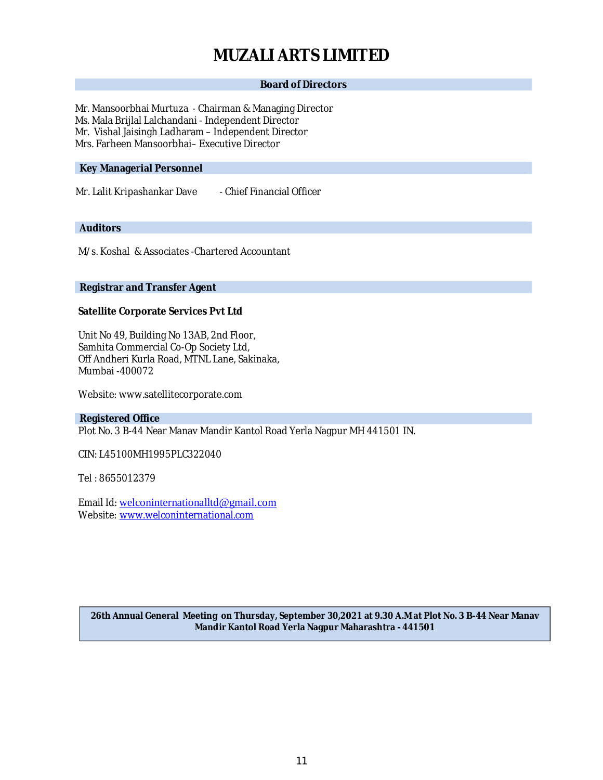## **MUZALI ARTS LIMITED**

#### **Board of Directors**

Mr. Mansoorbhai Murtuza - Chairman & Managing Director Ms. Mala Brijlal Lalchandani - Independent Director Mr. Vishal Jaisingh Ladharam – Independent Director Mrs. Farheen Mansoorbhai– Executive Director

#### **Key Managerial Personnel**

Mr. Lalit Kripashankar Dave - Chief Financial Officer

#### **Auditors**

M/s. Koshal & Associates -Chartered Accountant

#### **Registrar and Transfer Agent**

#### **Satellite Corporate Services Pvt Ltd**

Unit No 49, Building No 13AB, 2nd Floor, Samhita Commercial Co-Op Society Ltd, Off Andheri Kurla Road, MTNL Lane, Sakinaka, Mumbai -400072

Website: [www.satellitecorporate.com](http://www.satellitecorporate.com)

#### **Registered Office**

Plot No. 3 B-44 Near Manav Mandir Kantol Road Yerla Nagpur MH 441501 IN.

CIN: L45100MH1995PLC322040

Tel : 8655012379

Email Id: [welconinternationalltd@gmail.com](mailto:welconinternationalltd@gmail.com) Website: [www.welconinternational.com](http://www.welconinternational.com)

**26th Annual General Meeting on Thursday, September 30,2021 at 9.30 A.M at Plot No. 3 B-44 Near Manav Mandir Kantol Road Yerla Nagpur Maharashtra - 441501**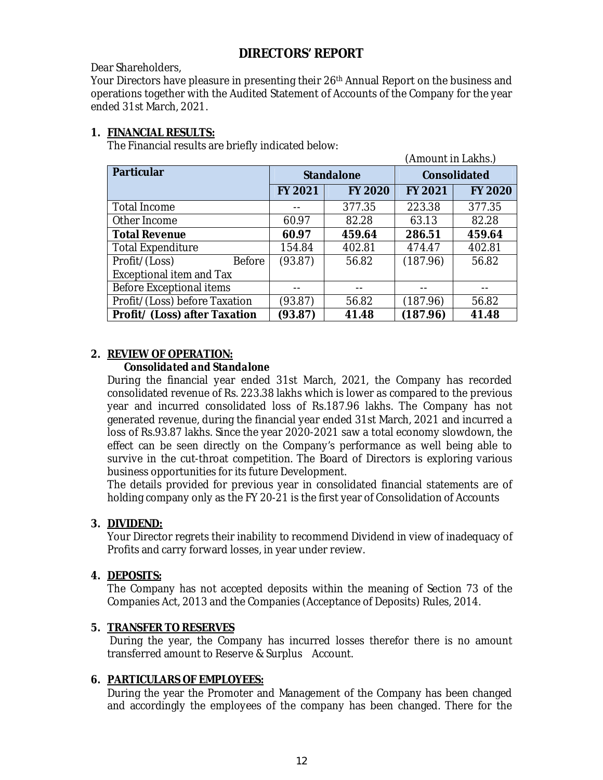## **DIRECTORS' REPORT**

Dear Shareholders,

Your Directors have pleasure in presenting their 26<sup>th</sup> Annual Report on the business and operations together with the Audited Statement of Accounts of the Company for the year ended 31st March, 2021.

## **1. FINANCIAL RESULTS:**

The Financial results are briefly indicated below:

|                                      |                |                   | (Amount in Lakhs.)  |                |
|--------------------------------------|----------------|-------------------|---------------------|----------------|
| <b>Particular</b>                    |                | <b>Standalone</b> | <b>Consolidated</b> |                |
|                                      | <b>FY 2021</b> | <b>FY 2020</b>    | FY 2021             | <b>FY 2020</b> |
| Total Income                         | --             | 377.35            | 223.38              | 377.35         |
| Other Income                         | 60.97          | 82.28             | 63.13               | 82.28          |
| <b>Total Revenue</b>                 | 60.97          | 459.64            | 286.51              | 459.64         |
| <b>Total Expenditure</b>             | 154.84         | 402.81            | 474.47              | 402.81         |
| Profit/(Loss)<br><b>Before</b>       | (93.87)        | 56.82             | (187.96)            | 56.82          |
| Exceptional item and Tax             |                |                   |                     |                |
| <b>Before Exceptional items</b>      | --             | --                |                     | --             |
| Profit/(Loss) before Taxation        | (93.87)        | 56.82             | (187.96)            | 56.82          |
| <b>Profit/ (Loss) after Taxation</b> | (93.87)        | 41.48             | (187.96)            | 41.48          |

## **2. REVIEW OF OPERATION:**

## *Consolidated and Standalone*

During the financial year ended 31st March, 2021, the Company has recorded consolidated revenue of Rs. 223.38 lakhs which is lower as compared to the previous year and incurred consolidated loss of Rs.187.96 lakhs. The Company has not generated revenue, during the financial year ended 31st March, 2021 and incurred a loss of Rs.93.87 lakhs. Since the year 2020-2021 saw a total economy slowdown, the effect can be seen directly on the Company's performance as well being able to survive in the cut-throat competition. The Board of Directors is exploring various business opportunities for its future Development.

The details provided for previous year in consolidated financial statements are of holding company only as the FY 20-21 is the first year of Consolidation of Accounts

## **3. DIVIDEND:**

Your Director regrets their inability to recommend Dividend in view of inadequacy of Profits and carry forward losses, in year under review.

## **4. DEPOSITS:**

The Company has not accepted deposits within the meaning of Section 73 of the Companies Act, 2013 and the Companies (Acceptance of Deposits) Rules, 2014.

## **5. TRANSFER TO RESERVES**

During the year, the Company has incurred losses therefor there is no amount transferred amount to Reserve & Surplus Account.

## **6. PARTICULARS OF EMPLOYEES:**

During the year the Promoter and Management of the Company has been changed and accordingly the employees of the company has been changed. There for the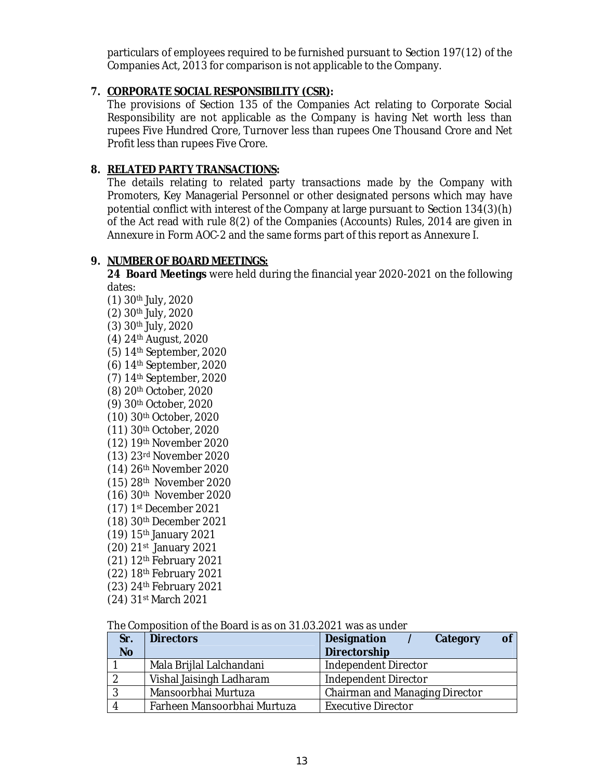particulars of employees required to be furnished pursuant to Section 197(12) of the Companies Act, 2013 for comparison is not applicable to the Company.

## **7. CORPORATE SOCIAL RESPONSIBILITY (CSR):**

The provisions of Section 135 of the Companies Act relating to Corporate Social Responsibility are not applicable as the Company is having Net worth less than rupees Five Hundred Crore, Turnover less than rupees One Thousand Crore and Net Profit less than rupees Five Crore.

## **8. RELATED PARTY TRANSACTIONS:**

The details relating to related party transactions made by the Company with Promoters, Key Managerial Personnel or other designated persons which may have potential conflict with interest of the Company at large pursuant to Section 134(3)(h) of the Act read with rule 8(2) of the Companies (Accounts) Rules, 2014 are given in Annexure in Form AOC-2 and the same forms part of this report as Annexure I.

## **9. NUMBER OF BOARD MEETINGS:**

**24 Board Meetings** were held during the financial year 2020-2021 on the following dates:

(1) 30th July, 2020 (2) 30th July, 2020 (3) 30th July, 2020 (4) 24th August, 2020 (5) 14th September, 2020 (6) 14th September, 2020 (7) 14th September, 2020 (8) 20th October, 2020 (9) 30th October, 2020 (10) 30th October, 2020 (11) 30th October, 2020 (12) 19th November 2020 (13) 23rd November 2020 (14) 26th November 2020 (15) 28th November 2020 (16) 30th November 2020 (17) 1st December 2021 (18) 30th December 2021 (19) 15th January 2021 (20) 21st January 2021 (21) 12th February 2021 (22) 18th February 2021 (23) 24th February 2021

(24) 31st March 2021

## The Composition of the Board is as on 31.03.2021 was as under

| Sr.       | <b>Directors</b>            | <b>Designation</b><br>Category<br><b>of</b> |  |  |
|-----------|-----------------------------|---------------------------------------------|--|--|
| <b>No</b> |                             | <b>Directorship</b>                         |  |  |
|           | Mala Brijlal Lalchandani    | Independent Director                        |  |  |
|           | Vishal Jaisingh Ladharam    | Independent Director                        |  |  |
|           | Mansoorbhai Murtuza         | Chairman and Managing Director              |  |  |
| 4         | Farheen Mansoorbhai Murtuza | <b>Executive Director</b>                   |  |  |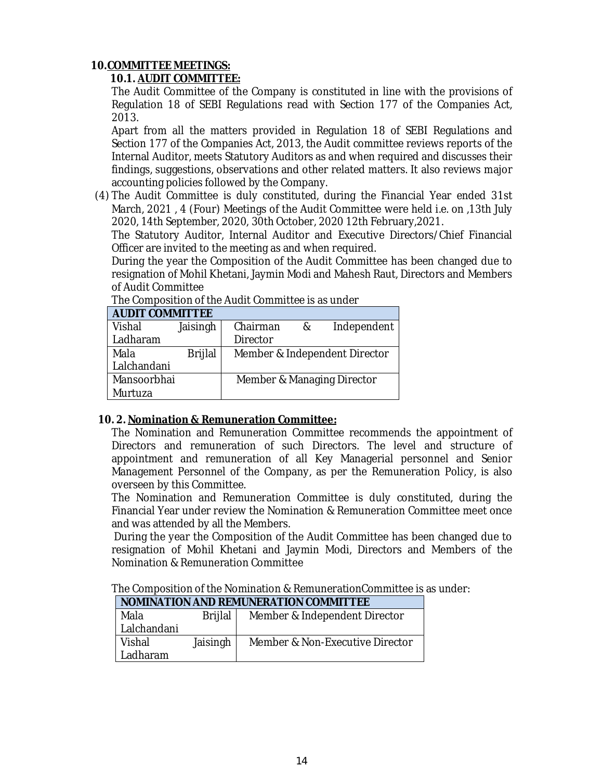## **10.COMMITTEE MEETINGS:**

## **10.1. AUDIT COMMITTEE:**

The Audit Committee of the Company is constituted in line with the provisions of Regulation 18 of SEBI Regulations read with Section 177 of the Companies Act, 2013.

Apart from all the matters provided in Regulation 18 of SEBI Regulations and Section 177 of the Companies Act, 2013, the Audit committee reviews reports of the Internal Auditor, meets Statutory Auditors as and when required and discusses their findings, suggestions, observations and other related matters. It also reviews major accounting policies followed by the Company.

(4) The Audit Committee is duly constituted, during the Financial Year ended 31st March, 2021 , 4 (Four) Meetings of the Audit Committee were held i.e. on ,13th July 2020, 14th September, 2020, 30th October, 2020 12th February,2021.

The Statutory Auditor, Internal Auditor and Executive Directors/Chief Financial Officer are invited to the meeting as and when required.

During the year the Composition of the Audit Committee has been changed due to resignation of Mohil Khetani, Jaymin Modi and Mahesh Raut, Directors and Members of Audit Committee

| <b>AUDIT COMMITTEE</b> |                |                      |   |                               |  |  |
|------------------------|----------------|----------------------|---|-------------------------------|--|--|
| Vishal<br>Ladharam     | Jaisingh       | Chairman<br>Director | & | Independent                   |  |  |
| Mala<br>Lalchandani    | <b>Brijlal</b> |                      |   | Member & Independent Director |  |  |
| Mansoorbhai<br>Murtuza |                |                      |   | Member & Managing Director    |  |  |

The Composition of the Audit Committee is as under

## **10. 2. Nomination & Remuneration Committee:**

The Nomination and Remuneration Committee recommends the appointment of Directors and remuneration of such Directors. The level and structure of appointment and remuneration of all Key Managerial personnel and Senior Management Personnel of the Company, as per the Remuneration Policy, is also overseen by this Committee.

The Nomination and Remuneration Committee is duly constituted, during the Financial Year under review the Nomination & Remuneration Committee meet once and was attended by all the Members.

During the year the Composition of the Audit Committee has been changed due to resignation of Mohil Khetani and Jaymin Modi, Directors and Members of the Nomination & Remuneration Committee

The Composition of the Nomination & RemunerationCommittee is as under:

| <b>NOMINATION AND REMUNERATION COMMITTEE</b> |                |                                 |  |  |  |
|----------------------------------------------|----------------|---------------------------------|--|--|--|
| Mala                                         | <b>Brijlal</b> | Member & Independent Director   |  |  |  |
| Lalchandani                                  |                |                                 |  |  |  |
| Vishal                                       | Jaisingh       | Member & Non-Executive Director |  |  |  |
| Ladharam                                     |                |                                 |  |  |  |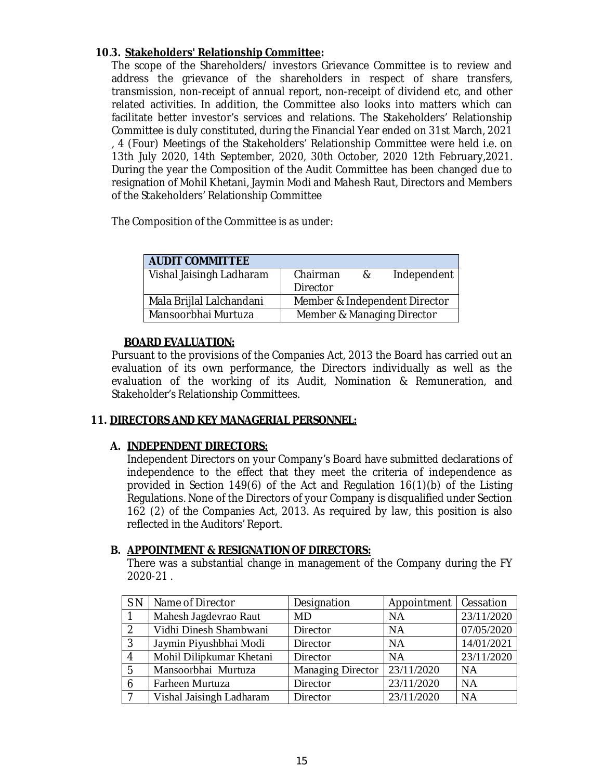## **10**.**3. Stakeholders' Relationship Committee:**

The scope of the Shareholders/ investors Grievance Committee is to review and address the grievance of the shareholders in respect of share transfers, transmission, non-receipt of annual report, non-receipt of dividend etc, and other related activities. In addition, the Committee also looks into matters which can facilitate better investor's services and relations. The Stakeholders' Relationship Committee is duly constituted, during the Financial Year ended on 31st March, 2021 , 4 (Four) Meetings of the Stakeholders' Relationship Committee were held i.e. on 13th July 2020, 14th September, 2020, 30th October, 2020 12th February,2021. During the year the Composition of the Audit Committee has been changed due to resignation of Mohil Khetani, Jaymin Modi and Mahesh Raut, Directors and Members of the Stakeholders' Relationship Committee

The Composition of the Committee is as under:

| <b>AUDIT COMMITTEE</b>   |                               |
|--------------------------|-------------------------------|
| Vishal Jaisingh Ladharam | Independent<br>Chairman<br>&  |
|                          | Director                      |
| Mala Brijlal Lalchandani | Member & Independent Director |
| Mansoorbhai Murtuza      | Member & Managing Director    |

## **BOARD EVALUATION:**

Pursuant to the provisions of the Companies Act, 2013 the Board has carried out an evaluation of its own performance, the Directors individually as well as the evaluation of the working of its Audit, Nomination & Remuneration, and Stakeholder's Relationship Committees.

## **11. DIRECTORS AND KEY MANAGERIAL PERSONNEL:**

## **A. INDEPENDENT DIRECTORS:**

Independent Directors on your Company's Board have submitted declarations of independence to the effect that they meet the criteria of independence as provided in Section 149(6) of the Act and Regulation 16(1)(b) of the Listing Regulations. None of the Directors of your Company is disqualified under Section 162 (2) of the Companies Act, 2013. As required by law, this position is also reflected in the Auditors' Report.

## **B. APPOINTMENT & RESIGNATION OF DIRECTORS:**

There was a substantial change in management of the Company during the FY 2020-21 .

| SN        | Name of Director         | Designation              | Appointment   Cessation |            |
|-----------|--------------------------|--------------------------|-------------------------|------------|
|           | Mahesh Jagdevrao Raut    | <b>MD</b>                | <b>NA</b>               | 23/11/2020 |
| 2         | Vidhi Dinesh Shambwani   | Director                 | <b>NA</b>               | 07/05/2020 |
| $\cdot$ 3 | Jaymin Piyushbhai Modi   | Director                 | <b>NA</b>               | 14/01/2021 |
| 4         | Mohil Dilipkumar Khetani | Director                 | <b>NA</b>               | 23/11/2020 |
| 5         | Mansoorbhai Murtuza      | <b>Managing Director</b> | 23/11/2020              | <b>NA</b>  |
| 6         | Farheen Murtuza          | Director                 | 23/11/2020              | <b>NA</b>  |
|           | Vishal Jaisingh Ladharam | Director                 | 23/11/2020              | <b>NA</b>  |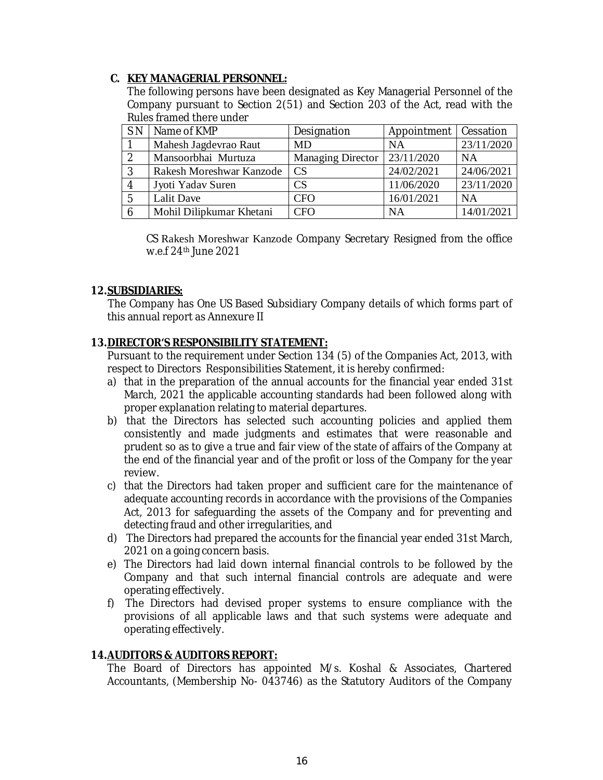## **C. KEY MANAGERIAL PERSONNEL:**

The following persons have been designated as Key Managerial Personnel of the Company pursuant to Section 2(51) and Section 203 of the Act, read with the Rules framed there under

| S <sub>N</sub> | Name of KMP              | Designation              | Appointment   Cessation |            |
|----------------|--------------------------|--------------------------|-------------------------|------------|
|                | Mahesh Jagdevrao Raut    | <b>MD</b>                | <b>NA</b>               | 23/11/2020 |
|                | Mansoorbhai Murtuza      | <b>Managing Director</b> | 23/11/2020              | <b>NA</b>  |
|                | Rakesh Moreshwar Kanzode | CS                       | 24/02/2021              | 24/06/2021 |
|                | Jyoti Yadav Suren        | CS                       | 11/06/2020              | 23/11/2020 |
|                | Lalit Dave               | CFO                      | 16/01/2021              | <b>NA</b>  |
|                | Mohil Dilipkumar Khetani | CFO                      | <b>NA</b>               | 14/01/2021 |

CS Rakesh Moreshwar Kanzode Company Secretary Resigned from the office w.e.f 24th June 2021

## **12.SUBSIDIARIES:**

 The Company has One US Based Subsidiary Company details of which forms part of this annual report as Annexure II

## **13.DIRECTOR'S RESPONSIBILITY STATEMENT:**

Pursuant to the requirement under Section 134 (5) of the Companies Act, 2013, with respect to Directors Responsibilities Statement, it is hereby confirmed:

- a) that in the preparation of the annual accounts for the financial year ended 31st March, 2021 the applicable accounting standards had been followed along with proper explanation relating to material departures.
- b) that the Directors has selected such accounting policies and applied them consistently and made judgments and estimates that were reasonable and prudent so as to give a true and fair view of the state of affairs of the Company at the end of the financial year and of the profit or loss of the Company for the year review.
- c) that the Directors had taken proper and sufficient care for the maintenance of adequate accounting records in accordance with the provisions of the Companies Act, 2013 for safeguarding the assets of the Company and for preventing and detecting fraud and other irregularities, and
- d) The Directors had prepared the accounts for the financial year ended 31st March, 2021 on a going concern basis.
- e) The Directors had laid down internal financial controls to be followed by the Company and that such internal financial controls are adequate and were operating effectively.
- f) The Directors had devised proper systems to ensure compliance with the provisions of all applicable laws and that such systems were adequate and operating effectively.

## **14.AUDITORS & AUDITORS REPORT:**

The Board of Directors has appointed M/s. Koshal & Associates, Chartered Accountants, (Membership No- 043746) as the Statutory Auditors of the Company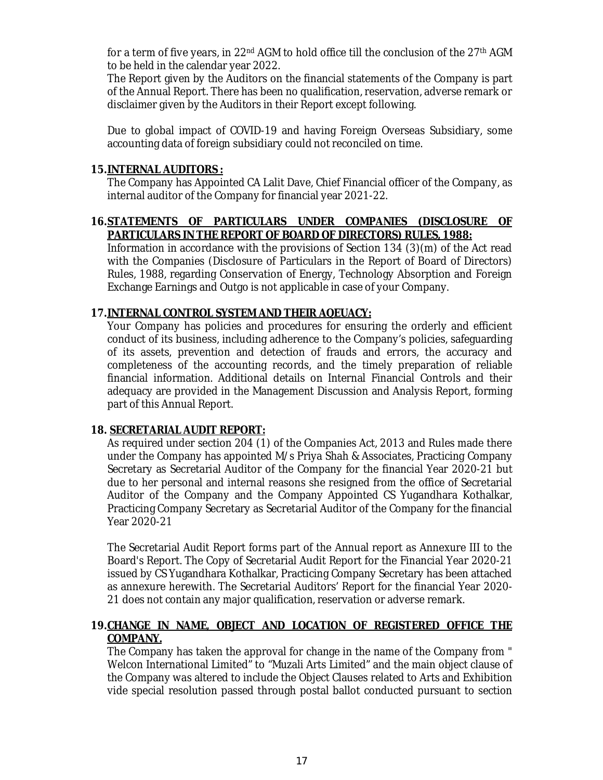for a term of five years, in 22nd AGM to hold office till the conclusion of the 27th AGM to be held in the calendar year 2022.

The Report given by the Auditors on the financial statements of the Company is part of the Annual Report. There has been no qualification, reservation, adverse remark or disclaimer given by the Auditors in their Report except following.

Due to global impact of COVID-19 and having Foreign Overseas Subsidiary, some accounting data of foreign subsidiary could not reconciled on time.

## **15.INTERNAL AUDITORS :**

The Company has Appointed CA Lalit Dave, Chief Financial officer of the Company, as internal auditor of the Company for financial year 2021-22.

## **16.STATEMENTS OF PARTICULARS UNDER COMPANIES (DISCLOSURE OF PARTICULARS IN THE REPORT OF BOARD OF DIRECTORS) RULES, 1988:**

Information in accordance with the provisions of Section 134 (3)(m) of the Act read with the Companies (Disclosure of Particulars in the Report of Board of Directors) Rules, 1988, regarding Conservation of Energy, Technology Absorption and Foreign Exchange Earnings and Outgo is not applicable in case of your Company.

## **17.INTERNAL CONTROL SYSTEM AND THEIR AQEUACY:**

Your Company has policies and procedures for ensuring the orderly and efficient conduct of its business, including adherence to the Company's policies, safeguarding of its assets, prevention and detection of frauds and errors, the accuracy and completeness of the accounting records, and the timely preparation of reliable financial information. Additional details on Internal Financial Controls and their adequacy are provided in the Management Discussion and Analysis Report, forming part of this Annual Report.

## **18. SECRETARIAL AUDIT REPORT:**

As required under section 204 (1) of the Companies Act, 2013 and Rules made there under the Company has appointed M/s Priya Shah & Associates, Practicing Company Secretary as Secretarial Auditor of the Company for the financial Year 2020-21 but due to her personal and internal reasons she resigned from the office of Secretarial Auditor of the Company and the Company Appointed CS Yugandhara Kothalkar, Practicing Company Secretary as Secretarial Auditor of the Company for the financial Year 2020-21

The Secretarial Audit Report forms part of the Annual report as Annexure III to the Board's Report. The Copy of Secretarial Audit Report for the Financial Year 2020-21 issued by CS Yugandhara Kothalkar, Practicing Company Secretary has been attached as annexure herewith. The Secretarial Auditors' Report for the financial Year 2020- 21 does not contain any major qualification, reservation or adverse remark.

## **19.CHANGE IN NAME, OBJECT AND LOCATION OF REGISTERED OFFICE THE COMPANY.**

The Company has taken the approval for change in the name of the Company from " Welcon International Limited" to "Muzali Arts Limited" and the main object clause of the Company was altered to include the Object Clauses related to Arts and Exhibition vide special resolution passed through postal ballot conducted pursuant to section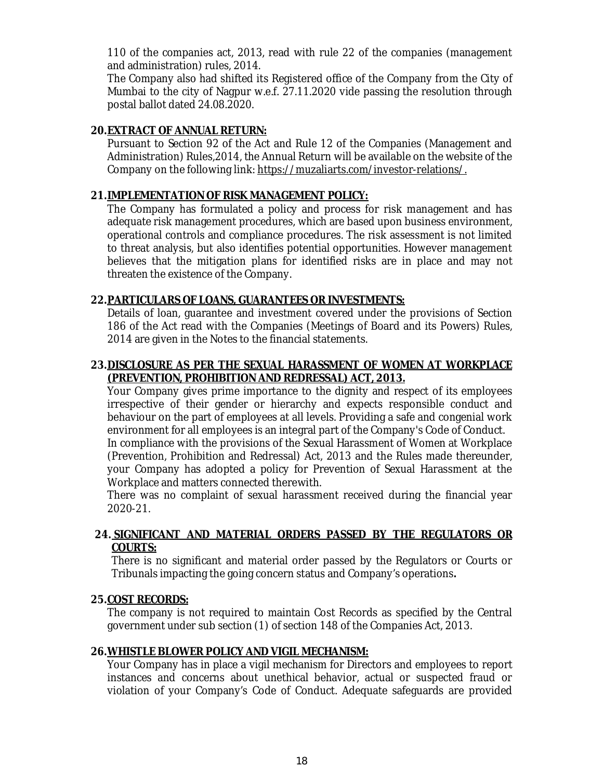110 of the companies act, 2013, read with rule 22 of the companies (management and administration) rules, 2014.

The Company also had shifted its Registered office of the Company from the City of Mumbai to the city of Nagpur w.e.f. 27.11.2020 vide passing the resolution through postal ballot dated 24.08.2020.

## **20.EXTRACT OF ANNUAL RETURN:**

Pursuant to Section 92 of the Act and Rule 12 of the Companies (Management and Administration) Rules,2014, the Annual Return will be available on the website of the Company on the following link: <https://muzaliarts.com/investor-relations/.>

## **21.IMPLEMENTATION OF RISK MANAGEMENT POLICY:**

The Company has formulated a policy and process for risk management and has adequate risk management procedures, which are based upon business environment, operational controls and compliance procedures. The risk assessment is not limited to threat analysis, but also identifies potential opportunities. However management believes that the mitigation plans for identified risks are in place and may not threaten the existence of the Company.

#### **22.PARTICULARS OF LOANS, GUARANTEES OR INVESTMENTS:**

Details of loan, guarantee and investment covered under the provisions of Section 186 of the Act read with the Companies (Meetings of Board and its Powers) Rules, 2014 are given in the Notes to the financial statements.

## **23.DISCLOSURE AS PER THE SEXUAL HARASSMENT OF WOMEN AT WORKPLACE (PREVENTION, PROHIBITION AND REDRESSAL) ACT, 2013.**

Your Company gives prime importance to the dignity and respect of its employees irrespective of their gender or hierarchy and expects responsible conduct and behaviour on the part of employees at all levels. Providing a safe and congenial work environment for all employees is an integral part of the Company's Code of Conduct.

In compliance with the provisions of the Sexual Harassment of Women at Workplace (Prevention, Prohibition and Redressal) Act, 2013 and the Rules made thereunder, your Company has adopted a policy for Prevention of Sexual Harassment at the Workplace and matters connected therewith.

There was no complaint of sexual harassment received during the financial year 2020-21.

#### **24. SIGNIFICANT AND MATERIAL ORDERS PASSED BY THE REGULATORS OR COURTS:**

There is no significant and material order passed by the Regulators or Courts or Tribunals impacting the going concern status and Company's operations**.**

#### **25.COST RECORDS:**

The company is not required to maintain Cost Records as specified by the Central government under sub section (1) of section 148 of the Companies Act, 2013.

#### **26.WHISTLE BLOWER POLICY AND VIGIL MECHANISM:**

Your Company has in place a vigil mechanism for Directors and employees to report instances and concerns about unethical behavior, actual or suspected fraud or violation of your Company's Code of Conduct. Adequate safeguards are provided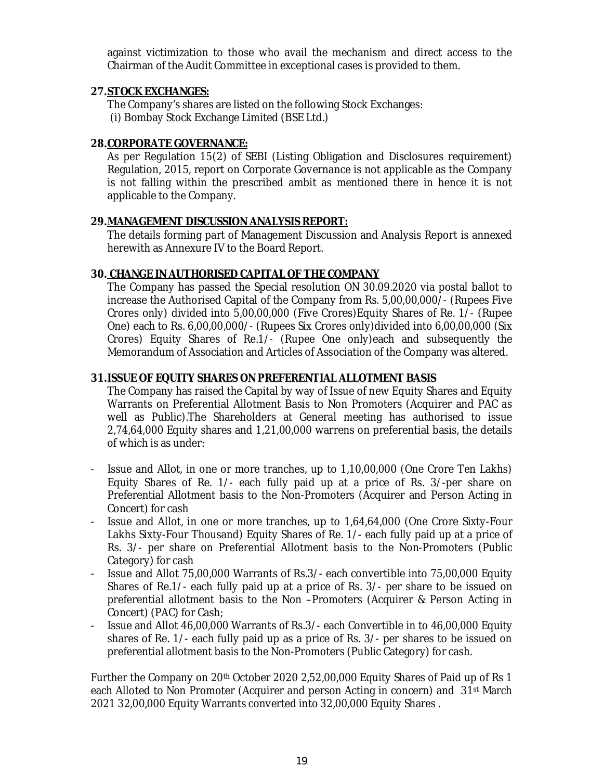against victimization to those who avail the mechanism and direct access to the Chairman of the Audit Committee in exceptional cases is provided to them.

## **27.STOCK EXCHANGES:**

The Company's shares are listed on the following Stock Exchanges: (i) Bombay Stock Exchange Limited (BSE Ltd.)

## **28.CORPORATE GOVERNANCE:**

As per Regulation 15(2) of SEBI (Listing Obligation and Disclosures requirement) Regulation, 2015, report on Corporate Governance is not applicable as the Company is not falling within the prescribed ambit as mentioned there in hence it is not applicable to the Company.

## **29.MANAGEMENT DISCUSSION ANALYSIS REPORT:**

The details forming part of Management Discussion and Analysis Report is annexed herewith as Annexure IV to the Board Report.

## **30. CHANGE IN AUTHORISED CAPITAL OF THE COMPANY**

The Company has passed the Special resolution ON 30.09.2020 via postal ballot to increase the Authorised Capital of the Company from Rs. 5,00,00,000/- (Rupees Five Crores only) divided into 5,00,00,000 (Five Crores)Equity Shares of Re. 1/- (Rupee One) each to Rs. 6,00,00,000/- (Rupees Six Crores only)divided into 6,00,00,000 (Six Crores) Equity Shares of Re.1/- (Rupee One only)each and subsequently the Memorandum of Association and Articles of Association of the Company was altered.

## **31.ISSUE OF EQUITY SHARES ON PREFERENTIAL ALLOTMENT BASIS**

The Company has raised the Capital by way of Issue of new Equity Shares and Equity Warrants on Preferential Allotment Basis to Non Promoters (Acquirer and PAC as well as Public).The Shareholders at General meeting has authorised to issue 2,74,64,000 Equity shares and 1,21,00,000 warrens on preferential basis, the details of which is as under:

- Issue and Allot, in one or more tranches, up to 1,10,00,000 (One Crore Ten Lakhs) Equity Shares of Re. 1/- each fully paid up at a price of Rs. 3/-per share on Preferential Allotment basis to the Non-Promoters (Acquirer and Person Acting in Concert) for cash
- Issue and Allot, in one or more tranches, up to 1,64,64,000 (One Crore Sixty-Four Lakhs Sixty-Four Thousand) Equity Shares of Re. 1/- each fully paid up at a price of Rs. 3/- per share on Preferential Allotment basis to the Non-Promoters (Public Category) for cash
- Issue and Allot 75,00,000 Warrants of Rs.3/- each convertible into 75,00,000 Equity Shares of Re.1/- each fully paid up at a price of Rs. 3/- per share to be issued on preferential allotment basis to the Non –Promoters (Acquirer & Person Acting in Concert) (PAC) for Cash;
- Issue and Allot 46,00,000 Warrants of Rs.3/- each Convertible in to 46,00,000 Equity shares of Re. 1/- each fully paid up as a price of Rs. 3/- per shares to be issued on preferential allotment basis to the Non-Promoters (Public Category) for cash.

Further the Company on 20<sup>th</sup> October 2020 2,52,00,000 Equity Shares of Paid up of Rs 1 each Alloted to Non Promoter (Acquirer and person Acting in concern) and 31st March 2021 32,00,000 Equity Warrants converted into 32,00,000 Equity Shares .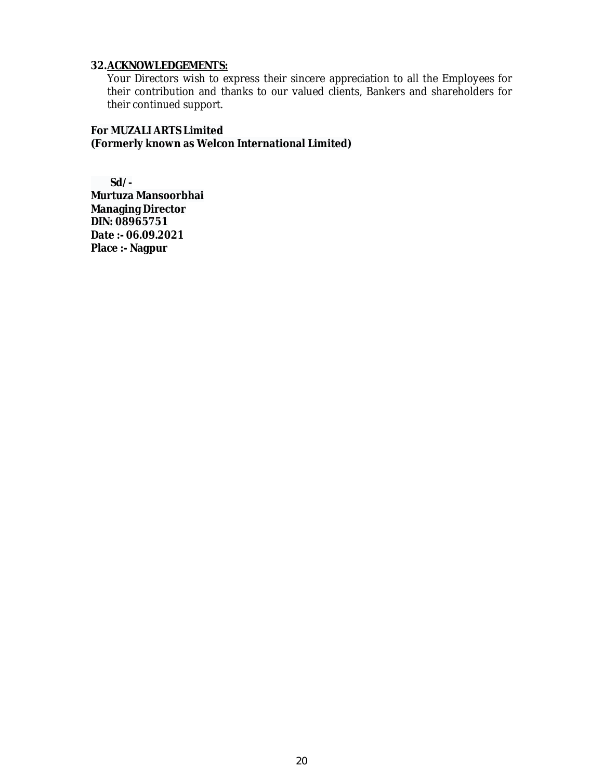## **32.ACKNOWLEDGEMENTS:**

Your Directors wish to express their sincere appreciation to all the Employees for their contribution and thanks to our valued clients, Bankers and shareholders for their continued support.

## **For MUZALI ARTS Limited**

**(Formerly known as Welcon International Limited)**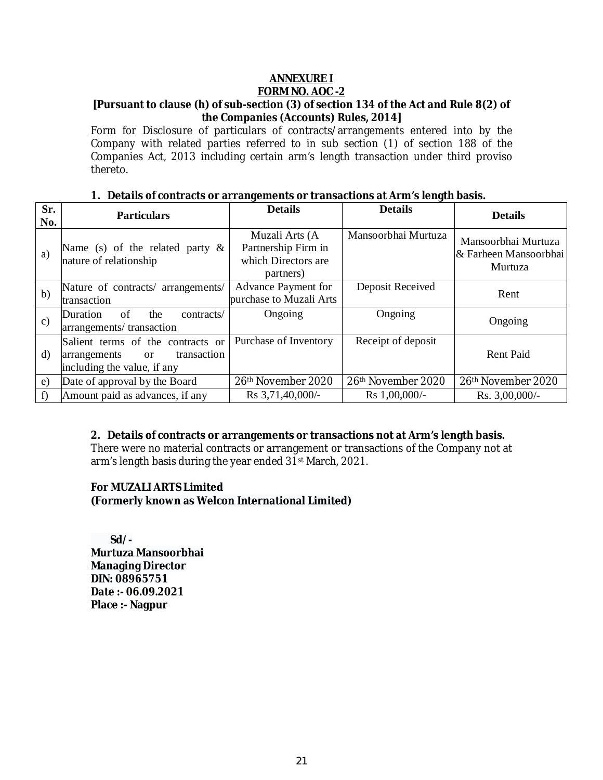#### **ANNEXURE I FORM NO. AOC -2**

## **[Pursuant to clause (h) of sub-section (3) of section 134 of the Act and Rule 8(2) of the Companies (Accounts) Rules, 2014]**

Form for Disclosure of particulars of contracts/arrangements entered into by the Company with related parties referred to in sub section (1) of section 188 of the Companies Act, 2013 including certain arm's length transaction under third proviso thereto.

## **1. Details of contracts or arrangements or transactions at Arm's length basis.**

| Sr.<br>No.    | <b>Particulars</b>                                                                                               | <b>Details</b>                                                            | <b>Details</b>      | <b>Details</b>                                          |
|---------------|------------------------------------------------------------------------------------------------------------------|---------------------------------------------------------------------------|---------------------|---------------------------------------------------------|
| a)            | Name (s) of the related party $\&$<br>nature of relationship                                                     | Muzali Arts (A<br>Partnership Firm in<br>which Directors are<br>partners) | Mansoorbhai Murtuza | Mansoorbhai Murtuza<br>& Farheen Mansoorbhai<br>Murtuza |
| b)            | Nature of contracts/ arrangements/<br>transaction                                                                | Advance Payment for<br>purchase to Muzali Arts                            | Deposit Received    | Rent                                                    |
| $\mathbf{c})$ | of<br><b>Duration</b><br>the<br>contracts/<br>arrangements/transaction                                           | Ongoing                                                                   | Ongoing             | Ongoing                                                 |
| $\rm d$       | Salient terms of the contracts or<br>transaction<br>arrangements<br><sub>or</sub><br>including the value, if any | Purchase of Inventory                                                     | Receipt of deposit  | <b>Rent Paid</b>                                        |
| $\epsilon$ )  | Date of approval by the Board                                                                                    | 26th November 2020                                                        | 26th November 2020  | 26th November 2020                                      |
| f             | Amount paid as advances, if any                                                                                  | Rs 3,71,40,000/-                                                          | Rs 1,00,000/-       | Rs. $3,00,000/-$                                        |

## **2. Details of contracts or arrangements or transactions not at Arm's length basis.**

There were no material contracts or arrangement or transactions of the Company not at arm's length basis during the year ended 31st March, 2021.

## **For MUZALI ARTS Limited**

**(Formerly known as Welcon International Limited)**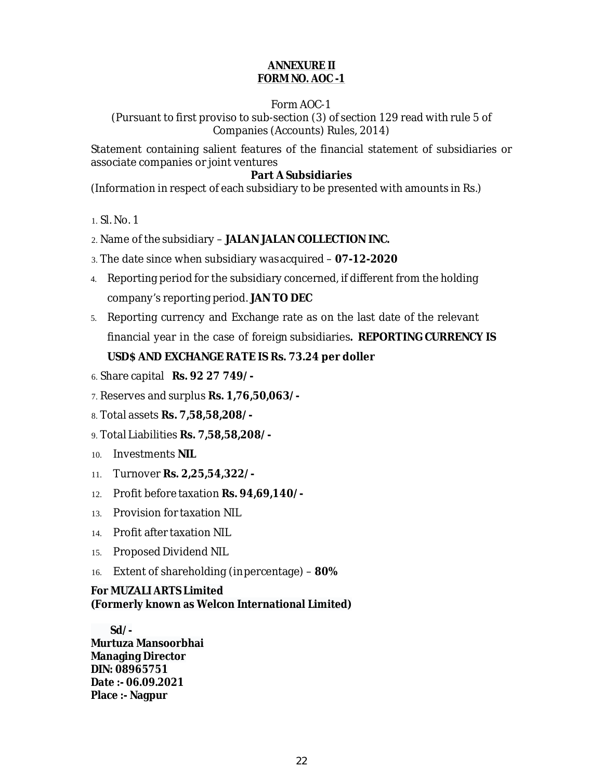## **ANNEXURE II FORM NO. AOC -1**

## Form AOC-1

(Pursuant to first proviso to sub-section (3) of section 129 read with rule 5 of Companies (Accounts) Rules, 2014)

Statement containing salient features of the financial statement of subsidiaries or associate companies or joint ventures

## **Part A Subsidiaries**

(Information in respect of each subsidiary to be presented with amounts in Rs.)

- 1. Sl. No. 1
- 2. Name of the subsidiary **JALAN JALAN COLLECTION INC.**
- 3. The date since when subsidiary wasacquired **07-12-2020**
- 4. Reporting period for the subsidiary concerned, if different from the holding company's reporting period. **JAN TO DEC**
- 5. Reporting currency and Exchange rate as on the last date of the relevant financial year in the case of foreign subsidiaries**. REPORTING CURRENCY IS**

## **USD\$ AND EXCHANGE RATE IS Rs. 73.24 per doller**

- 6. Share capital **Rs. 92 27 749/-**
- 7. Reserves and surplus **Rs. 1,76,50,063/-**
- 8. Total assets **Rs. 7,58,58,208/-**
- 9. Total Liabilities **Rs. 7,58,58,208/-**
- 10. Investments **NIL**
- 11. Turnover **Rs. 2,25,54,322/-**
- 12. Profit before taxation **Rs. 94,69,140/-**
- 13. Provision for taxation NIL
- 14. Profit after taxation NIL
- 15. Proposed Dividend NIL
- 16. Extent of shareholding (inpercentage) **80%**

**For MUZALI ARTS Limited (Formerly known as Welcon International Limited)**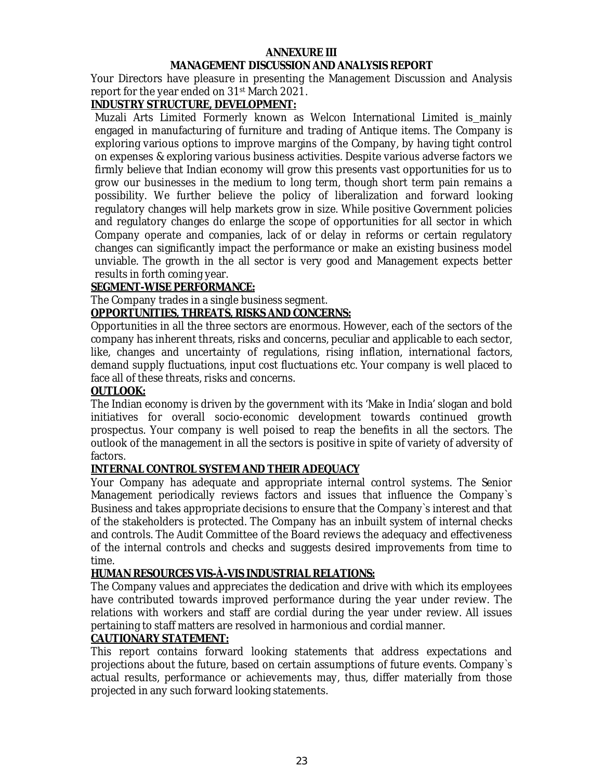#### **ANNEXURE III MANAGEMENT DISCUSSION AND ANALYSIS REPORT**

Your Directors have pleasure in presenting the Management Discussion and Analysis report for the year ended on 31st March 2021.

## **INDUSTRY STRUCTURE, DEVELOPMENT:**

Muzali Arts Limited Formerly known as Welcon International Limited is mainly engaged in manufacturing of furniture and trading of Antique items. The Company is exploring various options to improve margins of the Company, by having tight control on expenses & exploring various business activities. Despite various adverse factors we firmly believe that Indian economy will grow this presents vast opportunities for us to grow our businesses in the medium to long term, though short term pain remains a possibility. We further believe the policy of liberalization and forward looking regulatory changes will help markets grow in size. While positive Government policies and regulatory changes do enlarge the scope of opportunities for all sector in which Company operate and companies, lack of or delay in reforms or certain regulatory changes can significantly impact the performance or make an existing business model unviable. The growth in the all sector is very good and Management expects better results in forth coming year.

## **SEGMENT-WISE PERFORMANCE:**

The Company trades in a single business segment.

## **OPPORTUNITIES, THREATS, RISKS AND CONCERNS:**

Opportunities in all the three sectors are enormous. However, each of the sectors of the company has inherent threats, risks and concerns, peculiar and applicable to each sector, like, changes and uncertainty of regulations, rising inflation, international factors, demand supply fluctuations, input cost fluctuations etc. Your company is well placed to face all of these threats, risks and concerns.

## **OUTLOOK:**

The Indian economy is driven by the government with its 'Make in India' slogan and bold initiatives for overall socio-economic development towards continued growth prospectus. Your company is well poised to reap the benefits in all the sectors. The outlook of the management in all the sectors is positive in spite of variety of adversity of factors.

## **INTERNAL CONTROL SYSTEM AND THEIR ADEQUACY**

Your Company has adequate and appropriate internal control systems. The Senior Management periodically reviews factors and issues that influence the Company`s Business and takes appropriate decisions to ensure that the Company`s interest and that of the stakeholders is protected. The Company has an inbuilt system of internal checks and controls. The Audit Committee of the Board reviews the adequacy and effectiveness of the internal controls and checks and suggests desired improvements from time to time.

## **HUMAN RESOURCES VIS-À-VIS INDUSTRIAL RELATIONS:**

The Company values and appreciates the dedication and drive with which its employees have contributed towards improved performance during the year under review. The relations with workers and staff are cordial during the year under review. All issues pertaining to staff matters are resolved in harmonious and cordial manner.

## **CAUTIONARY STATEMENT:**

This report contains forward looking statements that address expectations and projections about the future, based on certain assumptions of future events. Company`s actual results, performance or achievements may, thus, differ materially from those projected in any such forward looking statements.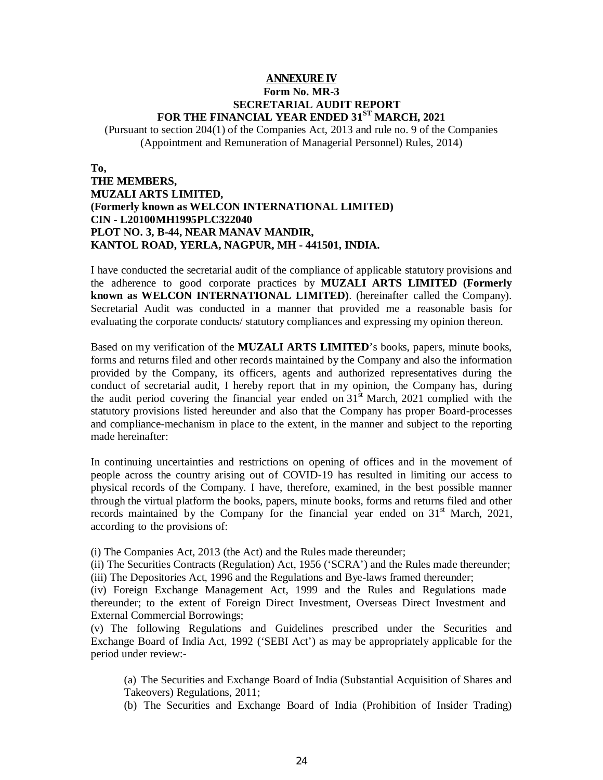## **ANNEXURE IV Form No. MR-3 SECRETARIAL AUDIT REPORT FOR THE FINANCIAL YEAR ENDED 31ST MARCH, 2021**

(Pursuant to section 204(1) of the Companies Act, 2013 and rule no. 9 of the Companies (Appointment and Remuneration of Managerial Personnel) Rules, 2014)

#### **To,**

## **THE MEMBERS, MUZALI ARTS LIMITED, (Formerly known as WELCON INTERNATIONAL LIMITED) CIN - L20100MH1995PLC322040 PLOT NO. 3, B-44, NEAR MANAV MANDIR, KANTOL ROAD, YERLA, NAGPUR, MH - 441501, INDIA.**

I have conducted the secretarial audit of the compliance of applicable statutory provisions and the adherence to good corporate practices by **MUZALI ARTS LIMITED (Formerly known as WELCON INTERNATIONAL LIMITED)**. (hereinafter called the Company). Secretarial Audit was conducted in a manner that provided me a reasonable basis for evaluating the corporate conducts/ statutory compliances and expressing my opinion thereon.

Based on my verification of the **MUZALI ARTS LIMITED**'s books, papers, minute books, forms and returns filed and other records maintained by the Company and also the information provided by the Company, its officers, agents and authorized representatives during the conduct of secretarial audit, I hereby report that in my opinion, the Company has, during the audit period covering the financial year ended on  $31<sup>st</sup>$  March, 2021 complied with the statutory provisions listed hereunder and also that the Company has proper Board-processes and compliance-mechanism in place to the extent, in the manner and subject to the reporting made hereinafter:

In continuing uncertainties and restrictions on opening of offices and in the movement of people across the country arising out of COVID-19 has resulted in limiting our access to physical records of the Company. I have, therefore, examined, in the best possible manner through the virtual platform the books, papers, minute books, forms and returns filed and other records maintained by the Company for the financial year ended on  $31<sup>st</sup>$  March, 2021, according to the provisions of:

(i) The Companies Act, 2013 (the Act) and the Rules made thereunder;

(ii) The Securities Contracts (Regulation) Act, 1956 ('SCRA') and the Rules made thereunder; (iii) The Depositories Act, 1996 and the Regulations and Bye-laws framed thereunder;

(iv) Foreign Exchange Management Act, 1999 and the Rules and Regulations made thereunder; to the extent of Foreign Direct Investment, Overseas Direct Investment and External Commercial Borrowings;

(v) The following Regulations and Guidelines prescribed under the Securities and Exchange Board of India Act, 1992 ('SEBI Act') as may be appropriately applicable for the period under review:-

(a) The Securities and Exchange Board of India (Substantial Acquisition of Shares and Takeovers) Regulations, 2011;

(b) The Securities and Exchange Board of India (Prohibition of Insider Trading)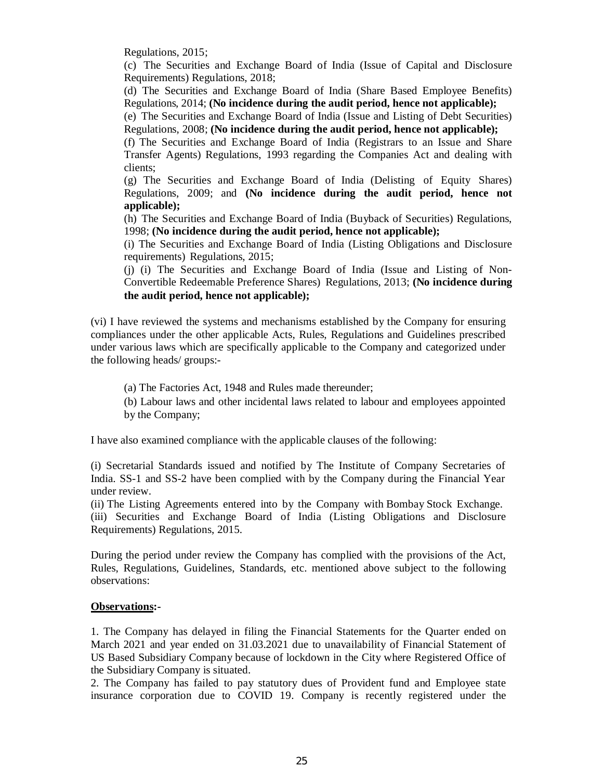Regulations, 2015;

(c) The Securities and Exchange Board of India (Issue of Capital and Disclosure Requirements) Regulations, 2018;

(d) The Securities and Exchange Board of India (Share Based Employee Benefits) Regulations, 2014; **(No incidence during the audit period, hence not applicable);**

(e) The Securities and Exchange Board of India (Issue and Listing of Debt Securities) Regulations, 2008; **(No incidence during the audit period, hence not applicable);**

(f) The Securities and Exchange Board of India (Registrars to an Issue and Share Transfer Agents) Regulations, 1993 regarding the Companies Act and dealing with clients;

(g) The Securities and Exchange Board of India (Delisting of Equity Shares) Regulations, 2009; and **(No incidence during the audit period, hence not applicable);**

(h) The Securities and Exchange Board of India (Buyback of Securities) Regulations, 1998; **(No incidence during the audit period, hence not applicable);**

(i) The Securities and Exchange Board of India (Listing Obligations and Disclosure requirements) Regulations, 2015;

(j) (i) The Securities and Exchange Board of India (Issue and Listing of Non-Convertible Redeemable Preference Shares) Regulations, 2013; **(No incidence during the audit period, hence not applicable);**

(vi) I have reviewed the systems and mechanisms established by the Company for ensuring compliances under the other applicable Acts, Rules, Regulations and Guidelines prescribed under various laws which are specifically applicable to the Company and categorized under the following heads/ groups:-

(a) The Factories Act, 1948 and Rules made thereunder;

(b) Labour laws and other incidental laws related to labour and employees appointed by the Company;

I have also examined compliance with the applicable clauses of the following:

(i) Secretarial Standards issued and notified by The Institute of Company Secretaries of India. SS-1 and SS-2 have been complied with by the Company during the Financial Year under review.

(ii) The Listing Agreements entered into by the Company with Bombay Stock Exchange. (iii) Securities and Exchange Board of India (Listing Obligations and Disclosure Requirements) Regulations, 2015.

During the period under review the Company has complied with the provisions of the Act, Rules, Regulations, Guidelines, Standards, etc. mentioned above subject to the following observations:

#### **Observations:-**

1. The Company has delayed in filing the Financial Statements for the Quarter ended on March 2021 and year ended on 31.03.2021 due to unavailability of Financial Statement of US Based Subsidiary Company because of lockdown in the City where Registered Office of the Subsidiary Company is situated.

2. The Company has failed to pay statutory dues of Provident fund and Employee state insurance corporation due to COVID 19. Company is recently registered under the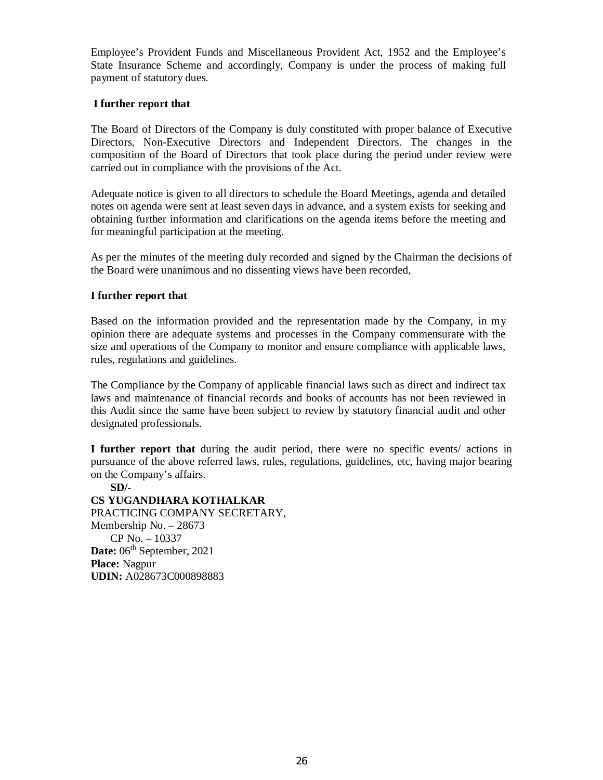Employee's Provident Funds and Miscellaneous Provident Act, 1952 and the Employee's State Insurance Scheme and accordingly, Company is under the process of making full payment of statutory dues.

#### **I further report that**

The Board of Directors of the Company is duly constituted with proper balance of Executive Directors, Non-Executive Directors and Independent Directors. The changes in the composition of the Board of Directors that took place during the period under review were carried out in compliance with the provisions of the Act.

Adequate notice is given to all directors to schedule the Board Meetings, agenda and detailed notes on agenda were sent at least seven days in advance, and a system exists for seeking and obtaining further information and clarifications on the agenda items before the meeting and for meaningful participation at the meeting.

As per the minutes of the meeting duly recorded and signed by the Chairman the decisions of the Board were unanimous and no dissenting views have been recorded,

#### **I further report that**

Based on the information provided and the representation made by the Company, in my opinion there are adequate systems and processes in the Company commensurate with the size and operations of the Company to monitor and ensure compliance with applicable laws, rules, regulations and guidelines.

The Compliance by the Company of applicable financial laws such as direct and indirect tax laws and maintenance of financial records and books of accounts has not been reviewed in this Audit since the same have been subject to review by statutory financial audit and other designated professionals.

**I further report that** during the audit period, there were no specific events/ actions in pursuance of the above referred laws, rules, regulations, guidelines, etc, having major bearing on the Company's affairs.

**SD/- CS YUGANDHARA KOTHALKAR** PRACTICING COMPANY SECRETARY, Membership No. – 28673 CP No. – 10337 Date: 06<sup>th</sup> September, 2021 **Place:** Nagpur **UDIN:** A028673C000898883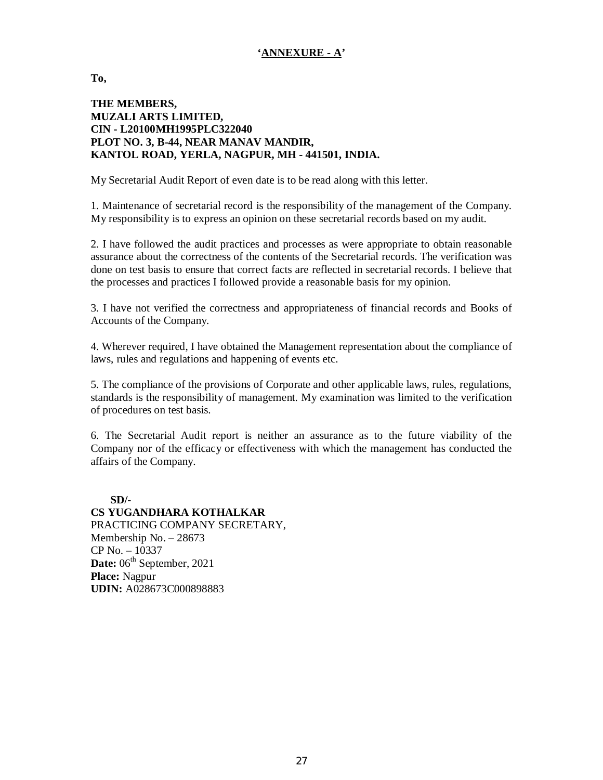## **'ANNEXURE - A'**

**To,** 

## **THE MEMBERS, MUZALI ARTS LIMITED, CIN - L20100MH1995PLC322040 PLOT NO. 3, B-44, NEAR MANAV MANDIR, KANTOL ROAD, YERLA, NAGPUR, MH - 441501, INDIA.**

My Secretarial Audit Report of even date is to be read along with this letter.

1. Maintenance of secretarial record is the responsibility of the management of the Company. My responsibility is to express an opinion on these secretarial records based on my audit.

2. I have followed the audit practices and processes as were appropriate to obtain reasonable assurance about the correctness of the contents of the Secretarial records. The verification was done on test basis to ensure that correct facts are reflected in secretarial records. I believe that the processes and practices I followed provide a reasonable basis for my opinion.

3. I have not verified the correctness and appropriateness of financial records and Books of Accounts of the Company.

4. Wherever required, I have obtained the Management representation about the compliance of laws, rules and regulations and happening of events etc.

5. The compliance of the provisions of Corporate and other applicable laws, rules, regulations, standards is the responsibility of management. My examination was limited to the verification of procedures on test basis.

6. The Secretarial Audit report is neither an assurance as to the future viability of the Company nor of the efficacy or effectiveness with which the management has conducted the affairs of the Company.

**SD/- CS YUGANDHARA KOTHALKAR** PRACTICING COMPANY SECRETARY, Membership No. – 28673 CP No. – 10337 Date: 06<sup>th</sup> September, 2021 **Place:** Nagpur **UDIN:** A028673C000898883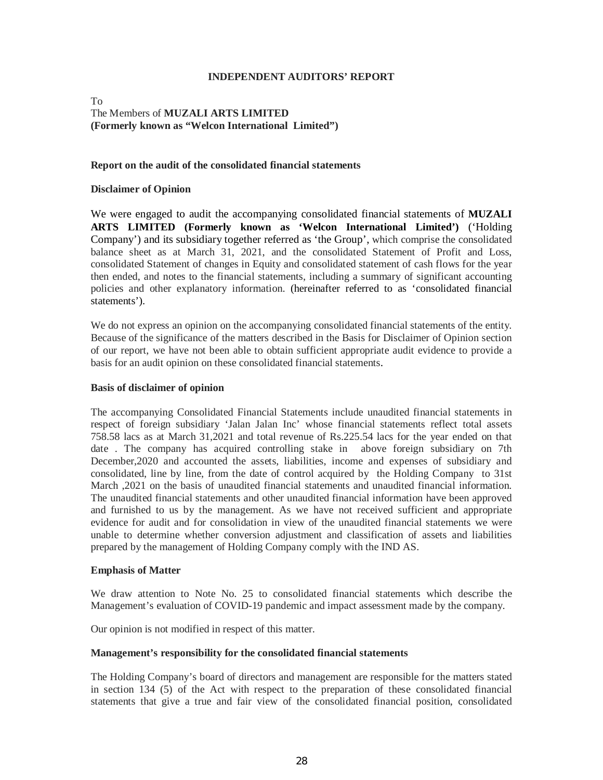#### **INDEPENDENT AUDITORS' REPORT**

#### To The Members of **MUZALI ARTS LIMITED (Formerly known as "Welcon International Limited")**

#### **Report on the audit of the consolidated financial statements**

#### **Disclaimer of Opinion**

We were engaged to audit the accompanying consolidated financial statements of **MUZALI ARTS LIMITED (Formerly known as 'Welcon International Limited')** ('Holding Company') and its subsidiary together referred as 'the Group', which comprise the consolidated balance sheet as at March 31, 2021, and the consolidated Statement of Profit and Loss, consolidated Statement of changes in Equity and consolidated statement of cash flows for the year then ended, and notes to the financial statements, including a summary of significant accounting policies and other explanatory information. (hereinafter referred to as 'consolidated financial statements').

We do not express an opinion on the accompanying consolidated financial statements of the entity. Because of the significance of the matters described in the Basis for Disclaimer of Opinion section of our report, we have not been able to obtain sufficient appropriate audit evidence to provide a basis for an audit opinion on these consolidated financial statements.

#### **Basis of disclaimer of opinion**

The accompanying Consolidated Financial Statements include unaudited financial statements in respect of foreign subsidiary 'Jalan Jalan Inc' whose financial statements reflect total assets 758.58 lacs as at March 31,2021 and total revenue of Rs.225.54 lacs for the year ended on that date . The company has acquired controlling stake in above foreign subsidiary on 7th December,2020 and accounted the assets, liabilities, income and expenses of subsidiary and consolidated, line by line, from the date of control acquired by the Holding Company to 31st March ,2021 on the basis of unaudited financial statements and unaudited financial information. The unaudited financial statements and other unaudited financial information have been approved and furnished to us by the management. As we have not received sufficient and appropriate evidence for audit and for consolidation in view of the unaudited financial statements we were unable to determine whether conversion adjustment and classification of assets and liabilities prepared by the management of Holding Company comply with the IND AS.

#### **Emphasis of Matter**

We draw attention to Note No. 25 to consolidated financial statements which describe the Management's evaluation of COVID-19 pandemic and impact assessment made by the company.

Our opinion is not modified in respect of this matter.

#### **Management's responsibility for the consolidated financial statements**

The Holding Company's board of directors and management are responsible for the matters stated in section 134 (5) of the Act with respect to the preparation of these consolidated financial statements that give a true and fair view of the consolidated financial position, consolidated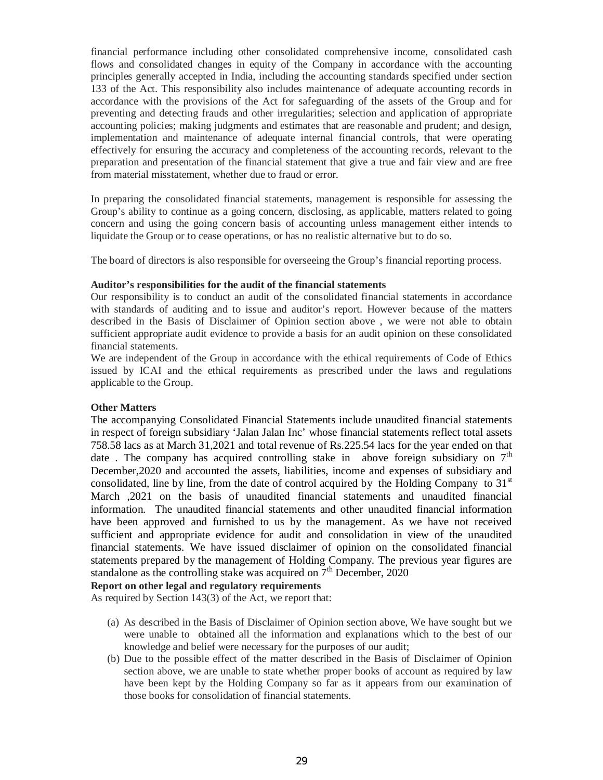financial performance including other consolidated comprehensive income, consolidated cash flows and consolidated changes in equity of the Company in accordance with the accounting principles generally accepted in India, including the accounting standards specified under section 133 of the Act. This responsibility also includes maintenance of adequate accounting records in accordance with the provisions of the Act for safeguarding of the assets of the Group and for preventing and detecting frauds and other irregularities; selection and application of appropriate accounting policies; making judgments and estimates that are reasonable and prudent; and design, implementation and maintenance of adequate internal financial controls, that were operating effectively for ensuring the accuracy and completeness of the accounting records, relevant to the preparation and presentation of the financial statement that give a true and fair view and are free from material misstatement, whether due to fraud or error.

In preparing the consolidated financial statements, management is responsible for assessing the Group's ability to continue as a going concern, disclosing, as applicable, matters related to going concern and using the going concern basis of accounting unless management either intends to liquidate the Group or to cease operations, or has no realistic alternative but to do so.

The board of directors is also responsible for overseeing the Group's financial reporting process.

#### **Auditor's responsibilities for the audit of the financial statements**

Our responsibility is to conduct an audit of the consolidated financial statements in accordance with standards of auditing and to issue and auditor's report. However because of the matters described in the Basis of Disclaimer of Opinion section above , we were not able to obtain sufficient appropriate audit evidence to provide a basis for an audit opinion on these consolidated financial statements.

We are independent of the Group in accordance with the ethical requirements of Code of Ethics issued by ICAI and the ethical requirements as prescribed under the laws and regulations applicable to the Group.

#### **Other Matters**

The accompanying Consolidated Financial Statements include unaudited financial statements in respect of foreign subsidiary 'Jalan Jalan Inc' whose financial statements reflect total assets 758.58 lacs as at March 31,2021 and total revenue of Rs.225.54 lacs for the year ended on that date . The company has acquired controlling stake in above foreign subsidiary on  $7<sup>th</sup>$ December,2020 and accounted the assets, liabilities, income and expenses of subsidiary and consolidated, line by line, from the date of control acquired by the Holding Company to  $31<sup>st</sup>$ March ,2021 on the basis of unaudited financial statements and unaudited financial information. The unaudited financial statements and other unaudited financial information have been approved and furnished to us by the management. As we have not received sufficient and appropriate evidence for audit and consolidation in view of the unaudited financial statements. We have issued disclaimer of opinion on the consolidated financial statements prepared by the management of Holding Company. The previous year figures are standalone as the controlling stake was acquired on  $7<sup>th</sup>$  December, 2020

#### **Report on other legal and regulatory requirements**

As required by Section 143(3) of the Act, we report that:

- (a) As described in the Basis of Disclaimer of Opinion section above, We have sought but we were unable to obtained all the information and explanations which to the best of our knowledge and belief were necessary for the purposes of our audit;
- (b) Due to the possible effect of the matter described in the Basis of Disclaimer of Opinion section above, we are unable to state whether proper books of account as required by law have been kept by the Holding Company so far as it appears from our examination of those books for consolidation of financial statements.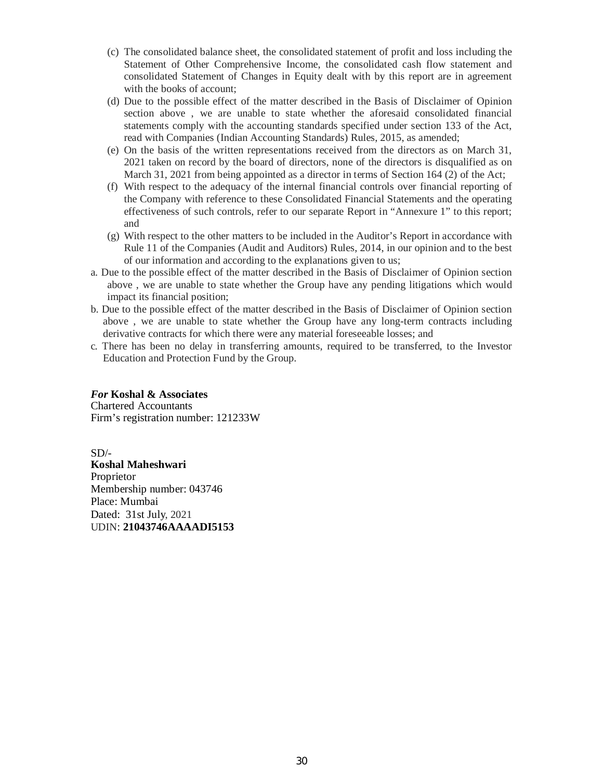- (c) The consolidated balance sheet, the consolidated statement of profit and loss including the Statement of Other Comprehensive Income, the consolidated cash flow statement and consolidated Statement of Changes in Equity dealt with by this report are in agreement with the books of account:
- (d) Due to the possible effect of the matter described in the Basis of Disclaimer of Opinion section above , we are unable to state whether the aforesaid consolidated financial statements comply with the accounting standards specified under section 133 of the Act, read with Companies (Indian Accounting Standards) Rules, 2015, as amended;
- (e) On the basis of the written representations received from the directors as on March 31, 2021 taken on record by the board of directors, none of the directors is disqualified as on March 31, 2021 from being appointed as a director in terms of Section 164 (2) of the Act;
- (f) With respect to the adequacy of the internal financial controls over financial reporting of the Company with reference to these Consolidated Financial Statements and the operating effectiveness of such controls, refer to our separate Report in "Annexure 1" to this report; and
- (g) With respect to the other matters to be included in the Auditor's Report in accordance with Rule 11 of the Companies (Audit and Auditors) Rules, 2014, in our opinion and to the best of our information and according to the explanations given to us;
- a. Due to the possible effect of the matter described in the Basis of Disclaimer of Opinion section above , we are unable to state whether the Group have any pending litigations which would impact its financial position;
- b. Due to the possible effect of the matter described in the Basis of Disclaimer of Opinion section above , we are unable to state whether the Group have any long-term contracts including derivative contracts for which there were any material foreseeable losses; and
- c. There has been no delay in transferring amounts, required to be transferred, to the Investor Education and Protection Fund by the Group.

#### *For* **Koshal & Associates**

Chartered Accountants Firm's registration number: 121233W

 $SD/-$ **Koshal Maheshwari** Proprietor Membership number: 043746 Place: Mumbai Dated: 31st July, 2021 UDIN: **21043746AAAADI5153**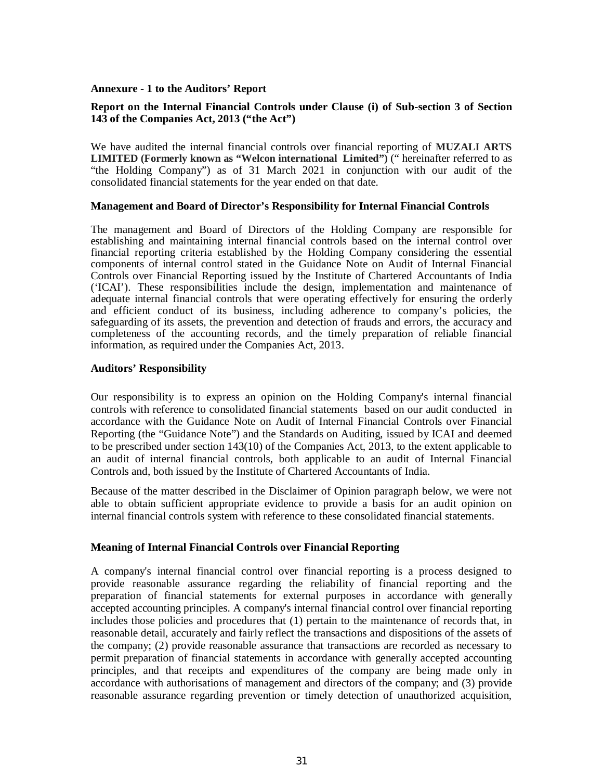#### **Annexure - 1 to the Auditors' Report**

#### **Report on the Internal Financial Controls under Clause (i) of Sub-section 3 of Section 143 of the Companies Act, 2013 ("the Act")**

We have audited the internal financial controls over financial reporting of **MUZALI ARTS LIMITED (Formerly known as "Welcon international Limited")** (" hereinafter referred to as "the Holding Company") as of 31 March 2021 in conjunction with our audit of the consolidated financial statements for the year ended on that date.

#### **Management and Board of Director's Responsibility for Internal Financial Controls**

The management and Board of Directors of the Holding Company are responsible for establishing and maintaining internal financial controls based on the internal control over financial reporting criteria established by the Holding Company considering the essential components of internal control stated in the Guidance Note on Audit of Internal Financial Controls over Financial Reporting issued by the Institute of Chartered Accountants of India ('ICAI'). These responsibilities include the design, implementation and maintenance of adequate internal financial controls that were operating effectively for ensuring the orderly and efficient conduct of its business, including adherence to company's policies, the safeguarding of its assets, the prevention and detection of frauds and errors, the accuracy and completeness of the accounting records, and the timely preparation of reliable financial information, as required under the Companies Act, 2013.

#### **Auditors' Responsibility**

Our responsibility is to express an opinion on the Holding Company's internal financial controls with reference to consolidated financial statements based on our audit conducted in accordance with the Guidance Note on Audit of Internal Financial Controls over Financial Reporting (the "Guidance Note") and the Standards on Auditing, issued by ICAI and deemed to be prescribed under section 143(10) of the Companies Act, 2013, to the extent applicable to an audit of internal financial controls, both applicable to an audit of Internal Financial Controls and, both issued by the Institute of Chartered Accountants of India.

Because of the matter described in the Disclaimer of Opinion paragraph below, we were not able to obtain sufficient appropriate evidence to provide a basis for an audit opinion on internal financial controls system with reference to these consolidated financial statements.

#### **Meaning of Internal Financial Controls over Financial Reporting**

A company's internal financial control over financial reporting is a process designed to provide reasonable assurance regarding the reliability of financial reporting and the preparation of financial statements for external purposes in accordance with generally accepted accounting principles. A company's internal financial control over financial reporting includes those policies and procedures that (1) pertain to the maintenance of records that, in reasonable detail, accurately and fairly reflect the transactions and dispositions of the assets of the company; (2) provide reasonable assurance that transactions are recorded as necessary to permit preparation of financial statements in accordance with generally accepted accounting principles, and that receipts and expenditures of the company are being made only in accordance with authorisations of management and directors of the company; and (3) provide reasonable assurance regarding prevention or timely detection of unauthorized acquisition,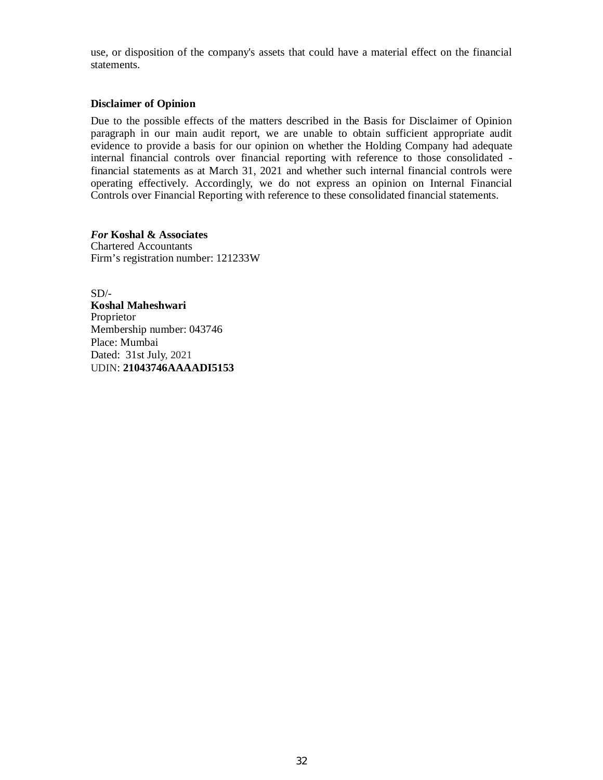use, or disposition of the company's assets that could have a material effect on the financial statements.

#### **Disclaimer of Opinion**

Due to the possible effects of the matters described in the Basis for Disclaimer of Opinion paragraph in our main audit report, we are unable to obtain sufficient appropriate audit evidence to provide a basis for our opinion on whether the Holding Company had adequate internal financial controls over financial reporting with reference to those consolidated financial statements as at March 31, 2021 and whether such internal financial controls were operating effectively. Accordingly, we do not express an opinion on Internal Financial Controls over Financial Reporting with reference to these consolidated financial statements.

*For* **Koshal & Associates** Chartered Accountants Firm's registration number: 121233W

 $SD/-$ **Koshal Maheshwari** Proprietor Membership number: 043746 Place: Mumbai Dated: 31st July, 2021 UDIN: **21043746AAAADI5153**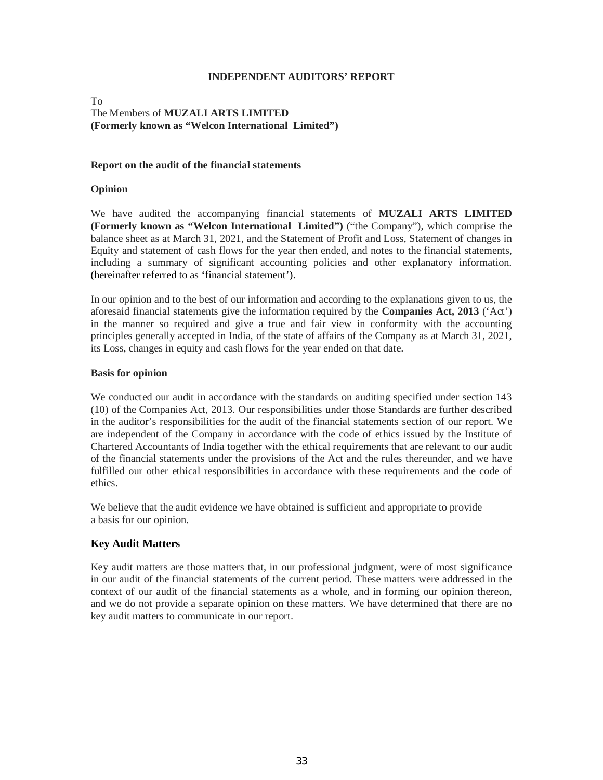#### **INDEPENDENT AUDITORS' REPORT**

#### To The Members of **MUZALI ARTS LIMITED (Formerly known as "Welcon International Limited")**

#### **Report on the audit of the financial statements**

#### **Opinion**

We have audited the accompanying financial statements of **MUZALI ARTS LIMITED (Formerly known as "Welcon International Limited")** ("the Company"), which comprise the balance sheet as at March 31, 2021, and the Statement of Profit and Loss, Statement of changes in Equity and statement of cash flows for the year then ended, and notes to the financial statements, including a summary of significant accounting policies and other explanatory information. (hereinafter referred to as 'financial statement').

In our opinion and to the best of our information and according to the explanations given to us, the aforesaid financial statements give the information required by the **Companies Act, 2013** ('Act') in the manner so required and give a true and fair view in conformity with the accounting principles generally accepted in India, of the state of affairs of the Company as at March 31, 2021, its Loss, changes in equity and cash flows for the year ended on that date.

#### **Basis for opinion**

We conducted our audit in accordance with the standards on auditing specified under section 143 (10) of the Companies Act, 2013. Our responsibilities under those Standards are further described in the auditor's responsibilities for the audit of the financial statements section of our report. We are independent of the Company in accordance with the code of ethics issued by the Institute of Chartered Accountants of India together with the ethical requirements that are relevant to our audit of the financial statements under the provisions of the Act and the rules thereunder, and we have fulfilled our other ethical responsibilities in accordance with these requirements and the code of ethics.

We believe that the audit evidence we have obtained is sufficient and appropriate to provide a basis for our opinion.

#### **Key Audit Matters**

Key audit matters are those matters that, in our professional judgment, were of most significance in our audit of the financial statements of the current period. These matters were addressed in the context of our audit of the financial statements as a whole, and in forming our opinion thereon, and we do not provide a separate opinion on these matters. We have determined that there are no key audit matters to communicate in our report.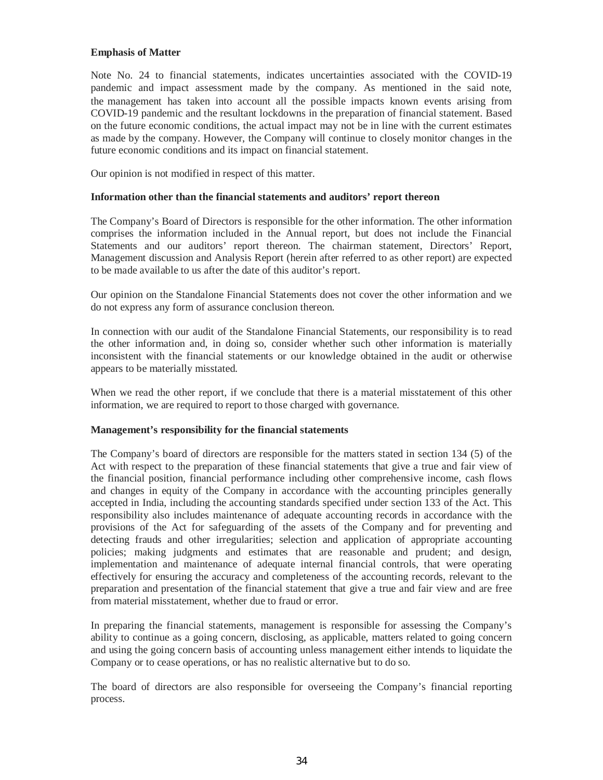#### **Emphasis of Matter**

Note No. 24 to financial statements, indicates uncertainties associated with the COVID-19 pandemic and impact assessment made by the company. As mentioned in the said note, the management has taken into account all the possible impacts known events arising from COVID-19 pandemic and the resultant lockdowns in the preparation of financial statement. Based on the future economic conditions, the actual impact may not be in line with the current estimates as made by the company. However, the Company will continue to closely monitor changes in the future economic conditions and its impact on financial statement.

Our opinion is not modified in respect of this matter.

#### **Information other than the financial statements and auditors' report thereon**

The Company's Board of Directors is responsible for the other information. The other information comprises the information included in the Annual report, but does not include the Financial Statements and our auditors' report thereon. The chairman statement, Directors' Report, Management discussion and Analysis Report (herein after referred to as other report) are expected to be made available to us after the date of this auditor's report.

Our opinion on the Standalone Financial Statements does not cover the other information and we do not express any form of assurance conclusion thereon.

In connection with our audit of the Standalone Financial Statements, our responsibility is to read the other information and, in doing so, consider whether such other information is materially inconsistent with the financial statements or our knowledge obtained in the audit or otherwise appears to be materially misstated.

When we read the other report, if we conclude that there is a material misstatement of this other information, we are required to report to those charged with governance.

#### **Management's responsibility for the financial statements**

The Company's board of directors are responsible for the matters stated in section 134 (5) of the Act with respect to the preparation of these financial statements that give a true and fair view of the financial position, financial performance including other comprehensive income, cash flows and changes in equity of the Company in accordance with the accounting principles generally accepted in India, including the accounting standards specified under section 133 of the Act. This responsibility also includes maintenance of adequate accounting records in accordance with the provisions of the Act for safeguarding of the assets of the Company and for preventing and detecting frauds and other irregularities; selection and application of appropriate accounting policies; making judgments and estimates that are reasonable and prudent; and design, implementation and maintenance of adequate internal financial controls, that were operating effectively for ensuring the accuracy and completeness of the accounting records, relevant to the preparation and presentation of the financial statement that give a true and fair view and are free from material misstatement, whether due to fraud or error.

In preparing the financial statements, management is responsible for assessing the Company's ability to continue as a going concern, disclosing, as applicable, matters related to going concern and using the going concern basis of accounting unless management either intends to liquidate the Company or to cease operations, or has no realistic alternative but to do so.

The board of directors are also responsible for overseeing the Company's financial reporting process.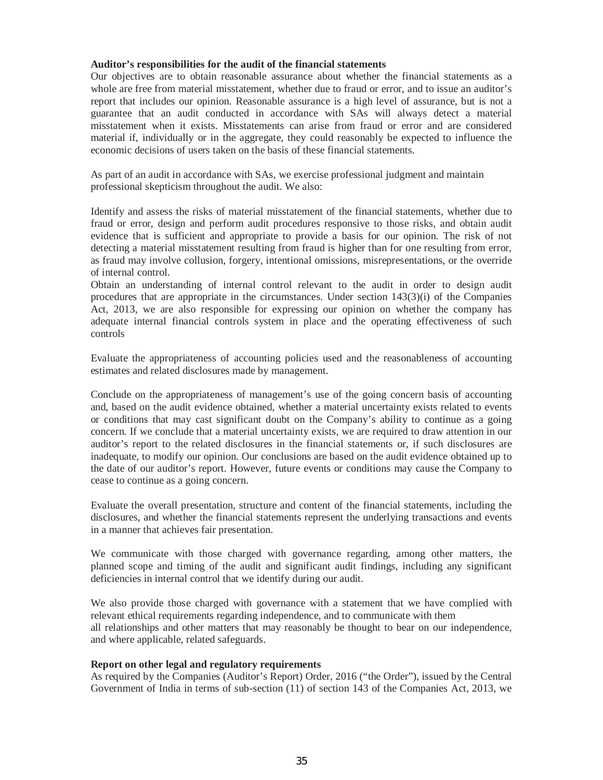#### **Auditor's responsibilities for the audit of the financial statements**

Our objectives are to obtain reasonable assurance about whether the financial statements as a whole are free from material misstatement, whether due to fraud or error, and to issue an auditor's report that includes our opinion. Reasonable assurance is a high level of assurance, but is not a guarantee that an audit conducted in accordance with SAs will always detect a material misstatement when it exists. Misstatements can arise from fraud or error and are considered material if, individually or in the aggregate, they could reasonably be expected to influence the economic decisions of users taken on the basis of these financial statements.

As part of an audit in accordance with SAs, we exercise professional judgment and maintain professional skepticism throughout the audit. We also:

Identify and assess the risks of material misstatement of the financial statements, whether due to fraud or error, design and perform audit procedures responsive to those risks, and obtain audit evidence that is sufficient and appropriate to provide a basis for our opinion. The risk of not detecting a material misstatement resulting from fraud is higher than for one resulting from error, as fraud may involve collusion, forgery, intentional omissions, misrepresentations, or the override of internal control.

Obtain an understanding of internal control relevant to the audit in order to design audit procedures that are appropriate in the circumstances. Under section 143(3)(i) of the Companies Act, 2013, we are also responsible for expressing our opinion on whether the company has adequate internal financial controls system in place and the operating effectiveness of such controls

Evaluate the appropriateness of accounting policies used and the reasonableness of accounting estimates and related disclosures made by management.

Conclude on the appropriateness of management's use of the going concern basis of accounting and, based on the audit evidence obtained, whether a material uncertainty exists related to events or conditions that may cast significant doubt on the Company's ability to continue as a going concern. If we conclude that a material uncertainty exists, we are required to draw attention in our auditor's report to the related disclosures in the financial statements or, if such disclosures are inadequate, to modify our opinion. Our conclusions are based on the audit evidence obtained up to the date of our auditor's report. However, future events or conditions may cause the Company to cease to continue as a going concern.

Evaluate the overall presentation, structure and content of the financial statements, including the disclosures, and whether the financial statements represent the underlying transactions and events in a manner that achieves fair presentation.

We communicate with those charged with governance regarding, among other matters, the planned scope and timing of the audit and significant audit findings, including any significant deficiencies in internal control that we identify during our audit.

We also provide those charged with governance with a statement that we have complied with relevant ethical requirements regarding independence, and to communicate with them all relationships and other matters that may reasonably be thought to bear on our independence, and where applicable, related safeguards.

#### **Report on other legal and regulatory requirements**

As required by the Companies (Auditor's Report) Order, 2016 ("the Order"), issued by the Central Government of India in terms of sub-section (11) of section 143 of the Companies Act, 2013, we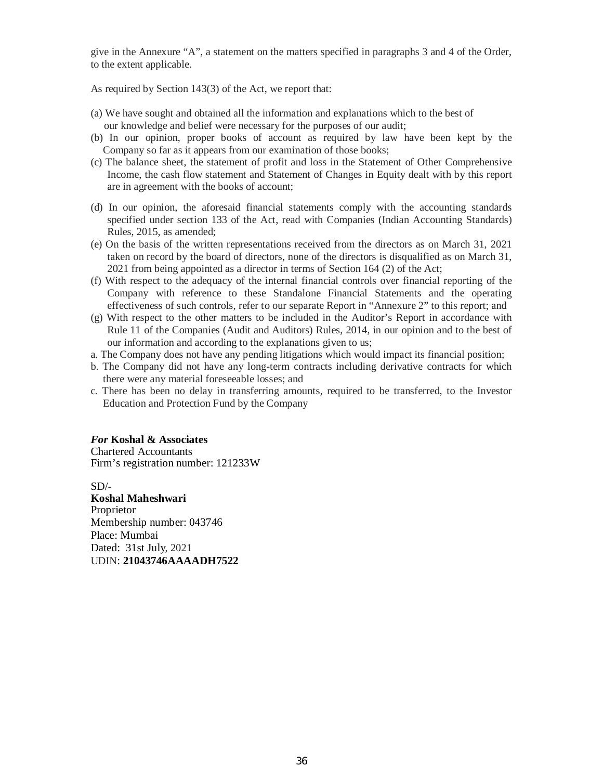give in the Annexure "A", a statement on the matters specified in paragraphs 3 and 4 of the Order, to the extent applicable.

As required by Section 143(3) of the Act, we report that:

- (a) We have sought and obtained all the information and explanations which to the best of our knowledge and belief were necessary for the purposes of our audit;
- (b) In our opinion, proper books of account as required by law have been kept by the Company so far as it appears from our examination of those books;
- (c) The balance sheet, the statement of profit and loss in the Statement of Other Comprehensive Income, the cash flow statement and Statement of Changes in Equity dealt with by this report are in agreement with the books of account;
- (d) In our opinion, the aforesaid financial statements comply with the accounting standards specified under section 133 of the Act, read with Companies (Indian Accounting Standards) Rules, 2015, as amended;
- (e) On the basis of the written representations received from the directors as on March 31, 2021 taken on record by the board of directors, none of the directors is disqualified as on March 31, 2021 from being appointed as a director in terms of Section 164 (2) of the Act;
- (f) With respect to the adequacy of the internal financial controls over financial reporting of the Company with reference to these Standalone Financial Statements and the operating effectiveness of such controls, refer to our separate Report in "Annexure 2" to this report; and
- (g) With respect to the other matters to be included in the Auditor's Report in accordance with Rule 11 of the Companies (Audit and Auditors) Rules, 2014, in our opinion and to the best of our information and according to the explanations given to us;
- a. The Company does not have any pending litigations which would impact its financial position;
- b. The Company did not have any long-term contracts including derivative contracts for which there were any material foreseeable losses; and
- c. There has been no delay in transferring amounts, required to be transferred, to the Investor Education and Protection Fund by the Company

# *For* **Koshal & Associates**

Chartered Accountants Firm's registration number: 121233W

 $SD/-$ **Koshal Maheshwari** Proprietor Membership number: 043746 Place: Mumbai Dated: 31st July, 2021 UDIN: **21043746AAAADH7522**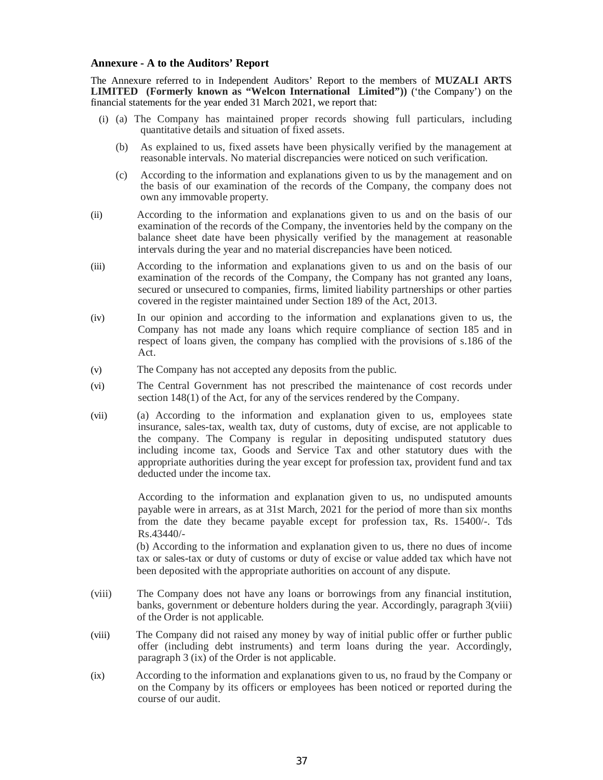## **Annexure - A to the Auditors' Report**

The Annexure referred to in Independent Auditors' Report to the members of **MUZALI ARTS LIMITED (Formerly known as "Welcon International Limited"))** ('the Company') on the financial statements for the year ended 31 March 2021, we report that:

- (i) (a) The Company has maintained proper records showing full particulars, including quantitative details and situation of fixed assets.
	- (b) As explained to us, fixed assets have been physically verified by the management at reasonable intervals. No material discrepancies were noticed on such verification.
	- (c) According to the information and explanations given to us by the management and on the basis of our examination of the records of the Company, the company does not own any immovable property.
- (ii) According to the information and explanations given to us and on the basis of our examination of the records of the Company, the inventories held by the company on the balance sheet date have been physically verified by the management at reasonable intervals during the year and no material discrepancies have been noticed.
- (iii) According to the information and explanations given to us and on the basis of our examination of the records of the Company, the Company has not granted any loans, secured or unsecured to companies, firms, limited liability partnerships or other parties covered in the register maintained under Section 189 of the Act, 2013.
- (iv) In our opinion and according to the information and explanations given to us, the Company has not made any loans which require compliance of section 185 and in respect of loans given, the company has complied with the provisions of s.186 of the Act.
- (v) The Company has not accepted any deposits from the public.
- (vi) The Central Government has not prescribed the maintenance of cost records under section 148(1) of the Act, for any of the services rendered by the Company.
- (vii) (a) According to the information and explanation given to us, employees state insurance, sales-tax, wealth tax, duty of customs, duty of excise, are not applicable to the company. The Company is regular in depositing undisputed statutory dues including income tax, Goods and Service Tax and other statutory dues with the appropriate authorities during the year except for profession tax, provident fund and tax deducted under the income tax.

According to the information and explanation given to us, no undisputed amounts payable were in arrears, as at 31st March, 2021 for the period of more than six months from the date they became payable except for profession tax, Rs. 15400/-. Tds Rs.43440/-

(b) According to the information and explanation given to us, there no dues of income tax or sales-tax or duty of customs or duty of excise or value added tax which have not been deposited with the appropriate authorities on account of any dispute.

- (viii) The Company does not have any loans or borrowings from any financial institution, banks, government or debenture holders during the year. Accordingly, paragraph 3(viii) of the Order is not applicable.
- (viii) The Company did not raised any money by way of initial public offer or further public offer (including debt instruments) and term loans during the year. Accordingly, paragraph 3 (ix) of the Order is not applicable.
- (ix) According to the information and explanations given to us, no fraud by the Company or on the Company by its officers or employees has been noticed or reported during the course of our audit.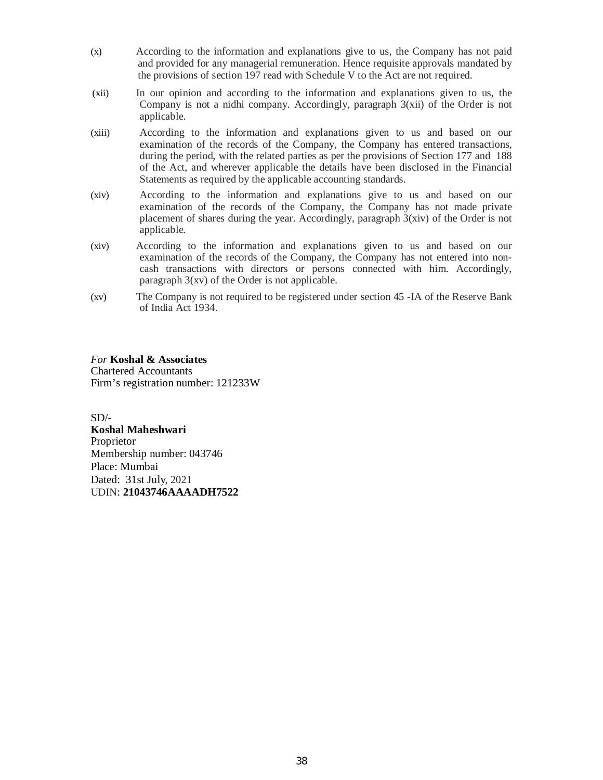- (x) According to the information and explanations give to us, the Company has not paid and provided for any managerial remuneration. Hence requisite approvals mandated by the provisions of section 197 read with Schedule V to the Act are not required.
- (xii) In our opinion and according to the information and explanations given to us, the Company is not a nidhi company. Accordingly, paragraph 3(xii) of the Order is not applicable.
- (xiii) According to the information and explanations given to us and based on our examination of the records of the Company, the Company has entered transactions, during the period, with the related parties as per the provisions of Section 177 and 188 of the Act, and wherever applicable the details have been disclosed in the Financial Statements as required by the applicable accounting standards.
- (xiv) According to the information and explanations give to us and based on our examination of the records of the Company, the Company has not made private placement of shares during the year. Accordingly, paragraph  $\hat{3}(xiv)$  of the Order is not applicable.
- (xiv) According to the information and explanations given to us and based on our examination of the records of the Company, the Company has not entered into noncash transactions with directors or persons connected with him. Accordingly, paragraph 3(xv) of the Order is not applicable.
- (xv) The Company is not required to be registered under section 45 -IA of the Reserve Bank of India Act 1934.

*For* **Koshal & Associates** Chartered Accountants Firm's registration number: 121233W

 $SD/-$ **Koshal Maheshwari** Proprietor Membership number: 043746 Place: Mumbai Dated: 31st July, 2021 UDIN: **21043746AAAADH7522**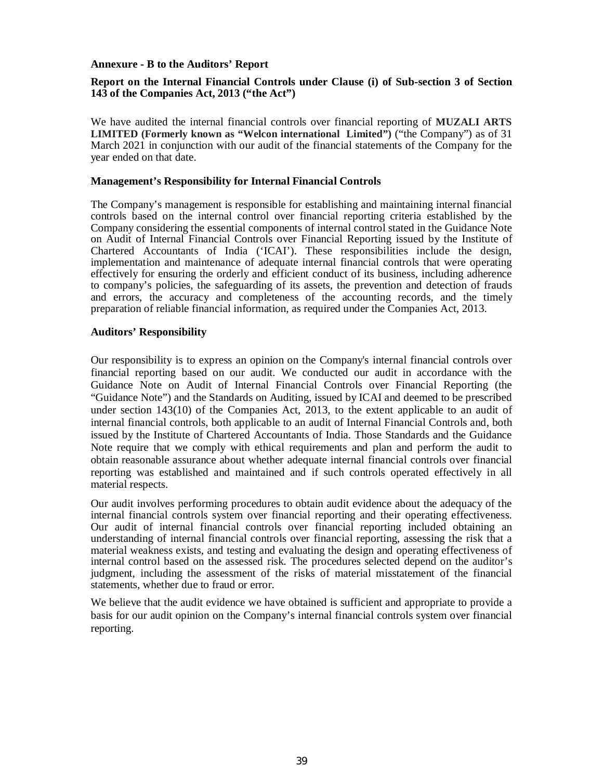# **Annexure - B to the Auditors' Report**

# **Report on the Internal Financial Controls under Clause (i) of Sub-section 3 of Section 143 of the Companies Act, 2013 ("the Act")**

We have audited the internal financial controls over financial reporting of **MUZALI ARTS LIMITED (Formerly known as "Welcon international Limited")** ("the Company") as of 31 March 2021 in conjunction with our audit of the financial statements of the Company for the year ended on that date.

## **Management's Responsibility for Internal Financial Controls**

The Company's management is responsible for establishing and maintaining internal financial controls based on the internal control over financial reporting criteria established by the Company considering the essential components of internal control stated in the Guidance Note on Audit of Internal Financial Controls over Financial Reporting issued by the Institute of Chartered Accountants of India ('ICAI'). These responsibilities include the design, implementation and maintenance of adequate internal financial controls that were operating effectively for ensuring the orderly and efficient conduct of its business, including adherence to company's policies, the safeguarding of its assets, the prevention and detection of frauds and errors, the accuracy and completeness of the accounting records, and the timely preparation of reliable financial information, as required under the Companies Act, 2013.

# **Auditors' Responsibility**

Our responsibility is to express an opinion on the Company's internal financial controls over financial reporting based on our audit. We conducted our audit in accordance with the Guidance Note on Audit of Internal Financial Controls over Financial Reporting (the "Guidance Note") and the Standards on Auditing, issued by ICAI and deemed to be prescribed under section 143(10) of the Companies Act, 2013, to the extent applicable to an audit of internal financial controls, both applicable to an audit of Internal Financial Controls and, both issued by the Institute of Chartered Accountants of India. Those Standards and the Guidance Note require that we comply with ethical requirements and plan and perform the audit to obtain reasonable assurance about whether adequate internal financial controls over financial reporting was established and maintained and if such controls operated effectively in all material respects.

Our audit involves performing procedures to obtain audit evidence about the adequacy of the internal financial controls system over financial reporting and their operating effectiveness. Our audit of internal financial controls over financial reporting included obtaining an understanding of internal financial controls over financial reporting, assessing the risk that a material weakness exists, and testing and evaluating the design and operating effectiveness of internal control based on the assessed risk. The procedures selected depend on the auditor's judgment, including the assessment of the risks of material misstatement of the financial statements, whether due to fraud or error.

We believe that the audit evidence we have obtained is sufficient and appropriate to provide a basis for our audit opinion on the Company's internal financial controls system over financial reporting.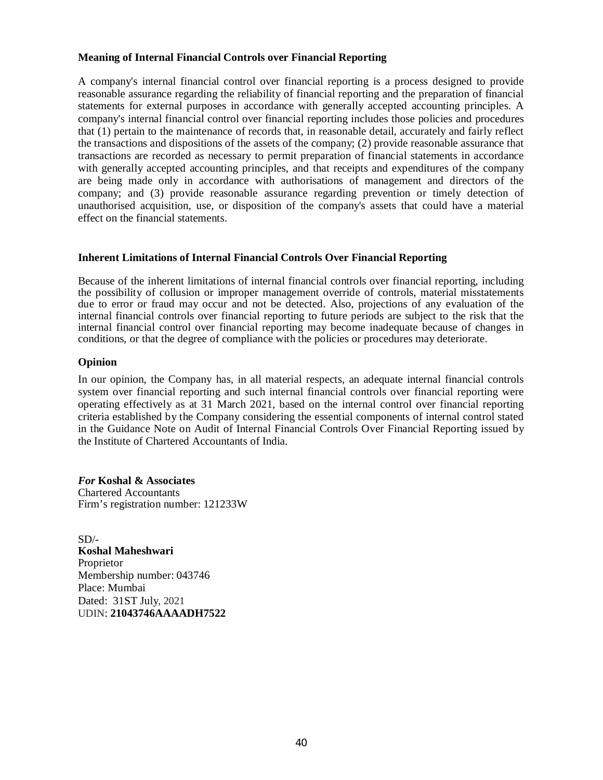# **Meaning of Internal Financial Controls over Financial Reporting**

A company's internal financial control over financial reporting is a process designed to provide reasonable assurance regarding the reliability of financial reporting and the preparation of financial statements for external purposes in accordance with generally accepted accounting principles. A company's internal financial control over financial reporting includes those policies and procedures that (1) pertain to the maintenance of records that, in reasonable detail, accurately and fairly reflect the transactions and dispositions of the assets of the company; (2) provide reasonable assurance that transactions are recorded as necessary to permit preparation of financial statements in accordance with generally accepted accounting principles, and that receipts and expenditures of the company are being made only in accordance with authorisations of management and directors of the company; and (3) provide reasonable assurance regarding prevention or timely detection of unauthorised acquisition, use, or disposition of the company's assets that could have a material effect on the financial statements.

# **Inherent Limitations of Internal Financial Controls Over Financial Reporting**

Because of the inherent limitations of internal financial controls over financial reporting, including the possibility of collusion or improper management override of controls, material misstatements due to error or fraud may occur and not be detected. Also, projections of any evaluation of the internal financial controls over financial reporting to future periods are subject to the risk that the internal financial control over financial reporting may become inadequate because of changes in conditions, or that the degree of compliance with the policies or procedures may deteriorate.

# **Opinion**

In our opinion, the Company has, in all material respects, an adequate internal financial controls system over financial reporting and such internal financial controls over financial reporting were operating effectively as at 31 March 2021, based on the internal control over financial reporting criteria established by the Company considering the essential components of internal control stated in the Guidance Note on Audit of Internal Financial Controls Over Financial Reporting issued by the Institute of Chartered Accountants of India.

*For* **Koshal & Associates** Chartered Accountants Firm's registration number: 121233W

 $SD/-$ **Koshal Maheshwari** Proprietor Membership number: 043746 Place: Mumbai Dated: 31ST July, 2021 UDIN: **21043746AAAADH7522**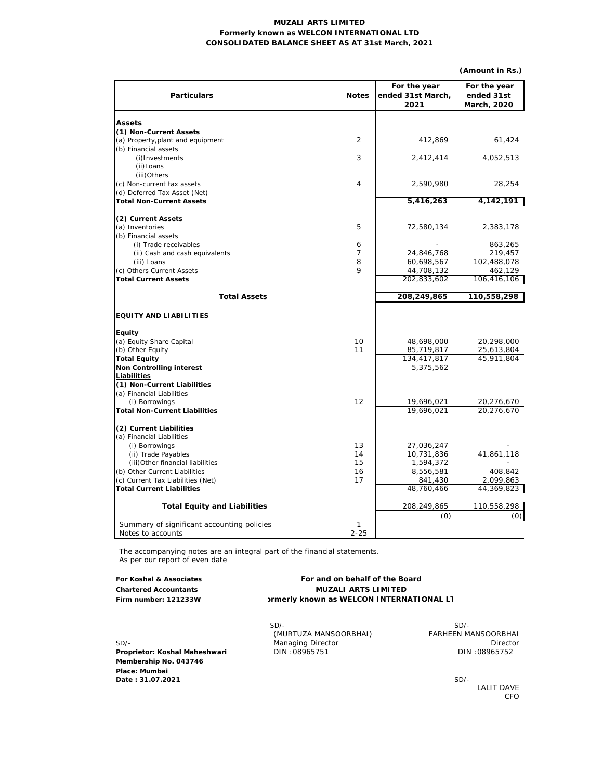#### **Formerly known as WELCON INTERNATIONAL LTD MUZALI ARTS LIMITED CONSOLIDATED BALANCE SHEET AS AT 31st March, 2021**

 **(Amount in Rs.)** 

| <b>Particulars</b>                         |          | For the year<br>ended 31st March,<br>2021 | For the year<br>ended 31st<br>March, 2020 |
|--------------------------------------------|----------|-------------------------------------------|-------------------------------------------|
| <b>Assets</b>                              |          |                                           |                                           |
| (1) Non-Current Assets                     |          |                                           |                                           |
| (a) Property, plant and equipment          | 2        | 412,869                                   | 61,424                                    |
| (b) Financial assets                       |          |                                           |                                           |
| (i)Investments                             | 3        | 2,412,414                                 | 4,052,513                                 |
| (ii) Loans                                 |          |                                           |                                           |
| (iii) Others                               |          |                                           |                                           |
| (c) Non-current tax assets                 | 4        | 2,590,980                                 | 28,254                                    |
| (d) Deferred Tax Asset (Net)               |          |                                           |                                           |
| <b>Total Non-Current Assets</b>            |          | 5,416,263                                 | 4,142,191                                 |
| (2) Current Assets                         |          |                                           |                                           |
| (a) Inventories                            | 5        | 72,580,134                                | 2,383,178                                 |
| (b) Financial assets                       |          |                                           |                                           |
| (i) Trade receivables                      | 6        |                                           | 863,265                                   |
| (ii) Cash and cash equivalents             | 7        | 24,846,768                                | 219,457                                   |
| (iii) Loans                                | 8        | 60,698,567                                | 102,488,078                               |
| (c) Others Current Assets                  | 9        | 44,708,132                                | 462,129                                   |
| <b>Total Current Assets</b>                |          | 202,833,602                               | 106,416,106                               |
| <b>Total Assets</b>                        |          | 208,249,865                               | 110,558,298                               |
| <b>EQUITY AND LIABILITIES</b>              |          |                                           |                                           |
| <b>Equity</b>                              |          |                                           |                                           |
| (a) Equity Share Capital                   | 10       | 48,698,000                                | 20,298,000                                |
| (b) Other Equity                           | 11       | 85,719,817                                | 25,613,804                                |
| <b>Total Equity</b>                        |          | 134,417,817                               | 45,911,804                                |
| <b>Non Controlling interest</b>            |          | 5,375,562                                 |                                           |
| Liabilities                                |          |                                           |                                           |
| (1) Non-Current Liabilities                |          |                                           |                                           |
| (a) Financial Liabilities                  |          |                                           |                                           |
| (i) Borrowings                             | 12       | 19,696,021                                | 20,276,670                                |
| <b>Total Non-Current Liabilities</b>       |          | 19,696,021                                | 20,276,670                                |
| (2) Current Liabilities                    |          |                                           |                                           |
| (a) Financial Liabilities                  |          |                                           |                                           |
| (i) Borrowings                             | 13       | 27,036,247                                |                                           |
| (ii) Trade Payables                        | 14       | 10,731,836                                | 41,861,118                                |
| (iii) Other financial liabilities          | 15       | 1,594,372                                 |                                           |
| (b) Other Current Liabilities              | 16       | 8,556,581                                 | 408,842                                   |
| (c) Current Tax Liabilities (Net)          | 17       | 841,430                                   | 2,099,863                                 |
| <b>Total Current Liabilities</b>           |          | 48,760,466                                | 44,369,823                                |
| <b>Total Equity and Liabilities</b>        |          | 208,249,865                               | 110,558,298                               |
|                                            |          | (0)                                       | (0)                                       |
| Summary of significant accounting policies | 1        |                                           |                                           |
| Notes to accounts                          | $2 - 25$ |                                           |                                           |

The accompanying notes are an integral part of the financial statements. As per our report of even date

**For Koshal & Associates Chartered Accountants Firm number: 121233W**

#### **For and on behalf of the Board MUZALI ARTS LIMITED FIGURE 11 STATE INTERNATIONAL LT**

SD/-<br>Managing Director Managing Director Directon<br>Proprietor: Koshal Maheshwari DIN : 08965751 DIN : 08965751 DIN : 08965752 Proprietor: Koshal Maheshwari **Membership No. 043746 Place: Mumbai Date : 31.07.2021** SD/-

SD/- SD/- (MURTUZA MANSOORBHAI) FARHEEN MANSOORBHAI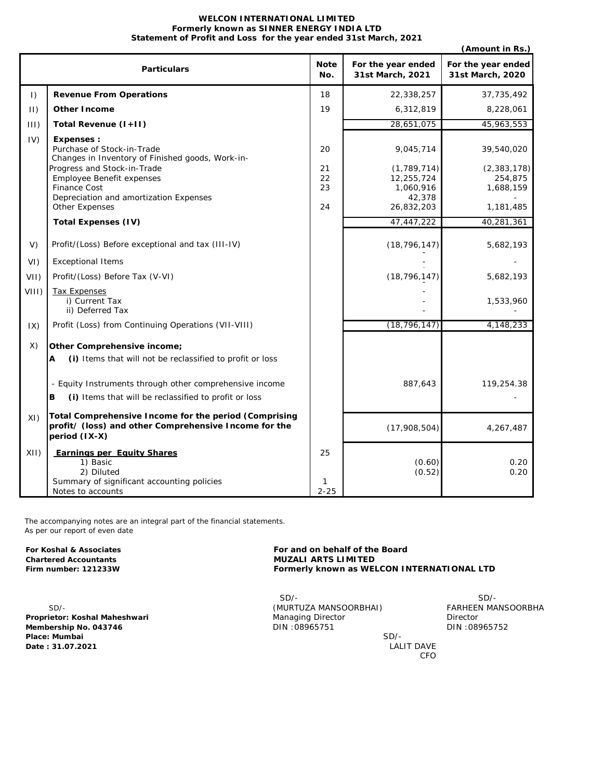#### **WELCON INTERNATIONAL LIMITED Formerly known as SINNER ENERGY INDIA LTD Statement of Profit and Loss for the year ended 31st March, 2021**

|              |                                                                                                                                 |                     |                                        | (Amount in Rs.)                        |
|--------------|---------------------------------------------------------------------------------------------------------------------------------|---------------------|----------------------------------------|----------------------------------------|
|              | <b>Particulars</b>                                                                                                              | <b>Note</b><br>No.  | For the year ended<br>31st March, 2021 | For the year ended<br>31st March, 2020 |
| $\vert$ )    | <b>Revenue From Operations</b>                                                                                                  | 18                  | 22,338,257                             | 37,735,492                             |
| $ 1\rangle$  | <b>Other Income</b>                                                                                                             | 19                  | 6,312,819                              | 8,228,061                              |
| $ 11\rangle$ | Total Revenue (I+II)                                                                                                            |                     | 28,651,075                             | 45,963,553                             |
| IV)          | <b>Expenses:</b><br>Purchase of Stock-in-Trade<br>Changes in Inventory of Finished goods, Work-in-                              | 20                  | 9,045,714                              | 39,540,020                             |
|              | Progress and Stock-in-Trade<br>Employee Benefit expenses<br><b>Finance Cost</b>                                                 | 21<br>22<br>23      | (1,789,714)<br>12,255,724<br>1,060,916 | (2, 383, 178)<br>254,875<br>1,688,159  |
|              | Depreciation and amortization Expenses<br>Other Expenses                                                                        | 24                  | 42,378<br>26,832,203                   | 1,181,485                              |
|              | <b>Total Expenses (IV)</b>                                                                                                      |                     | 47,447,222                             | 40,281,361                             |
| V)           | Profit/(Loss) Before exceptional and tax (III-IV)                                                                               |                     | (18, 796, 147)                         | 5,682,193                              |
| VI)          | <b>Exceptional Items</b>                                                                                                        |                     |                                        |                                        |
| VII)         | Profit/(Loss) Before Tax (V-VI)                                                                                                 |                     | (18, 796, 147)                         | 5,682,193                              |
| VIII)        | <b>Tax Expenses</b><br>i) Current Tax<br>ii) Deferred Tax                                                                       |                     |                                        | 1,533,960                              |
| IX)          | Profit (Loss) from Continuing Operations (VII-VIII)                                                                             |                     | (18, 796, 147)                         | 4,148,233                              |
| X)           | Other Comprehensive income;                                                                                                     |                     |                                        |                                        |
|              | Α<br>(i) Items that will not be reclassified to profit or loss                                                                  |                     |                                        |                                        |
|              | - Equity Instruments through other comprehensive income                                                                         |                     | 887,643                                | 119,254.38                             |
|              | в<br>(i) Items that will be reclassified to profit or loss                                                                      |                     |                                        |                                        |
| XI)          | Total Comprehensive Income for the period (Comprising<br>profit/ (loss) and other Comprehensive Income for the<br>period (IX-X) |                     | (17,908,504)                           | 4,267,487                              |
| XII)         | <b>Earnings per Equity Shares</b><br>1) Basic<br>2) Diluted<br>Summary of significant accounting policies<br>Notes to accounts  | 25<br>1<br>$2 - 25$ | (0.60)<br>(0.52)                       | 0.20<br>0.20                           |

The accompanying notes are an integral part of the financial statements. As per our report of even date

**Proprietor: Koshal Maheshwari** Managing Director Managing Director **Director** Director **Membership No. 043746** DIN :08965751 DIN :08965752 **Place: Mumbai** SD/- Date: 31.07.2021

#### **For Koshal & Associates For and on behalf of the Board Chartered Accountants MUZALI ARTS LIMITED Formerly known as WELCON INTERNATIONAL LTD**

SD/- SD/- SD/- (MURTUZA MANSOORBHAI) FARHEEN MANSOORBHA

CFO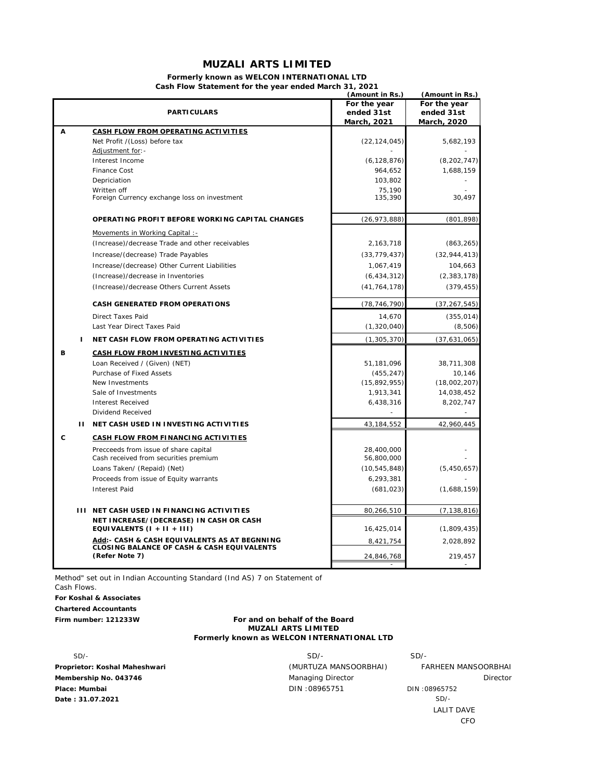**Formerly known as WELCON INTERNATIONAL LTD Cash Flow Statement for the year ended March 31, 2021**

|   |   |                                                        | (Amount in Rs.) | (Amount in Rs.) |
|---|---|--------------------------------------------------------|-----------------|-----------------|
|   |   |                                                        | For the year    | For the year    |
|   |   | <b>PARTICULARS</b>                                     | ended 31st      | ended 31st      |
|   |   |                                                        | March, 2021     | March, 2020     |
| A |   | CASH FLOW FROM OPERATING ACTIVITIES                    |                 |                 |
|   |   | Net Profit /(Loss) before tax                          | (22, 124, 045)  | 5,682,193       |
|   |   | Adjustment for: -                                      |                 |                 |
|   |   | Interest Income                                        | (6, 128, 876)   | (8, 202, 747)   |
|   |   | <b>Finance Cost</b>                                    | 964,652         | 1,688,159       |
|   |   | Depriciation                                           | 103,802         |                 |
|   |   | Written off                                            | 75,190          |                 |
|   |   | Foreign Currency exchange loss on investment           | 135,390         | 30,497          |
|   |   |                                                        |                 |                 |
|   |   | <b>OPERATING PROFIT BEFORE WORKING CAPITAL CHANGES</b> | (26, 973, 888)  | (801, 898)      |
|   |   |                                                        |                 |                 |
|   |   | Movements in Working Capital :-                        |                 |                 |
|   |   | (Increase)/decrease Trade and other receivables        | 2,163,718       | (863, 265)      |
|   |   | Increase/(decrease) Trade Payables                     | (33, 779, 437)  | (32, 944, 413)  |
|   |   | Increase/(decrease) Other Current Liabilities          | 1,067,419       | 104,663         |
|   |   | (Increase)/decrease in Inventories                     | (6, 434, 312)   | (2, 383, 178)   |
|   |   | (Increase)/decrease Others Current Assets              | (41, 764, 178)  | (379, 455)      |
|   |   |                                                        |                 |                 |
|   |   | <b>CASH GENERATED FROM OPERATIONS</b>                  | (78, 746, 790)  | (37, 267, 545)  |
|   |   | <b>Direct Taxes Paid</b>                               | 14,670          | (355, 014)      |
|   |   | Last Year Direct Taxes Paid                            | (1,320,040)     | (8,506)         |
|   | п | NET CASH FLOW FROM OPERATING ACTIVITIES                | (1, 305, 370)   | (37,631,065)    |
| B |   | CASH FLOW FROM INVESTING ACTIVITIES                    |                 |                 |
|   |   | Loan Received / (Given) (NET)                          | 51,181,096      | 38,711,308      |
|   |   | Purchase of Fixed Assets                               |                 |                 |
|   |   |                                                        | (455, 247)      | 10,146          |
|   |   | New Investments                                        | (15,892,955)    | (18,002,207)    |
|   |   | Sale of Investments                                    | 1,913,341       | 14,038,452      |
|   |   | <b>Interest Received</b>                               | 6,438,316       | 8,202,747       |
|   |   | Dividend Received                                      |                 |                 |
|   |   | II NET CASH USED IN INVESTING ACTIVITIES               | 43,184,552      | 42,960,445      |
| C |   | CASH FLOW FROM FINANCING ACTIVITIES                    |                 |                 |
|   |   | Precceeds from issue of share capital                  | 28,400,000      |                 |
|   |   | Cash received from securities premium                  | 56,800,000      |                 |
|   |   | Loans Taken/ (Repaid) (Net)                            | (10, 545, 848)  | (5,450,657)     |
|   |   | Proceeds from issue of Equity warrants                 | 6,293,381       |                 |
|   |   | <b>Interest Paid</b>                                   | (681, 023)      | (1,688,159)     |
|   |   |                                                        |                 |                 |
|   |   | <b>III NET CASH USED IN FINANCING ACTIVITIES</b>       | 80,266,510      | (7, 138, 816)   |
|   |   | NET INCREASE/(DECREASE) IN CASH OR CASH                |                 |                 |
|   |   | EQUIVALENTS $(I + II + III)$                           | 16,425,014      | (1,809,435)     |
|   |   | Add:- CASH & CASH EQUIVALENTS AS AT BEGNNING           | 8,421,754       | 2,028,892       |
|   |   | <b>CLOSING BALANCE OF CASH &amp; CASH EQUIVALENTS</b>  |                 |                 |
|   |   | (Refer Note 7)                                         | 24,846,768      | 219,457         |
|   |   |                                                        |                 |                 |

The above Cash Flow Statement has been prepared under the "Indirect Method" set out in Indian Accounting Standard (Ind AS) 7 on Statement of Cash Flows.

**For Koshal & Associates Chartered Accountants** 

#### **Firm number: 121233W For and on behalf of the Board MUZALI ARTS LIMITED Formerly known as WELCON INTERNATIONAL LTD**

**Proprietor: Koshal Maheshwari** (MURTUZA MANSOORBHAI) FARHEEN MANSOORBHAI **Membership No. 043746 Managing Director Managing Director Director Director Place: Mumbai** DIN :08965751 DIN :08965752 **Date : 31.07.2021** SD/-

SD/- SD/- SD/-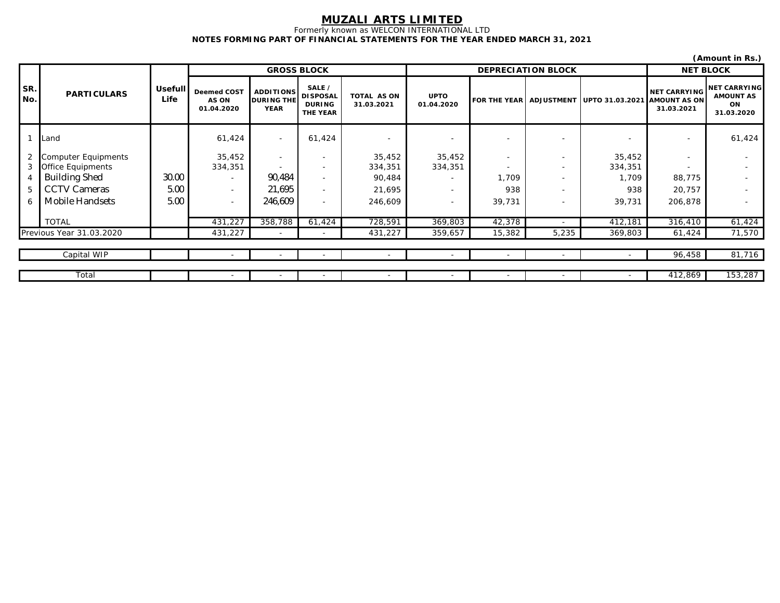Formerly known as WELCON INTERNATIONAL LTD **NOTES FORMING PART OF FINANCIAL STATEMENTS FOR THE YEAR ENDED MARCH 31, 2021**

|            |                                                 |                 |                                    |                                                      |                                                         |                                  |                           |        |       |                                                      |                                   | (Amount in Rs.)                                             |
|------------|-------------------------------------------------|-----------------|------------------------------------|------------------------------------------------------|---------------------------------------------------------|----------------------------------|---------------------------|--------|-------|------------------------------------------------------|-----------------------------------|-------------------------------------------------------------|
|            |                                                 |                 | <b>GROSS BLOCK</b>                 |                                                      |                                                         |                                  | <b>DEPRECIATION BLOCK</b> |        |       |                                                      | <b>NET BLOCK</b>                  |                                                             |
| SR.<br>No. | <b>PARTICULARS</b>                              | Usefull<br>Life | Deemed COST<br>AS ON<br>01.04.2020 | <b>ADDITIONS</b><br><b>DURING THE</b><br><b>YEAR</b> | SALE /<br><b>DI SPOSAL</b><br><b>DURING</b><br>THE YEAR | <b>TOTAL AS ON</b><br>31.03.2021 | <b>UPTO</b><br>01.04.2020 |        |       | FOR THE YEAR ADJUSTMENT UPTO 31.03.2021 AMOUNT AS ON | <b>NET CARRYING</b><br>31.03.2021 | <b>NET CARRYING</b><br><b>AMOUNT AS</b><br>ON<br>31.03.2020 |
|            | Land                                            |                 | 61,424                             | $\sim$                                               | 61,424                                                  |                                  |                           |        |       | $\overline{\phantom{a}}$                             |                                   | 61,424                                                      |
| 3          | Computer Equipments<br><b>Office Equipments</b> |                 | 35,452<br>334,351                  | $\overline{\phantom{a}}$                             | $\overline{\phantom{a}}$                                | 35,452<br>334,351                | 35,452<br>334,351         |        |       | 35,452<br>334,351                                    |                                   |                                                             |
|            | <b>Building Shed</b>                            | 30.00           | $\overline{\phantom{a}}$           | 90,484                                               |                                                         | 90,484                           |                           | 1,709  |       | 1,709                                                | 88,775                            |                                                             |
| 5          | <b>CCTV Cameras</b>                             | 5.00            | $\overline{\phantom{a}}$           | 21,695                                               |                                                         | 21,695                           |                           | 938    |       | 938                                                  | 20,757                            |                                                             |
| 6          | <b>Mobile Handsets</b>                          | 5.00            | $\overline{\phantom{a}}$           | 246,609                                              |                                                         | 246,609                          |                           | 39,731 |       | 39,731                                               | 206,878                           |                                                             |
|            | TOTAL                                           |                 | 431,227                            | 358,788                                              | 61,424                                                  | 728,591                          | 369,803                   | 42,378 |       | 412,181                                              | 316,410                           | 61,424                                                      |
|            | Previous Year 31.03.2020                        |                 | 431,227                            | $\overline{\phantom{a}}$                             |                                                         | 431,227                          | 359,657                   | 15,382 | 5,235 | 369,803                                              | 61,424                            | 71,570                                                      |
|            |                                                 |                 |                                    |                                                      |                                                         |                                  |                           |        |       |                                                      |                                   |                                                             |
|            | Capital WIP                                     |                 |                                    |                                                      |                                                         |                                  |                           |        |       |                                                      | 96,458                            | 81,716                                                      |
|            | Total                                           |                 |                                    |                                                      |                                                         |                                  |                           |        |       |                                                      | 412,869                           | 153,287                                                     |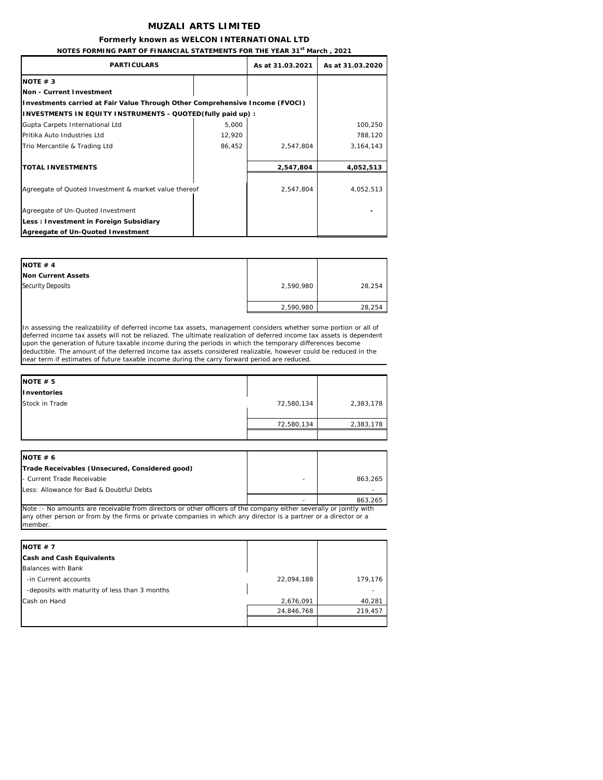## **Formerly known as WELCON INTERNATIONAL LTD**

**NOTES FORMING PART OF FINANCIAL STATEMENTS FOR THE YEAR 31st March , 2021**

| <b>PARTICULARS</b>                                                           | As at 31.03.2021 | As at 31.03.2020 |           |
|------------------------------------------------------------------------------|------------------|------------------|-----------|
| NOTE $# 3$                                                                   |                  |                  |           |
| Non - Current Investment                                                     |                  |                  |           |
| Investments carried at Fair Value Through Other Comprehensive Income (FVOCI) |                  |                  |           |
| INVESTMENTS IN EQUITY INSTRUMENTS - QUOTED (fully paid up) :                 |                  |                  |           |
| Gupta Carpets International Ltd                                              | 5,000            |                  | 100,250   |
| Pritika Auto Industries Ltd                                                  | 12,920           |                  | 788,120   |
| Trio Mercantile & Trading Ltd                                                | 86,452           | 2,547,804        | 3,164,143 |
|                                                                              |                  |                  |           |
| <b>TOTAL INVESTMENTS</b>                                                     |                  | 2,547,804        | 4,052,513 |
|                                                                              |                  |                  |           |
| Agreegate of Quoted Investment & market value thereof                        |                  | 2,547,804        | 4,052,513 |
|                                                                              |                  |                  |           |
| Agreegate of Un-Quoted Investment                                            |                  |                  |           |
| Less: Investment in Foreign Subsidiary                                       |                  |                  |           |
| Agreegate of Un-Quoted Investment                                            |                  |                  |           |

| NOTE $# 4$                |           |        |
|---------------------------|-----------|--------|
| <b>Non Current Assets</b> |           |        |
| <b>Security Deposits</b>  | 2,590,980 | 28,254 |
|                           |           |        |
|                           | 2,590,980 | 28,254 |

In assessing the realizability of deferred income tax assets, management considers whether some portion or all of deferred income tax assets will not be reliazed. The ultimate realization of deferred income tax assets is dependent upon the generation of future taxable income during the periods in which the temporary differences become deductible. The amount of the deferred income tax assets considered realizable, however could be reduced in the near term if estimates of future taxable income during the carry forward period are reduced.

| NOTE $# 5$         |            |           |
|--------------------|------------|-----------|
| <b>Inventories</b> |            |           |
| Stock in Trade     | 72,580,134 | 2,383,178 |
|                    | 72,580,134 | 2,383,178 |
|                    |            |           |

| NOTE $# 6$                                     |         |
|------------------------------------------------|---------|
| Trade Receivables (Unsecured, Considered good) |         |
| - Current Trade Receivable                     | 863.265 |
| Less: Allowance for Bad & Doubtful Debts       |         |
|                                                | 863.265 |

Note :- No amounts are receivable from directors or other officers of the company either severally or jointly with any other person or from by the firms or private companies in which any director is a partner or a director or a member.

| NOTE $# 7$                                    |            |         |
|-----------------------------------------------|------------|---------|
| <b>Cash and Cash Equivalents</b>              |            |         |
| <b>Balances with Bank</b>                     |            |         |
| -in Current accounts                          | 22,094,188 | 179,176 |
| -deposits with maturity of less than 3 months |            |         |
| Cash on Hand                                  | 2,676,091  | 40,281  |
|                                               | 24,846,768 | 219,457 |
|                                               |            |         |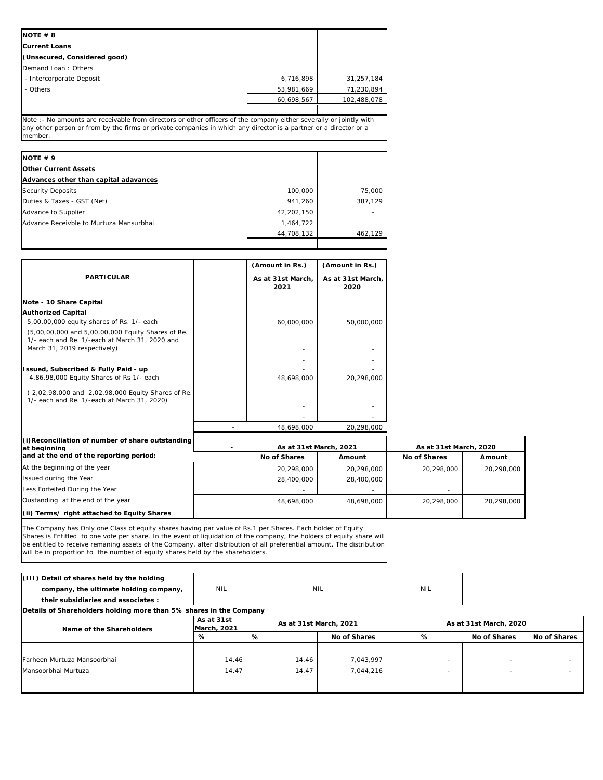| NOTE $# 8$                   |            |             |
|------------------------------|------------|-------------|
| <b>Current Loans</b>         |            |             |
| (Unsecured, Considered good) |            |             |
| Demand Loan: Others          |            |             |
| - Intercorporate Deposit     | 6,716,898  | 31,257,184  |
| - Others                     | 53,981,669 | 71,230,894  |
|                              | 60,698,567 | 102,488,078 |
|                              |            |             |

Note :- No amounts are receivable from directors or other officers of the company either severally or jointly with any other person or from by the firms or private companies in which any director is a partner or a director or a member.

| <b>NOTE</b> $# 9$                       |            |         |
|-----------------------------------------|------------|---------|
| <b>Other Current Assets</b>             |            |         |
| Advances other than capital adavances   |            |         |
| Security Deposits                       | 100,000    | 75,000  |
| Duties & Taxes - GST (Net)              | 941,260    | 387,129 |
| Advance to Supplier                     | 42,202,150 |         |
| Advance Receivble to Murtuza Mansurbhai | 1,464,722  |         |
|                                         | 44,708,132 | 462,129 |
|                                         |            |         |

|                                                                                                     | (Amount in Rs.)           | (Amount in Rs.)           |                        |            |
|-----------------------------------------------------------------------------------------------------|---------------------------|---------------------------|------------------------|------------|
| <b>PARTICULAR</b>                                                                                   | As at 31st March,<br>2021 | As at 31st March,<br>2020 |                        |            |
| Note - 10 Share Capital                                                                             |                           |                           |                        |            |
| <b>Authorized Capital</b>                                                                           |                           |                           |                        |            |
| 5,00,00,000 equity shares of Rs. 1/- each                                                           | 60,000,000                | 50,000,000                |                        |            |
| (5,00,00,000 and 5,00,00,000 Equity Shares of Re.<br>1/- each and Re. 1/-each at March 31, 2020 and |                           |                           |                        |            |
| March 31, 2019 respectively)                                                                        |                           |                           |                        |            |
| Issued, Subscribed & Fully Paid - up                                                                |                           |                           |                        |            |
| 4,86,98,000 Equity Shares of Rs 1/- each                                                            | 48,698,000                | 20,298,000                |                        |            |
| (2,02,98,000 and 2,02,98,000 Equity Shares of Re.<br>1/- each and Re. 1/-each at March 31, 2020)    |                           |                           |                        |            |
|                                                                                                     |                           |                           |                        |            |
|                                                                                                     | 48,698,000                | 20,298,000                |                        |            |
| (i) Reconciliation of number of share outstanding<br>at beginning                                   | As at 31st March, 2021    |                           | As at 31st March, 2020 |            |
| and at the end of the reporting period:                                                             | No of Shares              | Amount                    | No of Shares           | Amount     |
| At the beginning of the year                                                                        | 20,298,000                | 20,298,000                | 20,298,000             | 20.298.000 |
| Issued during the Year                                                                              | 28,400,000                | 28,400,000                |                        |            |
| Less Forfeited During the Year                                                                      |                           |                           |                        |            |
| Oustanding at the end of the year                                                                   | 48,698,000                | 48,698,000                | 20,298,000             | 20,298,000 |

**(ii) Terms/ right attached to Equity Shares**

The Company has Only one Class of equity shares having par value of Rs.1 per Shares. Each holder of Equity Shares is Entitled to one vote per share. In the event of liquidation of the company, the holders of equity share will be entitled to receive remaning assets of the Company, after distribution of all preferential amount. The distribution will be in proportion to the number of equity shares held by the shareholders.

| (III) Detail of shares held by the holding<br>company, the ultimate holding company,<br>their subsidiaries and associates: | <b>NIL</b>                | <b>NIL</b> |                        | NIL                      |                          |              |
|----------------------------------------------------------------------------------------------------------------------------|---------------------------|------------|------------------------|--------------------------|--------------------------|--------------|
| Details of Shareholders holding more than 5% shares in the Company                                                         |                           |            |                        |                          |                          |              |
| Name of the Shareholders                                                                                                   | As at 31st<br>March, 2021 |            | As at 31st March, 2021 |                          | As at 31st March, 2020   |              |
|                                                                                                                            | %                         | %          | No of Shares           | %                        | No of Shares             | No of Shares |
|                                                                                                                            |                           |            |                        |                          |                          |              |
| Farheen Murtuza Mansoorbhai                                                                                                | 14.46                     | 14.46      | 7,043,997              | -                        | $\overline{\phantom{a}}$ |              |
| Mansoorbhai Murtuza                                                                                                        | 14.47                     | 14.47      | 7,044,216              | $\overline{\phantom{a}}$ | $\overline{\phantom{a}}$ |              |
|                                                                                                                            |                           |            |                        |                          |                          |              |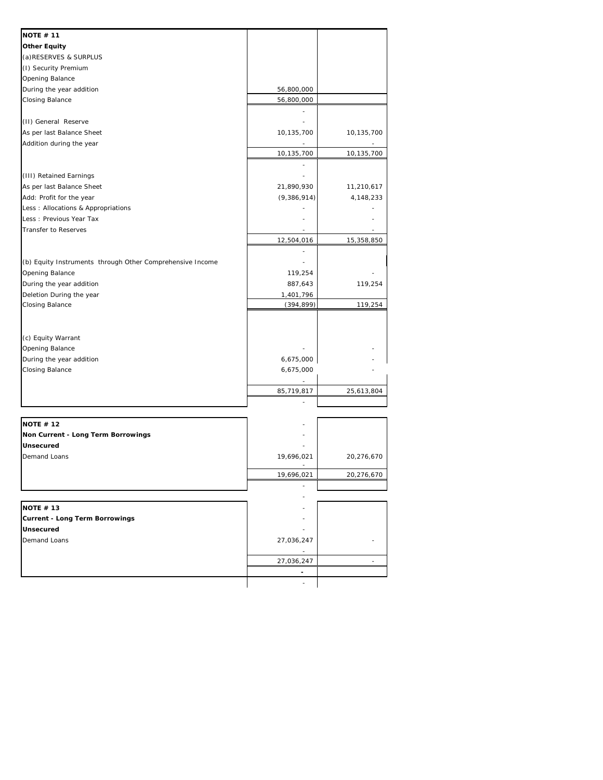| <b>NOTE # 11</b>                                          |                |            |
|-----------------------------------------------------------|----------------|------------|
| <b>Other Equity</b>                                       |                |            |
| (a)RESERVES & SURPLUS                                     |                |            |
| (I) Security Premium                                      |                |            |
| Opening Balance                                           |                |            |
| During the year addition                                  | 56,800,000     |            |
| Closing Balance                                           | 56,800,000     |            |
|                                                           |                |            |
| (II) General Reserve                                      |                |            |
| As per last Balance Sheet                                 | 10,135,700     | 10,135,700 |
| Addition during the year                                  |                |            |
|                                                           | 10,135,700     | 10,135,700 |
|                                                           |                |            |
| (III) Retained Earnings                                   |                |            |
| As per last Balance Sheet                                 | 21,890,930     | 11,210,617 |
| Add: Profit for the year                                  | (9, 386, 914)  | 4,148,233  |
| Less : Allocations & Appropriations                       |                |            |
| Less: Previous Year Tax                                   |                |            |
| <b>Transfer to Reserves</b>                               |                |            |
|                                                           | 12,504,016     | 15,358,850 |
|                                                           |                |            |
| (b) Equity Instruments through Other Comprehensive Income |                |            |
| Opening Balance                                           | 119,254        |            |
| During the year addition                                  | 887,643        | 119,254    |
| Deletion During the year                                  | 1,401,796      |            |
| Closing Balance                                           | (394, 899)     | 119,254    |
|                                                           |                |            |
| (c) Equity Warrant                                        |                |            |
| Opening Balance                                           |                |            |
| During the year addition                                  | 6,675,000      |            |
| Closing Balance                                           | 6,675,000      |            |
|                                                           |                |            |
|                                                           | 85,719,817     | 25,613,804 |
|                                                           |                |            |
|                                                           |                |            |
| <b>NOTE #12</b>                                           |                |            |
| Non Current - Long Term Borrowings                        |                |            |
| <b>Unsecured</b>                                          |                |            |
| Demand Loans                                              | 19,696,021     | 20,276,670 |
|                                                           | 19,696,021     |            |
|                                                           |                | 20,276,670 |
|                                                           |                |            |
| <b>NOTE #13</b>                                           |                |            |
| <b>Current - Long Term Borrowings</b>                     |                |            |
| Unsecured                                                 |                |            |
| Demand Loans                                              | 27,036,247     |            |
|                                                           |                |            |
|                                                           | 27,036,247     |            |
|                                                           | $\blacksquare$ |            |
|                                                           |                |            |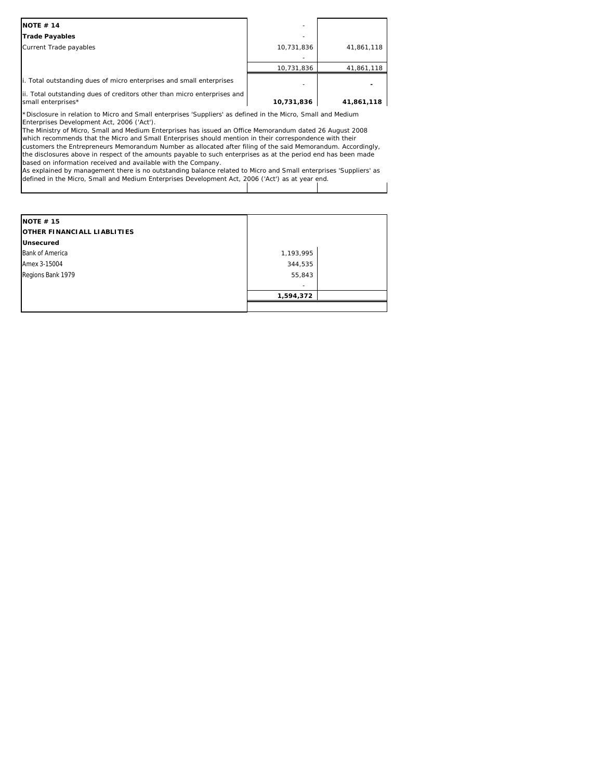| NOTE $#$ 14                                                                                    |            |            |
|------------------------------------------------------------------------------------------------|------------|------------|
| <b>Trade Payables</b>                                                                          |            |            |
| Current Trade payables                                                                         | 10.731.836 | 41,861,118 |
|                                                                                                |            |            |
|                                                                                                | 10.731.836 | 41,861,118 |
| i. Total outstanding dues of micro enterprises and small enterprises                           |            |            |
| ii. Total outstanding dues of creditors other than micro enterprises and<br>small enterprises* | 10,731,836 | 41,861,118 |
|                                                                                                |            |            |

\*Disclosure in relation to Micro and Small enterprises 'Suppliers' as defined in the Micro, Small and Medium Enterprises Development Act, 2006 ('Act').

The Ministry of Micro, Small and Medium Enterprises has issued an Office Memorandum dated 26 August 2008 which recommends that the Micro and Small Enterprises should mention in their correspondence with their customers the Entrepreneurs Memorandum Number as allocated after filing of the said Memorandum. Accordingly, the disclosures above in respect of the amounts payable to such enterprises as at the period end has been made based on information received and available with the Company.

As explained by management there is no outstanding balance related to Micro and Small enterprises 'Suppliers' as defined in the Micro, Small and Medium Enterprises Development Act, 2006 ('Act') as at year end.

| <b>NOTE # 15</b>                   |           |  |
|------------------------------------|-----------|--|
| <b>OTHER FINANCIALL LIABLITIES</b> |           |  |
| <b>Unsecured</b>                   |           |  |
| <b>Bank of America</b>             | 1,193,995 |  |
| Amex 3-15004                       | 344,535   |  |
| Regions Bank 1979                  | 55,843    |  |
|                                    |           |  |
|                                    | 1,594,372 |  |
|                                    |           |  |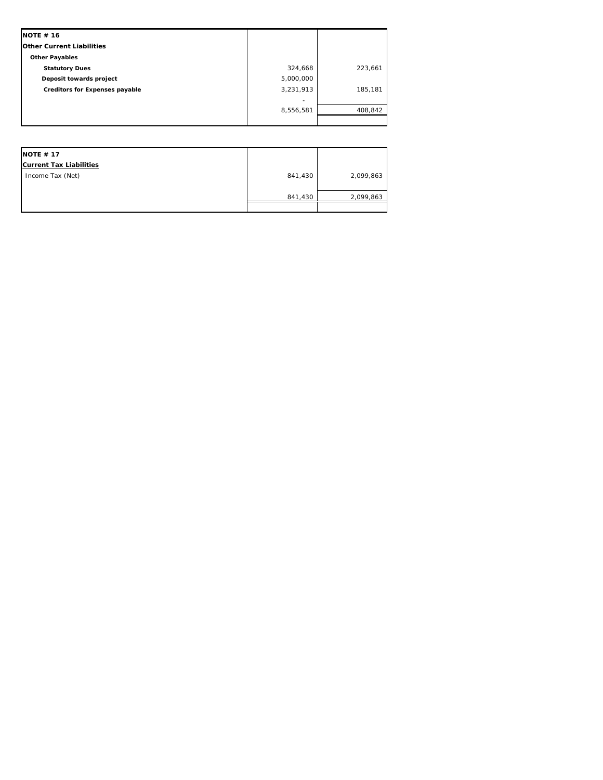| NOTE $# 16$                           |                          |         |
|---------------------------------------|--------------------------|---------|
| <b>Other Current Liabilities</b>      |                          |         |
| <b>Other Payables</b>                 |                          |         |
| <b>Statutory Dues</b>                 | 324,668                  | 223,661 |
| Deposit towards project               | 5,000,000                |         |
| <b>Creditors for Expenses payable</b> | 3,231,913                | 185,181 |
|                                       | $\overline{\phantom{a}}$ |         |
|                                       | 8,556,581                | 408,842 |
|                                       |                          |         |

| <b>NOTE #17</b>                |         |           |
|--------------------------------|---------|-----------|
| <b>Current Tax Liabilities</b> |         |           |
| Income Tax (Net)               | 841,430 | 2,099,863 |
|                                |         |           |
|                                | 841,430 | 2,099,863 |
|                                |         |           |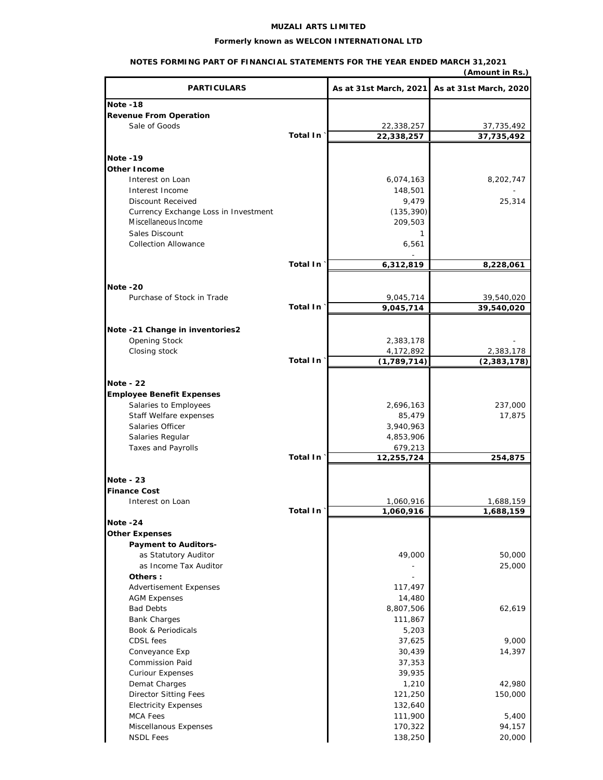## **Formerly known as WELCON INTERNATIONAL LTD**

|                                                 |          |                        | (Amount in Rs.)        |
|-------------------------------------------------|----------|------------------------|------------------------|
| <b>PARTICULARS</b>                              |          | As at 31st March, 2021 | As at 31st March, 2020 |
| Note -18                                        |          |                        |                        |
| <b>Revenue From Operation</b>                   |          |                        |                        |
| Sale of Goods                                   |          | 22,338,257             | 37,735,492             |
|                                                 | Total In | 22,338,257             | 37,735,492             |
|                                                 |          |                        |                        |
| Note -19                                        |          |                        |                        |
| Other Income                                    |          |                        |                        |
| Interest on Loan                                |          | 6,074,163              | 8,202,747              |
| Interest Income                                 |          | 148,501                |                        |
| Discount Received                               |          | 9,479                  | 25,314                 |
| Currency Exchange Loss in Investment            |          | (135, 390)             |                        |
| Miscellaneous Income                            |          | 209,503                |                        |
| Sales Discount                                  |          | 1                      |                        |
| <b>Collection Allowance</b>                     |          | 6,561                  |                        |
|                                                 | Total In |                        |                        |
|                                                 |          | 6,312,819              | 8,228,061              |
| Note -20                                        |          |                        |                        |
| Purchase of Stock in Trade                      |          | 9,045,714              | 39,540,020             |
|                                                 | Total In | 9,045,714              | 39,540,020             |
|                                                 |          |                        |                        |
| Note -21 Change in inventories2                 |          |                        |                        |
| Opening Stock                                   |          | 2,383,178              |                        |
| Closing stock                                   |          | 4,172,892              | 2,383,178              |
|                                                 | Total In | (1,789,714)            | (2,383,178)            |
|                                                 |          |                        |                        |
| <b>Note - 22</b>                                |          |                        |                        |
| <b>Employee Benefit Expenses</b>                |          |                        |                        |
| Salaries to Employees<br>Staff Welfare expenses |          | 2,696,163              | 237,000                |
| Salaries Officer                                |          | 85,479<br>3,940,963    | 17,875                 |
| Salaries Regular                                |          | 4,853,906              |                        |
| Taxes and Payrolls                              |          | 679,213                |                        |
|                                                 | Total In | 12,255,724             | 254,875                |
| <b>Note - 23</b>                                |          |                        |                        |
| <b>Finance Cost</b>                             |          |                        |                        |
| Interest on Loan                                |          | 1,060,916              | 1,688,159              |
|                                                 | Total In | 1,060,916              | 1,688,159              |
| Note -24                                        |          |                        |                        |
| <b>Other Expenses</b>                           |          |                        |                        |
| <b>Payment to Auditors-</b>                     |          |                        |                        |
| as Statutory Auditor                            |          | 49,000                 | 50,000                 |
| as Income Tax Auditor                           |          |                        | 25,000                 |
| Others:                                         |          |                        |                        |
| <b>Advertisement Expenses</b>                   |          | 117,497                |                        |
| <b>AGM Expenses</b>                             |          | 14,480                 |                        |
| <b>Bad Debts</b>                                |          | 8,807,506              | 62,619                 |
| <b>Bank Charges</b>                             |          | 111,867                |                        |
| Book & Periodicals                              |          | 5,203                  |                        |
| CDSL fees                                       |          | 37,625                 | 9,000                  |
| Conveyance Exp<br><b>Commission Paid</b>        |          | 30,439                 | 14,397                 |
|                                                 |          | 37,353                 |                        |
| <b>Curiour Expenses</b>                         |          | 39,935                 |                        |
| Demat Charges<br><b>Director Sitting Fees</b>   |          | 1,210<br>121,250       | 42,980<br>150,000      |
| <b>Electricity Expenses</b>                     |          | 132,640                |                        |
| MCA Fees                                        |          | 111,900                | 5,400                  |
| Miscellanous Expenses                           |          | 170,322                | 94,157                 |
| <b>NSDL Fees</b>                                |          | 138,250                | 20,000                 |
|                                                 |          |                        |                        |

# **NOTES FORMING PART OF FINANCIAL STATEMENTS FOR THE YEAR ENDED MARCH 31,2021**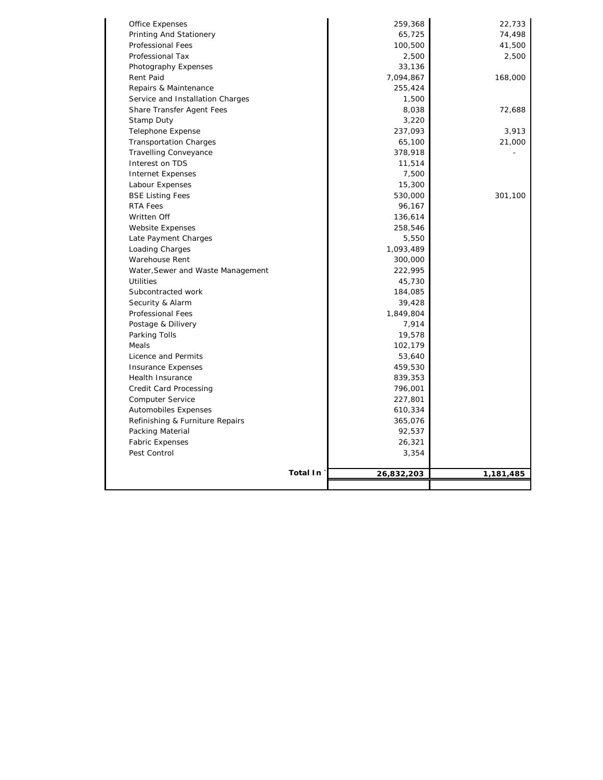| Office Expenses                   | 259,368    | 22,733    |
|-----------------------------------|------------|-----------|
| Printing And Stationery           | 65,725     | 74,498    |
| Professional Fees                 | 100,500    | 41,500    |
| Professional Tax                  | 2,500      | 2,500     |
| Photography Expenses              | 33,136     |           |
| Rent Paid                         | 7,094,867  | 168,000   |
| Repairs & Maintenance             | 255,424    |           |
| Service and Installation Charges  | 1,500      |           |
| Share Transfer Agent Fees         | 8,038      | 72,688    |
| Stamp Duty                        | 3,220      |           |
| Telephone Expense                 | 237,093    | 3,913     |
| <b>Transportation Charges</b>     | 65,100     | 21,000    |
| <b>Travelling Conveyance</b>      | 378,918    |           |
| Interest on TDS                   | 11,514     |           |
| <b>Internet Expenses</b>          | 7,500      |           |
| Labour Expenses                   | 15,300     |           |
| <b>BSE Listing Fees</b>           | 530,000    | 301,100   |
| RTA Fees                          | 96,167     |           |
| Written Off                       | 136,614    |           |
| <b>Website Expenses</b>           | 258,546    |           |
| Late Payment Charges              | 5,550      |           |
| Loading Charges                   | 1,093,489  |           |
| Warehouse Rent                    | 300,000    |           |
| Water, Sewer and Waste Management | 222,995    |           |
| <b>Utilities</b>                  | 45,730     |           |
| Subcontracted work                | 184,085    |           |
| Security & Alarm                  | 39,428     |           |
| Professional Fees                 | 1,849,804  |           |
| Postage & Dilivery                | 7,914      |           |
| Parking Tolls                     | 19,578     |           |
| Meals                             | 102,179    |           |
| Licence and Permits               | 53,640     |           |
| <b>Insurance Expenses</b>         | 459,530    |           |
| Health Insurance                  | 839,353    |           |
| Credit Card Processing            | 796,001    |           |
| Computer Service                  | 227,801    |           |
| Automobiles Expenses              | 610,334    |           |
| Refinishing & Furniture Repairs   | 365,076    |           |
| Packing Material                  | 92,537     |           |
| <b>Fabric Expenses</b>            | 26,321     |           |
| Pest Control                      | 3,354      |           |
|                                   |            |           |
| Total In                          | 26,832,203 | 1,181,485 |
|                                   |            |           |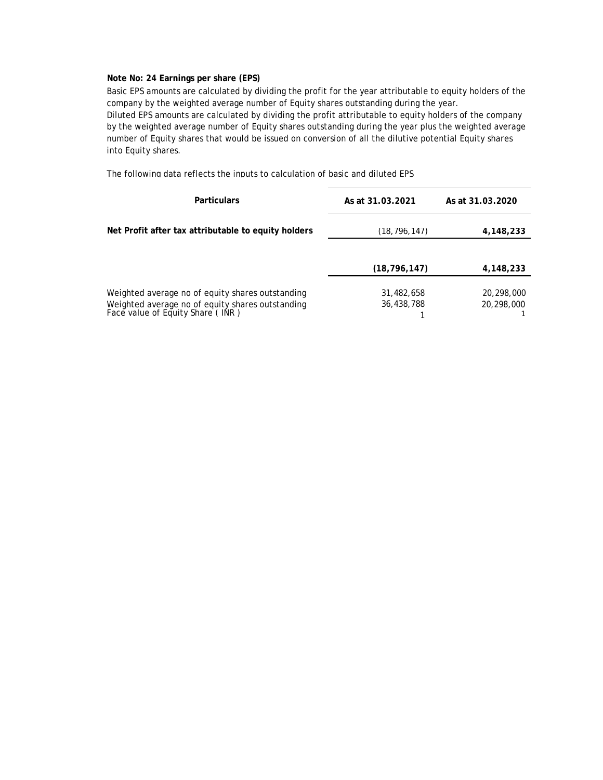### **Note No: 24 Earnings per share (EPS)**

Basic EPS amounts are calculated by dividing the profit for the year attributable to equity holders of the company by the weighted average number of Equity shares outstanding during the year. Diluted EPS amounts are calculated by dividing the profit attributable to equity holders of the company by the weighted average number of Equity shares outstanding during the year plus the weighted average number of Equity shares that would be issued on conversion of all the dilutive potential Equity shares into Equity shares.

The following data reflects the inputs to calculation of basic and diluted EPS

| <b>Particulars</b>                                                                                                                       | As at 31.03.2021         | As at 31.03.2020         |
|------------------------------------------------------------------------------------------------------------------------------------------|--------------------------|--------------------------|
| Net Profit after tax attributable to equity holders                                                                                      | (18, 796, 147)           | 4,148,233                |
|                                                                                                                                          | (18, 796, 147)           | 4,148,233                |
| Weighted average no of equity shares outstanding<br>Weighted average no of equity shares outstanding<br>Face value of Equity Share (INR) | 31,482,658<br>36,438,788 | 20,298,000<br>20,298,000 |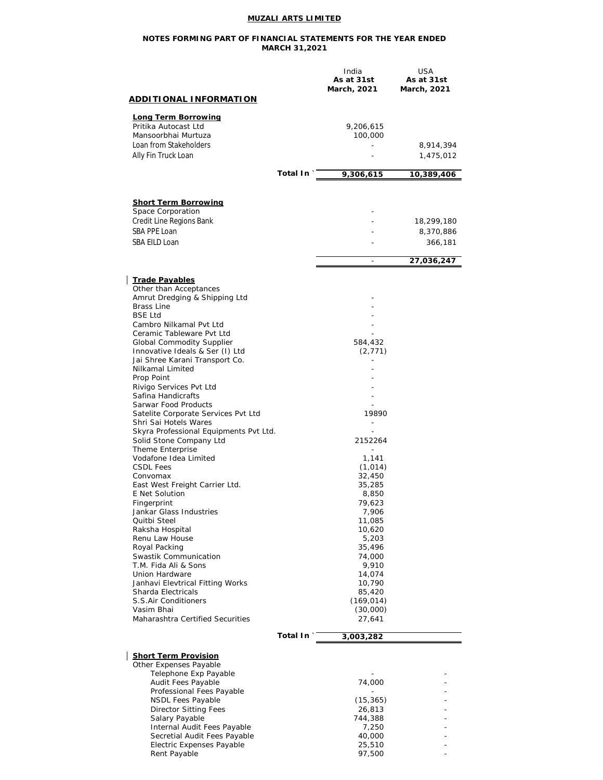#### **NOTES FORMING PART OF FINANCIAL STATEMENTS FOR THE YEAR ENDED MARCH 31,2021**

| <b>ADDITIONAL INFORMATION</b>                                             |          | India<br>As at 31st<br>March, 2021  | <b>USA</b><br>As at 31st<br>March, 2021 |
|---------------------------------------------------------------------------|----------|-------------------------------------|-----------------------------------------|
|                                                                           |          |                                     |                                         |
| <u>Long Term Borrowing</u><br>Pritika Autocast Ltd<br>Mansoorbhai Murtuza |          | 9,206,615                           |                                         |
| Loan from Stakeholders                                                    |          | 100,000<br>$\overline{\phantom{0}}$ | 8,914,394                               |
| Ally Fin Truck Loan                                                       |          |                                     | 1,475,012                               |
|                                                                           | Total In | 9,306,615                           | 10,389,406                              |
|                                                                           |          |                                     |                                         |
| <u>Short Term Borrowing</u>                                               |          |                                     |                                         |
| Space Corporation                                                         |          | ۰                                   |                                         |
| Credit Line Regions Bank                                                  |          |                                     | 18,299,180                              |
| SBA PPE Loan                                                              |          |                                     | 8,370,886                               |
| SBA EILD Loan                                                             |          |                                     | 366,181                                 |
|                                                                           |          |                                     |                                         |
|                                                                           |          |                                     | 27,036,247                              |
| <u>Trade Payables</u>                                                     |          |                                     |                                         |
| Other than Acceptances                                                    |          |                                     |                                         |
| Amrut Dredging & Shipping Ltd                                             |          |                                     |                                         |
| <b>Brass Line</b><br><b>BSE Ltd</b>                                       |          |                                     |                                         |
| Cambro Nilkamal Pyt Ltd                                                   |          |                                     |                                         |
| Ceramic Tableware Pvt Ltd                                                 |          |                                     |                                         |
| <b>Global Commodity Supplier</b>                                          |          | 584,432                             |                                         |
| Innovative Ideals & Ser (I) Ltd                                           |          | (2, 771)                            |                                         |
| Jai Shree Karani Transport Co.                                            |          |                                     |                                         |
| Nilkamal Limited                                                          |          |                                     |                                         |
| Prop Point                                                                |          |                                     |                                         |
| Rivigo Services Pvt Ltd<br>Safina Handicrafts                             |          |                                     |                                         |
| Sarwar Food Products                                                      |          |                                     |                                         |
| Satelite Corporate Services Pvt Ltd                                       |          | 19890                               |                                         |
| Shri Sai Hotels Wares                                                     |          | $\overline{\phantom{a}}$            |                                         |
| Skyra Professional Equipments Pvt Ltd.                                    |          |                                     |                                         |
| Solid Stone Company Ltd                                                   |          | 2152264                             |                                         |
| Theme Enterprise                                                          |          | ÷.                                  |                                         |
| Vodafone Idea Limited<br><b>CSDL Fees</b>                                 |          | 1,141<br>(1,014)                    |                                         |
| Convomax                                                                  |          | 32,450                              |                                         |
| East West Freight Carrier Ltd.                                            |          | 35,285                              |                                         |
| E Net Solution                                                            |          | 8,850                               |                                         |
| Fingerprint                                                               |          | 79,623                              |                                         |
| Jankar Glass Industries                                                   |          | 7,906                               |                                         |
| Quitbi Steel<br>Raksha Hospital                                           |          | 11,085<br>10,620                    |                                         |
| Renu Law House                                                            |          | 5,203                               |                                         |
| Royal Packing                                                             |          | 35,496                              |                                         |
| Swastik Communication                                                     |          | 74,000                              |                                         |
| T.M. Fida Ali & Sons                                                      |          | 9,910                               |                                         |
| Union Hardware                                                            |          | 14,074                              |                                         |
| Janhavi Elevtrical Fitting Works                                          |          | 10,790                              |                                         |
| Sharda Electricals<br>S.S.Air Conditioners                                |          | 85,420<br>(169, 014)                |                                         |
| Vasim Bhai                                                                |          | (30,000)                            |                                         |
| Maharashtra Certified Securities                                          |          | 27,641                              |                                         |
|                                                                           | Total In |                                     |                                         |
|                                                                           |          | 3,003,282                           |                                         |
| <b>Short Term Provision</b>                                               |          |                                     |                                         |
| Other Expenses Payable                                                    |          |                                     |                                         |
| Telephone Exp Payable                                                     |          |                                     |                                         |
| Audit Fees Payable                                                        |          | 74,000                              |                                         |
| Professional Fees Payable<br>NSDL Fees Payable                            |          | (15, 365)                           |                                         |
| <b>Director Sitting Fees</b>                                              |          | 26,813                              |                                         |
| Salary Payable                                                            |          | 744,388                             |                                         |
| Internal Audit Fees Payable                                               |          | 7,250                               |                                         |
| Secretial Audit Fees Payable                                              |          | 40,000                              |                                         |
| Electric Expenses Payable                                                 |          | 25,510                              |                                         |
| Rent Payable                                                              |          | 97,500                              |                                         |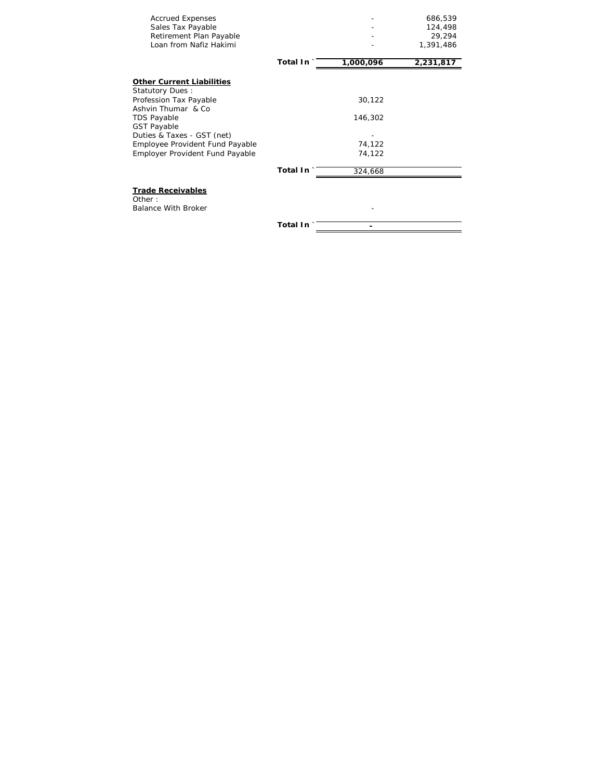| <b>Accrued Expenses</b><br>Sales Tax Payable<br>Retirement Plan Payable<br>Loan from Nafiz Hakimi                                                                                                                 | Total In        | 1,000,096                   | 686,539<br>124,498<br>29,294<br>1,391,486<br>2,231,817 |
|-------------------------------------------------------------------------------------------------------------------------------------------------------------------------------------------------------------------|-----------------|-----------------------------|--------------------------------------------------------|
| <b>Other Current Liabilities</b><br>Statutory Dues:<br>Profession Tax Payable<br>Ashvin Thumar & Co.<br><b>TDS Payable</b><br><b>GST Payable</b><br>Duties & Taxes - GST (net)<br>Employee Provident Fund Payable |                 | 30,122<br>146,302<br>74,122 |                                                        |
| <b>Employer Provident Fund Payable</b>                                                                                                                                                                            | Total In        | 74,122<br>324,668           |                                                        |
| <b>Trade Receivables</b><br>Other:<br><b>Balance With Broker</b>                                                                                                                                                  |                 |                             |                                                        |
|                                                                                                                                                                                                                   | <b>Total In</b> |                             |                                                        |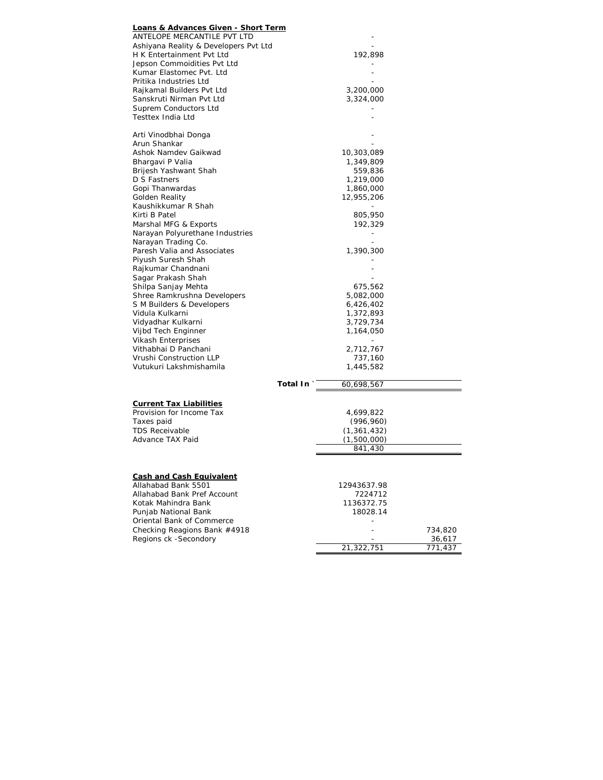| <b>Loans &amp; Advances Given - Short Term</b> |               |         |
|------------------------------------------------|---------------|---------|
| ANTELOPE MERCANTILE PVT LTD                    |               |         |
| Ashiyana Reality & Developers Pvt Ltd          |               |         |
| H K Entertainment Pvt Ltd                      | 192,898       |         |
| Jepson Commoidities Pvt Ltd                    |               |         |
|                                                |               |         |
| Kumar Elastomec Pvt. Ltd                       |               |         |
| Pritika Industries Ltd                         |               |         |
| Rajkamal Builders Pvt Ltd                      | 3,200,000     |         |
| Sanskruti Nirman Pvt Ltd                       | 3,324,000     |         |
| Suprem Conductors Ltd                          |               |         |
| Testtex India Ltd                              |               |         |
|                                                |               |         |
| Arti Vinodbhai Donga                           |               |         |
| Arun Shankar                                   |               |         |
|                                                | 10,303,089    |         |
| Ashok Namdev Gaikwad                           |               |         |
| Bhargavi P Valia                               | 1,349,809     |         |
| Brijesh Yashwant Shah                          | 559,836       |         |
| D S Fastners                                   | 1,219,000     |         |
| Gopi Thanwardas                                | 1,860,000     |         |
| Golden Reality                                 | 12,955,206    |         |
| Kaushikkumar R Shah                            |               |         |
| Kirti B Patel                                  | 805,950       |         |
| Marshal MFG & Exports                          | 192,329       |         |
|                                                | ÷             |         |
| Narayan Polyurethane Industries                |               |         |
| Narayan Trading Co.                            |               |         |
| Paresh Valia and Associates                    | 1,390,300     |         |
| Piyush Suresh Shah                             |               |         |
| Rajkumar Chandnani                             |               |         |
| Sagar Prakash Shah                             |               |         |
| Shilpa Sanjay Mehta                            | 675,562       |         |
| Shree Ramkrushna Developers                    | 5,082,000     |         |
| S M Builders & Developers                      | 6,426,402     |         |
| Vidula Kulkarni                                |               |         |
|                                                | 1,372,893     |         |
| Vidyadhar Kulkarni                             | 3,729,734     |         |
| Vijbd Tech Enginner                            | 1,164,050     |         |
| Vikash Enterprises                             |               |         |
| Vithabhai D Panchani                           | 2,712,767     |         |
| Vrushi Construction LLP                        | 737,160       |         |
| Vutukuri Lakshmishamila                        | 1,445,582     |         |
|                                                |               |         |
| Total In                                       | 60,698,567    |         |
|                                                |               |         |
| <b>Current Tax Liabilities</b>                 |               |         |
|                                                |               |         |
| Provision for Income Tax                       | 4,699,822     |         |
| Taxes paid                                     | (996, 960)    |         |
| <b>TDS Receivable</b>                          | (1, 361, 432) |         |
| Advance TAX Paid                               | (1,500,000)   |         |
|                                                | 841,430       |         |
|                                                |               |         |
|                                                |               |         |
| <b>Cash and Cash Equivalent</b>                |               |         |
| Allahabad Bank 5501                            | 12943637.98   |         |
| Allahabad Bank Pref Account                    | 7224712       |         |
|                                                |               |         |
| Kotak Mahindra Bank                            | 1136372.75    |         |
| Punjab National Bank                           | 18028.14      |         |
| Oriental Bank of Commerce                      | ÷.            |         |
| Checking Reagions Bank #4918                   |               | 734,820 |
| Regions ck -Secondory                          |               | 36,617  |
|                                                | 21,322,751    | 771.437 |
|                                                |               |         |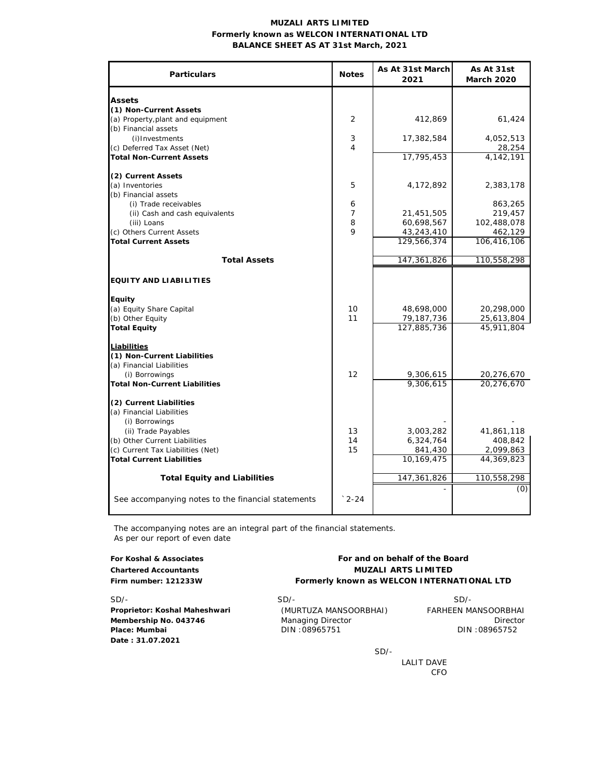#### **Formerly known as WELCON INTERNATIONAL LTD MUZALI ARTS LIMITED BALANCE SHEET AS AT 31st March, 2021**

| <b>Particulars</b>                                                      | <b>Notes</b>   | As At 31st March<br>2021 | As At 31st<br><b>March 2020</b> |
|-------------------------------------------------------------------------|----------------|--------------------------|---------------------------------|
| Assets                                                                  |                |                          |                                 |
| (1) Non-Current Assets                                                  |                |                          |                                 |
| (a) Property, plant and equipment                                       | $\overline{2}$ | 412,869                  | 61,424                          |
| (b) Financial assets                                                    |                |                          |                                 |
| (i)Investments                                                          | 3              | 17,382,584               | 4,052,513                       |
| (c) Deferred Tax Asset (Net)                                            | 4              |                          | 28,254                          |
| <b>Total Non-Current Assets</b>                                         |                | 17.795.453               | 4, 142, 191                     |
| (2) Current Assets                                                      |                |                          |                                 |
| (a) Inventories                                                         | 5              | 4,172,892                | 2,383,178                       |
| (b) Financial assets                                                    |                |                          |                                 |
| (i) Trade receivables                                                   | 6              |                          | 863,265                         |
| (ii) Cash and cash equivalents                                          | $\overline{7}$ | 21,451,505               | 219,457                         |
| (iii) Loans                                                             | 8              | 60,698,567               | 102,488,078                     |
| (c) Others Current Assets                                               | 9              | 43,243,410               | 462,129                         |
| <b>Total Current Assets</b>                                             |                | 129,566,374              | 106,416,106                     |
| <b>Total Assets</b>                                                     |                | 147,361,826              | 110,558,298                     |
| <b>EQUITY AND LIABILITIES</b>                                           |                |                          |                                 |
| Equity                                                                  |                |                          |                                 |
| (a) Equity Share Capital                                                | 10             | 48,698,000               | 20,298,000                      |
| (b) Other Equity                                                        | 11             | 79,187,736               | 25,613,804                      |
| <b>Total Equity</b>                                                     |                | 127,885,736              | 45,911,804                      |
| Liabilities<br>(1) Non-Current Liabilities<br>(a) Financial Liabilities |                |                          |                                 |
| (i) Borrowings                                                          | 12             | 9,306,615                | 20,276,670                      |
| <b>Total Non-Current Liabilities</b>                                    |                | 9,306,615                | 20,276,670                      |
| (2) Current Liabilities<br>(a) Financial Liabilities<br>(i) Borrowings  |                |                          |                                 |
| (ii) Trade Payables                                                     | 13             | 3,003,282                | 41,861,118                      |
| (b) Other Current Liabilities                                           | 14             | 6,324,764                | 408,842                         |
| (c) Current Tax Liabilities (Net)                                       | 15             | 841,430                  | 2,099,863                       |
| <b>Total Current Liabilities</b>                                        |                | 10,169,475               | 44,369,823                      |
| <b>Total Equity and Liabilities</b>                                     |                | 147,361,826              | 110,558,298                     |
|                                                                         |                |                          | (0)                             |
| See accompanying notes to the financial statements                      | $\degree$ 2-24 |                          |                                 |

The accompanying notes are an integral part of the financial statements. As per our report of even date

# **For Koshal & Associates**

**Chartered Accountants Firm number: 121233W**

#### **For and on behalf of the Board MUZALI ARTS LIMITED Formerly known as WELCON INTERNATIONAL LTD**

SD/-

SD/- SD/- SD/- **Proprietor: Koshal Maheshwari** (MURTUZA MANSOORBHAI) FARHEEN MANSOORBHAI **Membership No. 043746** Managing Director **Managing Director** Director **Director Director Place: Mumbai** Place: Mumbai **Date : 31.07.2021**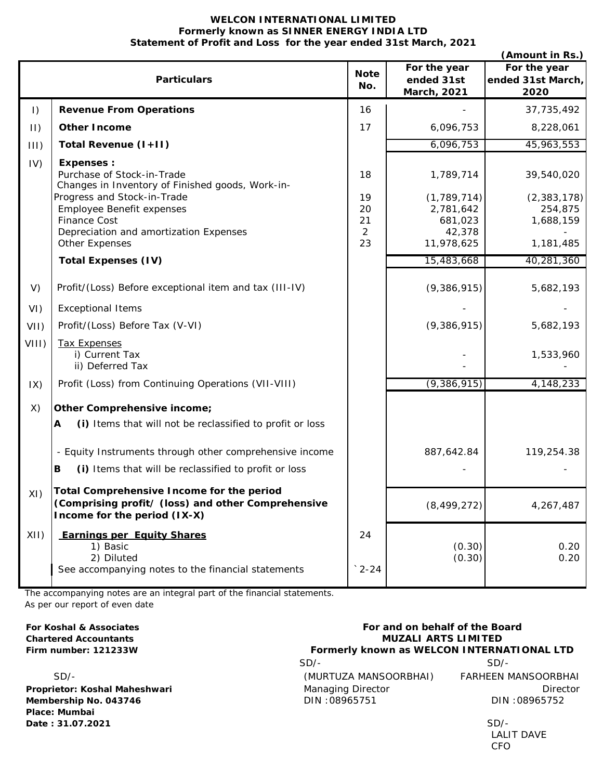## **Statement of Profit and Loss for the year ended 31st March, 2021 WELCON INTERNATIONAL LIMITED Formerly known as SINNER ENERGY INDIA LTD**

|               |                                                                                                                                                                                                                                            |                                              |                                                                          | (Amount in Rs.)                                                  |
|---------------|--------------------------------------------------------------------------------------------------------------------------------------------------------------------------------------------------------------------------------------------|----------------------------------------------|--------------------------------------------------------------------------|------------------------------------------------------------------|
|               | <b>Particulars</b>                                                                                                                                                                                                                         | <b>Note</b><br>No.                           | For the year<br>ended 31st<br>March, 2021                                | For the year<br>ended 31st March,<br>2020                        |
| $\vert$ )     | <b>Revenue From Operations</b>                                                                                                                                                                                                             | 16                                           |                                                                          | 37,735,492                                                       |
| $\vert \vert$ | <b>Other Income</b>                                                                                                                                                                                                                        | 17                                           | 6,096,753                                                                | 8,228,061                                                        |
| III)          | Total Revenue (I+II)                                                                                                                                                                                                                       |                                              | 6,096,753                                                                | 45,963,553                                                       |
| IV)           | <b>Expenses:</b><br>Purchase of Stock-in-Trade<br>Changes in Inventory of Finished goods, Work-in-<br>Progress and Stock-in-Trade<br>Employee Benefit expenses<br>Finance Cost<br>Depreciation and amortization Expenses<br>Other Expenses | 18<br>19<br>20<br>21<br>$\overline{c}$<br>23 | 1,789,714<br>(1,789,714)<br>2,781,642<br>681,023<br>42,378<br>11,978,625 | 39,540,020<br>(2, 383, 178)<br>254,875<br>1,688,159<br>1,181,485 |
|               | <b>Total Expenses (IV)</b>                                                                                                                                                                                                                 |                                              | 15,483,668                                                               | 40,281,360                                                       |
| V)            | Profit/(Loss) Before exceptional item and tax (III-IV)                                                                                                                                                                                     |                                              | (9,386,915)                                                              | 5,682,193                                                        |
| VI)           | <b>Exceptional Items</b>                                                                                                                                                                                                                   |                                              |                                                                          |                                                                  |
| VII)          | Profit/(Loss) Before Tax (V-VI)                                                                                                                                                                                                            |                                              | (9, 386, 915)                                                            | 5,682,193                                                        |
| VIII)         | <b>Tax Expenses</b><br>i) Current Tax<br>ii) Deferred Tax                                                                                                                                                                                  |                                              |                                                                          | 1,533,960                                                        |
| IX)           | Profit (Loss) from Continuing Operations (VII-VIII)                                                                                                                                                                                        |                                              | (9, 386, 915)                                                            | 4,148,233                                                        |
| X)            | Other Comprehensive income;<br>(i) Items that will not be reclassified to profit or loss<br>A                                                                                                                                              |                                              |                                                                          |                                                                  |
|               | - Equity Instruments through other comprehensive income                                                                                                                                                                                    |                                              | 887,642.84                                                               | 119,254.38                                                       |
|               | (i) Items that will be reclassified to profit or loss<br>в                                                                                                                                                                                 |                                              |                                                                          |                                                                  |
| XI)           | Total Comprehensive Income for the period<br>(Comprising profit/ (loss) and other Comprehensive<br>Income for the period (IX-X)                                                                                                            |                                              | (8, 499, 272)                                                            | 4,267,487                                                        |
| XII)          | <b>Earnings per Equity Shares</b><br>1) Basic<br>2) Diluted<br>See accompanying notes to the financial statements                                                                                                                          | 24<br>$2-24$                                 | (0.30)<br>(0.30)                                                         | 0.20<br>0.20                                                     |

The accompanying notes are an integral part of the financial statements. As per our report of even date

**For Koshal & Associates Chartered Accountants Firm number: 121233W**

**Proprietor: Koshal Maheshwari** Managing Director Managing Director **Constanting Director** Director **Membership No. 043746** DIN :08965751 DIN :08965752 **Place: Mumbai Date : 31.07.2021** SD/-

# **MUZALI ARTS LIMITED For and on behalf of the Board Formerly known as WELCON INTERNATIONAL LTD**

SD/- SD/- SD/- (MURTUZA MANSOORBHAI) FARHEEN MANSOORBHAI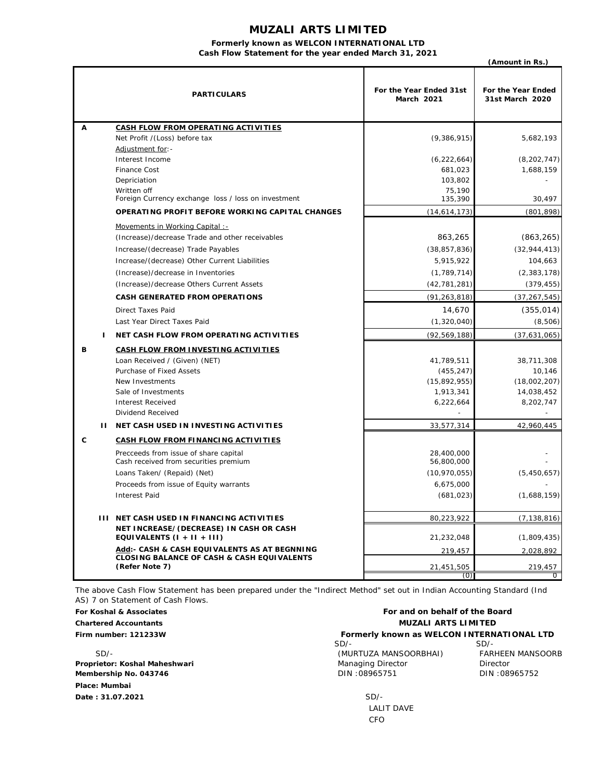# **Formerly known as WELCON INTERNATIONAL LTD**

**Cash Flow Statement for the year ended March 31, 2021**

|   |              | <b>PARTICULARS</b>                                                      | For the Year Ended 31st<br><b>March 2021</b> | For the Year Ended<br>31st March 2020 |
|---|--------------|-------------------------------------------------------------------------|----------------------------------------------|---------------------------------------|
| A |              | CASH FLOW FROM OPERATING ACTIVITIES                                     |                                              |                                       |
|   |              | Net Profit /(Loss) before tax                                           | (9,386,915)                                  | 5,682,193                             |
|   |              | Adjustment for: -                                                       |                                              |                                       |
|   |              | Interest Income                                                         | (6, 222, 664)                                | (8, 202, 747)                         |
|   |              | Finance Cost                                                            | 681,023                                      | 1,688,159                             |
|   |              | Depriciation                                                            | 103,802                                      |                                       |
|   |              | Written off                                                             | 75,190                                       |                                       |
|   |              | Foreign Currency exchange loss / loss on investment                     | 135,390                                      | 30,497                                |
|   |              | OPERATING PROFIT BEFORE WORKING CAPITAL CHANGES                         | (14, 614, 173)                               | (801, 898)                            |
|   |              | Movements in Working Capital :-                                         |                                              |                                       |
|   |              | (Increase)/decrease Trade and other receivables                         | 863,265                                      | (863, 265)                            |
|   |              | Increase/(decrease) Trade Payables                                      | (38, 857, 836)                               | (32, 944, 413)                        |
|   |              | Increase/(decrease) Other Current Liabilities                           | 5,915,922                                    | 104,663                               |
|   |              | (Increase)/decrease in Inventories                                      | (1, 789, 714)                                | (2,383,178)                           |
|   |              | (Increase)/decrease Others Current Assets                               | (42, 781, 281)                               | (379, 455)                            |
|   |              | <b>CASH GENERATED FROM OPERATIONS</b>                                   | (91, 263, 818)                               | (37, 267, 545)                        |
|   |              | <b>Direct Taxes Paid</b>                                                | 14,670                                       | (355, 014)                            |
|   |              | Last Year Direct Taxes Paid                                             | (1,320,040)                                  | (8,506)                               |
|   | $\mathbf{I}$ | NET CASH FLOW FROM OPERATING ACTIVITIES                                 | (92, 569, 188)                               | (37,631,065)                          |
| в |              | CASH FLOW FROM INVESTING ACTIVITIES                                     |                                              |                                       |
|   |              | Loan Received / (Given) (NET)                                           | 41,789,511                                   | 38,711,308                            |
|   |              | Purchase of Fixed Assets                                                | (455, 247)                                   | 10,146                                |
|   |              | New Investments                                                         | (15,892,955)                                 | (18,002,207)                          |
|   |              | Sale of Investments                                                     | 1,913,341                                    | 14,038,452                            |
|   |              | <b>Interest Received</b>                                                | 6,222,664                                    | 8,202,747                             |
|   |              | Dividend Received                                                       |                                              |                                       |
|   | ш            | NET CASH USED IN INVESTING ACTIVITIES                                   | 33,577,314                                   | 42,960,445                            |
| C |              | CASH FLOW FROM FINANCING ACTIVITIES                                     |                                              |                                       |
|   |              | Precceeds from issue of share capital                                   | 28,400,000                                   |                                       |
|   |              | Cash received from securities premium                                   | 56,800,000                                   |                                       |
|   |              | Loans Taken/ (Repaid) (Net)                                             | (10, 970, 055)                               | (5,450,657)                           |
|   |              | Proceeds from issue of Equity warrants                                  | 6,675,000                                    |                                       |
|   |              | <b>Interest Paid</b>                                                    | (681, 023)                                   | (1,688,159)                           |
|   |              | <b>III NET CASH USED IN FINANCING ACTIVITIES</b>                        | 80,223,922                                   | (7, 138, 816)                         |
|   |              | NET INCREASE/(DECREASE) IN CASH OR CASH                                 |                                              |                                       |
|   |              | EQUIVALENTS $(I + II + III)$                                            | 21,232,048                                   | (1,809,435)                           |
|   |              | Add:- CASH & CASH EQUIVALENTS AS AT BEGNNING                            | 219,457                                      | 2,028,892                             |
|   |              | <b>CLOSING BALANCE OF CASH &amp; CASH EQUIVALENTS</b><br>(Refer Note 7) | 21,451,505                                   | 219,457                               |
|   |              |                                                                         | (O)                                          | 0                                     |

The above Cash Flow Statement has been prepared under the "Indirect Method" set out in Indian Accounting Standard (Ind AS) 7 on Statement of Cash Flows.

**For Koshal & Associates Chartered Accountants Firm number: 121233W**

Proprietor: Koshal Maheshwari **Membership No. 043746** DIN :08965751 DIN :08965752 **Place: Mumbai Date : 31.07.2021** SD/-

 $SD/-$  SD/-SD/-<br>
(MURTUZA MANSOORBHAI) FARHEEN MANSOORB<br>
Managing Director Mansoon Director<br>
Director **MUZALI ARTS LIMITED For and on behalf of the Board Formerly known as WELCON INTERNATIONAL LTD**

**(Amount in Rs.)**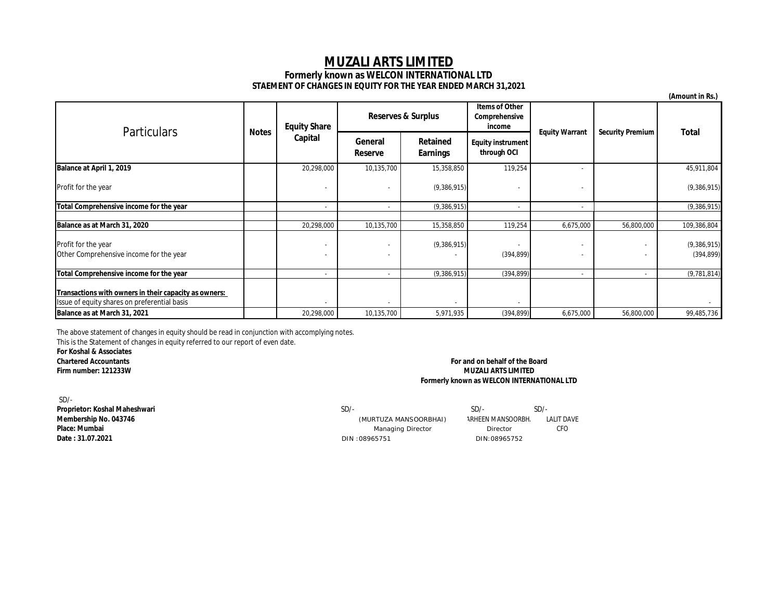## **STAEMENT OF CHANGES IN EQUITY FOR THE YEAR ENDED MARCH 31,2021 Formerly known as WELCON INTERNATIONAL LTD**

**(Amount in Rs.)**

| <b>Particulars</b>                                                                                    | <b>Notes</b> | <b>Equity Share</b>                                  |                           | <b>Reserves &amp; Surplus</b>      | <b>Items of Other</b><br>Comprehensive<br>income |                          |                         |                           |
|-------------------------------------------------------------------------------------------------------|--------------|------------------------------------------------------|---------------------------|------------------------------------|--------------------------------------------------|--------------------------|-------------------------|---------------------------|
|                                                                                                       |              | Capital                                              | General<br><b>Reserve</b> | <b>Retained</b><br><b>Earnings</b> | <b>Equity instrument</b><br>through OCI          | <b>Equity Warrant</b>    | <b>Security Premium</b> | Total                     |
| Balance at April 1, 2019                                                                              |              | 20,298,000                                           | 10,135,700                | 15,358,850                         | 119,254                                          |                          |                         | 45,911,804                |
| Profit for the year                                                                                   |              | $\overline{\phantom{a}}$                             |                           | (9,386,915)                        |                                                  |                          |                         | (9,386,915)               |
| Total Comprehensive income for the year                                                               |              | $\overline{\phantom{a}}$                             | $\overline{\phantom{a}}$  | (9,386,915)                        | $\sim$                                           | $\sim$                   |                         | (9,386,915)               |
| Balance as at March 31, 2020                                                                          |              | 20,298,000                                           | 10,135,700                | 15,358,850                         | 119,254                                          | 6,675,000                | 56,800,000              | 109,386,804               |
| Profit for the year<br>Other Comprehensive income for the year                                        |              | $\overline{\phantom{a}}$<br>$\overline{\phantom{a}}$ |                           | (9,386,915)                        | (394, 899)                                       | $\overline{\phantom{a}}$ |                         | (9,386,915)<br>(394, 899) |
| Total Comprehensive income for the year                                                               |              | $\overline{\phantom{a}}$                             |                           | (9,386,915)                        | (394, 899)                                       |                          | $\sim$                  | (9, 781, 814)             |
| Transactions with owners in their capacity as owners:<br>Issue of equity shares on preferential basis |              | $\overline{\phantom{a}}$                             |                           |                                    |                                                  |                          |                         |                           |
| Balance as at March 31, 2021                                                                          |              | 20,298,000                                           | 10,135,700                | 5,971,935                          | (394, 899)                                       | 6,675,000                | 56,800,000              | 99,485,736                |

The above statement of changes in equity should be read in conjunction with accomplying notes.

This is the Statement of changes in equity referred to our report of even date.

**For Koshal & Associates Chartered Accountants** 

**Firm number: 121233W**

SD/-

**For and on behalf of the Board MUZALI ARTS LIMITED Formerly known as WELCON INTERNATIONAL LTD**

**Proprietor: Koshal Maheshwari** SD/- SD/- SD/- **Membership No. 043746** FARHEEN MANSOORBHAI LALIT DAVE AND THE AND THE AND THE AND THE AND THE AND THE AND THE AND THE AND THE AND THE AND THE AND THE AND THE AND THE AND THE AND THE AND THE AND THE AND THE AND THE AND THE **Place: Mumbai CFO CFO CFO CFO CFO CFO CFO CFO CFO CFO CFO CFO CFO CFO CFO CFO CFO CFO CFO CFO CFO CFO CFO CFO CFO CFO CFO CFO CFO CFO CFO C Date : 31.07.2021** DIN :08965751 DIN:08965752 Director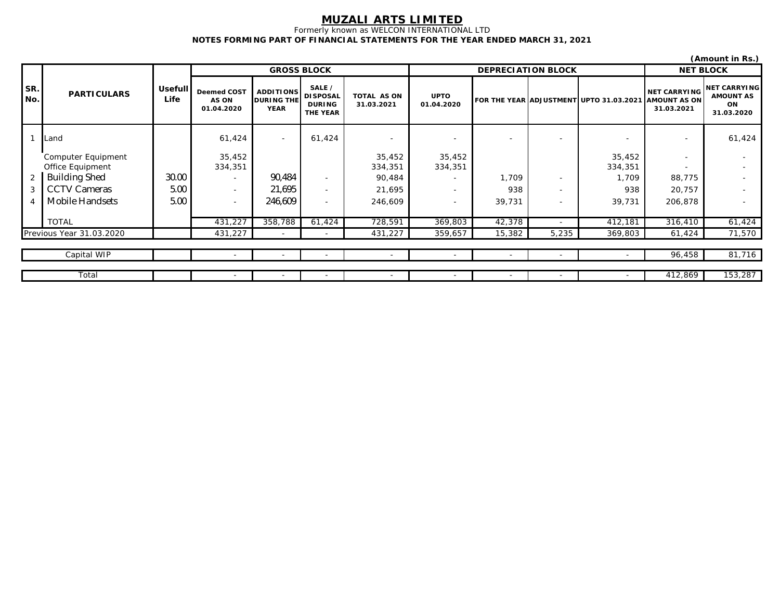#### **NOTES FORMING PART OF FINANCIAL STATEMENTS FOR THE YEAR ENDED MARCH 31, 2021** Formerly known as WELCON INTERNATIONAL LTD

|            |                                        |                        |                                    |                                                      |                                                        |                           |                           |                           |                          |                                                      |                                   | (Amount in Rs.)                                             |  |
|------------|----------------------------------------|------------------------|------------------------------------|------------------------------------------------------|--------------------------------------------------------|---------------------------|---------------------------|---------------------------|--------------------------|------------------------------------------------------|-----------------------------------|-------------------------------------------------------------|--|
|            |                                        | <b>GROSS BLOCK</b>     |                                    |                                                      |                                                        |                           |                           | <b>DEPRECIATION BLOCK</b> |                          |                                                      |                                   | <b>NET BLOCK</b>                                            |  |
| SR.<br>No. | <b>PARTICULARS</b>                     | <b>Usefull</b><br>Life | Deemed COST<br>AS ON<br>01.04.2020 | <b>ADDITIONS</b><br><b>DURING THE</b><br><b>YEAR</b> | SALE /<br><b>DISPOSAL</b><br><b>DURING</b><br>THE YEAR | TOTAL AS ON<br>31.03.2021 | <b>UPTO</b><br>01.04.2020 |                           |                          | FOR THE YEAR ADJUSTMENT UPTO 31.03.2021 AMOUNT AS ON | <b>NET CARRYING</b><br>31.03.2021 | <b>NET CARRYING</b><br><b>AMOUNT AS</b><br>ON<br>31.03.2020 |  |
|            | Land                                   |                        | 61,424                             | $\sim$                                               | 61,424                                                 | $\overline{\phantom{0}}$  | ۰                         |                           |                          |                                                      |                                   | 61,424                                                      |  |
|            | Computer Equipment<br>Office Equipment |                        | 35,452<br>334,351                  |                                                      |                                                        | 35,452<br>334,351         | 35,452<br>334,351         |                           |                          | 35,452<br>334,351                                    |                                   |                                                             |  |
| 2          | <b>Building Shed</b>                   | 30.00                  |                                    | 90,484                                               |                                                        | 90,484                    |                           | 1,709                     |                          | 1.709                                                | 88,775                            |                                                             |  |
| 3          | <b>CCTV Cameras</b>                    | 5.00                   |                                    | 21,695                                               |                                                        | 21,695                    | $\overline{\phantom{a}}$  | 938                       | $\overline{a}$           | 938                                                  | 20,757                            |                                                             |  |
| 4          | <b>Mobile Handsets</b>                 | 5.00                   | $\overline{\phantom{a}}$           | 246,609                                              | $\sim$                                                 | 246,609                   | Ξ.                        | 39,731                    | $\overline{\phantom{a}}$ | 39,731                                               | 206,878                           |                                                             |  |
|            | <b>TOTAL</b>                           |                        | 431,227                            | 358,788                                              | 61,424                                                 | 728,591                   | 369,803                   | 42,378                    |                          | 412,181                                              | 316,410                           | 61,424                                                      |  |
|            | Previous Year 31.03.2020               |                        | 431,227                            |                                                      |                                                        | 431,227                   | 359,657                   | 15,382                    | 5,235                    | 369,803                                              | 61,424                            | 71,570                                                      |  |
|            |                                        |                        |                                    |                                                      |                                                        |                           |                           |                           |                          |                                                      |                                   |                                                             |  |
|            | Capital WIP                            |                        |                                    |                                                      |                                                        |                           |                           |                           |                          |                                                      | 96,458                            | 81,716                                                      |  |
|            |                                        |                        |                                    |                                                      |                                                        |                           |                           |                           |                          |                                                      |                                   |                                                             |  |
|            | Total                                  |                        |                                    |                                                      |                                                        |                           |                           |                           |                          |                                                      | 412,869                           | 153,287                                                     |  |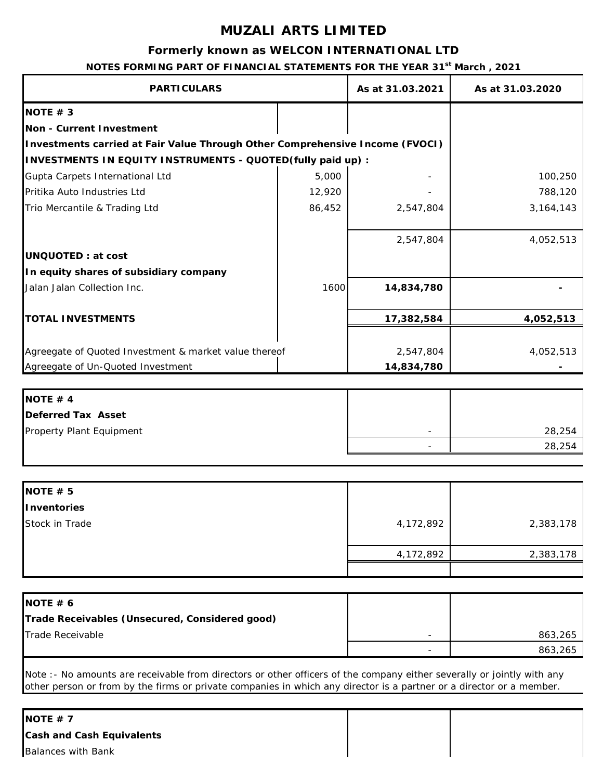# **Formerly known as WELCON INTERNATIONAL LTD**

# **NOTES FORMING PART OF FINANCIAL STATEMENTS FOR THE YEAR 31st March , 2021**

| <b>PARTICULARS</b>                                                           |        | As at 31.03.2021 | As at 31.03.2020 |  |
|------------------------------------------------------------------------------|--------|------------------|------------------|--|
| NOTE $# 3$                                                                   |        |                  |                  |  |
| Non - Current Investment                                                     |        |                  |                  |  |
| Investments carried at Fair Value Through Other Comprehensive Income (FVOCI) |        |                  |                  |  |
| INVESTMENTS IN EQUITY INSTRUMENTS - QUOTED (fully paid up) :                 |        |                  |                  |  |
| Gupta Carpets International Ltd                                              | 5,000  |                  | 100,250          |  |
| Pritika Auto Industries Ltd                                                  | 12,920 |                  | 788,120          |  |
| Trio Mercantile & Trading Ltd                                                | 86,452 | 2,547,804        | 3, 164, 143      |  |
|                                                                              |        | 2,547,804        | 4,052,513        |  |
| <b>UNQUOTED: at cost</b>                                                     |        |                  |                  |  |
| In equity shares of subsidiary company                                       |        |                  |                  |  |
| Jalan Jalan Collection Inc.                                                  | 1600   | 14,834,780       |                  |  |
| <b>TOTAL INVESTMENTS</b>                                                     |        | 17,382,584       | 4,052,513        |  |
| Agreegate of Quoted Investment & market value thereof                        |        | 2,547,804        | 4,052,513        |  |
| Agreegate of Un-Quoted Investment                                            |        | 14,834,780       |                  |  |
| NOTE $# 4$                                                                   |        |                  |                  |  |
| <b>Deferred Tax Asset</b>                                                    |        |                  |                  |  |
| Property Plant Equipment                                                     |        |                  | 28,254           |  |
|                                                                              |        |                  | 28,254           |  |
|                                                                              |        |                  |                  |  |
| NOTE $# 5$                                                                   |        |                  |                  |  |
| Inventories                                                                  |        |                  |                  |  |
| Stock in Trade                                                               |        | 4,172,892        | 2,383,178        |  |
|                                                                              |        | 4,172,892        | 2,383,178        |  |
|                                                                              |        |                  |                  |  |
| NOTE $# 6$                                                                   |        |                  |                  |  |
| Trade Receivables (Unsecured, Considered good)                               |        |                  |                  |  |
| Trade Receivable                                                             |        |                  | 863,265          |  |
|                                                                              |        |                  | 863,265          |  |

Note : - No amounts are receivable from directors or other officers of the company either severally or jointly with any other person or from by the firms or private companies in which any director is a partner or a director or a member.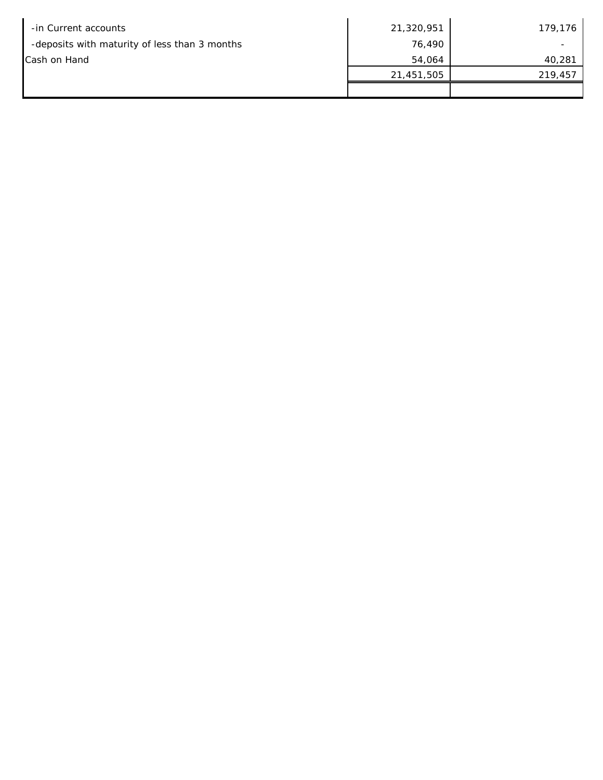| -in Current accounts                          | 21,320,951 | 179,176 |
|-----------------------------------------------|------------|---------|
| -deposits with maturity of less than 3 months | 76,490     |         |
| Cash on Hand                                  | 54,064     | 40,281  |
|                                               | 21,451,505 | 219,457 |
|                                               |            |         |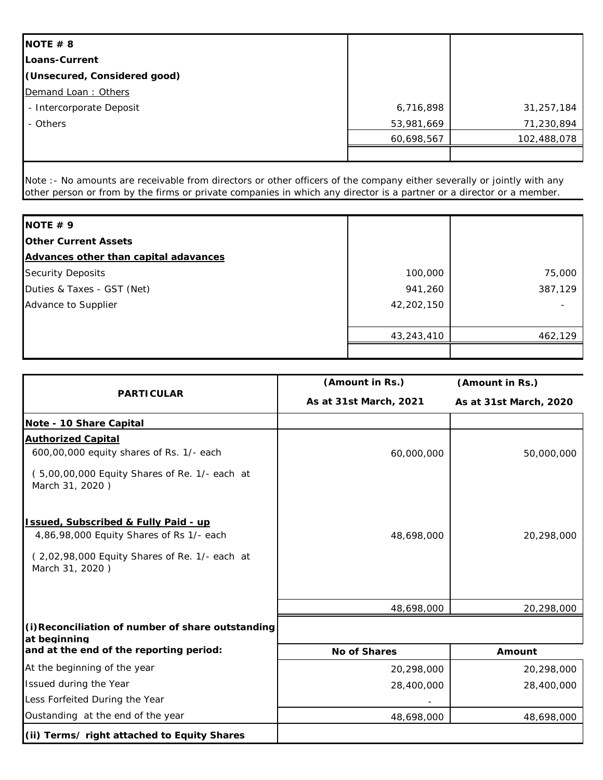| NOTE $# 8$                   |            |             |
|------------------------------|------------|-------------|
| Loans-Current                |            |             |
| (Unsecured, Considered good) |            |             |
| Demand Loan: Others          |            |             |
| - Intercorporate Deposit     | 6,716,898  | 31,257,184  |
| - Others                     | 53,981,669 | 71,230,894  |
|                              | 60,698,567 | 102,488,078 |
|                              |            |             |

Note :- No amounts are receivable from directors or other officers of the company either severally or jointly with any other person or from by the firms or private companies in which any director is a partner or a director or a member.

| NOTE $# 9$                            |            |         |
|---------------------------------------|------------|---------|
| <b>Other Current Assets</b>           |            |         |
| Advances other than capital adavances |            |         |
| <b>Security Deposits</b>              | 100,000    | 75,000  |
| Duties & Taxes - GST (Net)            | 941,260    | 387,129 |
| Advance to Supplier                   | 42,202,150 |         |
|                                       |            |         |
|                                       | 43,243,410 | 462,129 |
|                                       |            |         |

|                                                                                                                        | (Amount in Rs.)        | (Amount in Rs.)<br>As at 31st March, 2020 |  |
|------------------------------------------------------------------------------------------------------------------------|------------------------|-------------------------------------------|--|
| <b>PARTICULAR</b>                                                                                                      | As at 31st March, 2021 |                                           |  |
| Note - 10 Share Capital                                                                                                |                        |                                           |  |
| <b>Authorized Capital</b><br>600,00,000 equity shares of Rs. 1/- each<br>(5,00,00,000 Equity Shares of Re. 1/- each at | 60,000,000             | 50,000,000                                |  |
| March 31, 2020)                                                                                                        |                        |                                           |  |
| <b>Issued, Subscribed &amp; Fully Paid - up</b><br>4,86,98,000 Equity Shares of Rs 1/- each                            | 48,698,000             | 20,298,000                                |  |
| (2,02,98,000 Equity Shares of Re. 1/- each at<br>March 31, 2020)                                                       |                        |                                           |  |
|                                                                                                                        | 48,698,000             | 20,298,000                                |  |
| (i) Reconciliation of number of share outstanding<br>at beginning                                                      |                        |                                           |  |
| and at the end of the reporting period:                                                                                | <b>No of Shares</b>    | Amount                                    |  |
| At the beginning of the year                                                                                           | 20,298,000             | 20,298,000                                |  |
| Issued during the Year                                                                                                 | 28,400,000             | 28,400,000                                |  |
| Less Forfeited During the Year                                                                                         |                        |                                           |  |
| Oustanding at the end of the year                                                                                      | 48,698,000             | 48,698,000                                |  |
| (ii) Terms/ right attached to Equity Shares                                                                            |                        |                                           |  |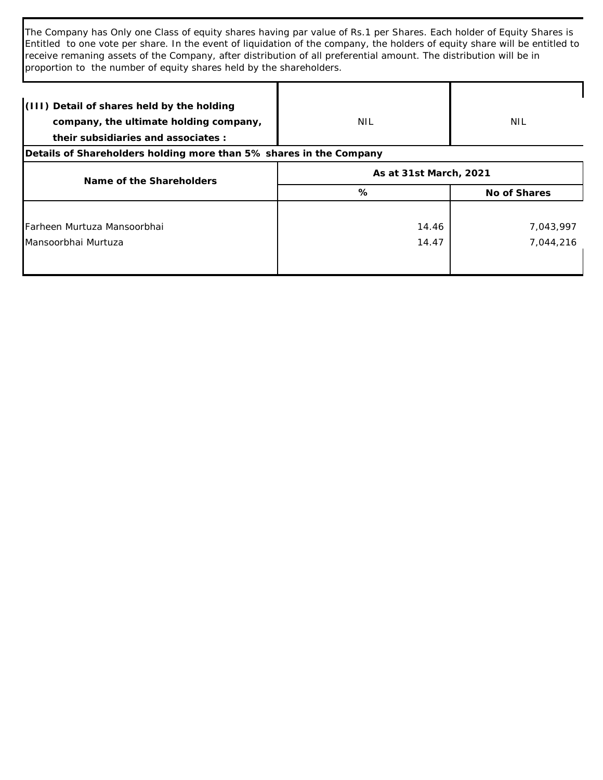The Company has Only one Class of equity shares having par value of Rs.1 per Shares. Each holder of Equity Shares is Entitled to one vote per share. In the event of liquidation of the company, the holders of equity share will be entitled to receive remaning assets of the Company, after distribution of all preferential amount. The distribution will be in proportion to the number of equity shares held by the shareholders.

| (III) Detail of shares held by the holding<br>company, the ultimate holding company,<br>their subsidiaries and associates :<br>Details of Shareholders holding more than 5% shares in the Company | <b>NIL</b>             | <b>NIL</b>             |  |  |
|---------------------------------------------------------------------------------------------------------------------------------------------------------------------------------------------------|------------------------|------------------------|--|--|
| Name of the Shareholders                                                                                                                                                                          | As at 31st March, 2021 |                        |  |  |
|                                                                                                                                                                                                   | ℅                      | <b>No of Shares</b>    |  |  |
| Farheen Murtuza Mansoorbhai<br>Mansoorbhai Murtuza                                                                                                                                                | 14.46<br>14.47         | 7,043,997<br>7,044,216 |  |  |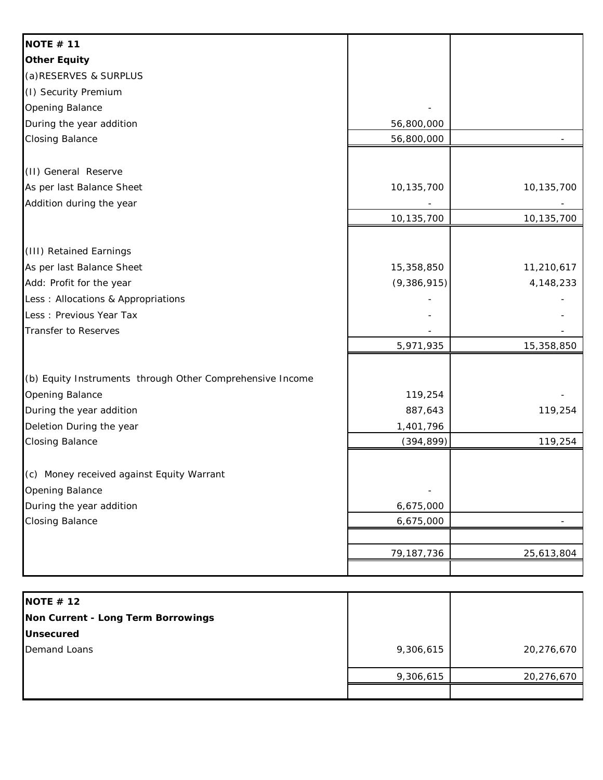| <b>NOTE # 11</b>                                          |             |            |
|-----------------------------------------------------------|-------------|------------|
| <b>Other Equity</b>                                       |             |            |
| (a)RESERVES & SURPLUS                                     |             |            |
| (I) Security Premium                                      |             |            |
| Opening Balance                                           |             |            |
| During the year addition                                  | 56,800,000  |            |
| <b>Closing Balance</b>                                    | 56,800,000  |            |
| (II) General Reserve                                      |             |            |
| As per last Balance Sheet                                 | 10,135,700  | 10,135,700 |
| Addition during the year                                  |             |            |
|                                                           | 10,135,700  | 10,135,700 |
| (III) Retained Earnings                                   |             |            |
| As per last Balance Sheet                                 | 15,358,850  | 11,210,617 |
| Add: Profit for the year                                  | (9,386,915) | 4,148,233  |
| Less: Allocations & Appropriations                        |             |            |
| Less: Previous Year Tax                                   |             |            |
| <b>Transfer to Reserves</b>                               |             |            |
|                                                           | 5,971,935   | 15,358,850 |
| (b) Equity Instruments through Other Comprehensive Income |             |            |
| Opening Balance                                           | 119,254     |            |
| During the year addition                                  | 887,643     | 119,254    |
| Deletion During the year                                  | 1,401,796   |            |
| Closing Balance                                           | (394, 899)  | 119,254    |
| (c) Money received against Equity Warrant                 |             |            |
| Opening Balance                                           |             |            |
| During the year addition                                  | 6,675,000   |            |
| <b>Closing Balance</b>                                    | 6,675,000   |            |
|                                                           |             |            |
|                                                           | 79,187,736  | 25,613,804 |
|                                                           |             |            |
| <b>NOTE # 12</b>                                          |             |            |
| Non Current - Long Term Borrowings                        |             |            |
| <b>Unsecured</b>                                          |             |            |

**Demand Loans** 20,276,670

9,306,615 20,276,670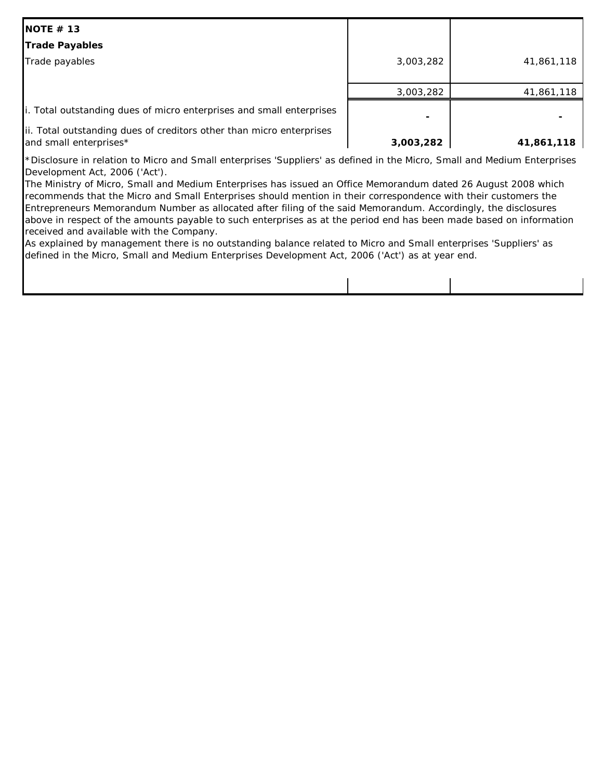| NOTE $# 13$                                                                                                              |           |            |
|--------------------------------------------------------------------------------------------------------------------------|-----------|------------|
| <b>Trade Payables</b>                                                                                                    |           |            |
| Trade payables                                                                                                           | 3,003,282 | 41,861,118 |
|                                                                                                                          | 3,003,282 | 41,861,118 |
| i. Total outstanding dues of micro enterprises and small enterprises                                                     |           |            |
| ii. Total outstanding dues of creditors other than micro enterprises<br>and small enterprises*                           | 3,003,282 | 41,861,118 |
| *Disclosure in relation to Micro and Small enterprises 'Suppliers' as defined in the Micro, Small and Medium Enterprises |           |            |

Development Act, 2006 ('Act'). The Ministry of Micro, Small and Medium Enterprises has issued an Office Memorandum dated 26 August 2008 which recommends that the Micro and Small Enterprises should mention in their correspondence with their customers the

Entrepreneurs Memorandum Number as allocated after filing of the said Memorandum. Accordingly, the disclosures above in respect of the amounts payable to such enterprises as at the period end has been made based on information received and available with the Company.

As explained by management there is no outstanding balance related to Micro and Small enterprises 'Suppliers' as defined in the Micro, Small and Medium Enterprises Development Act, 2006 ('Act') as at year end.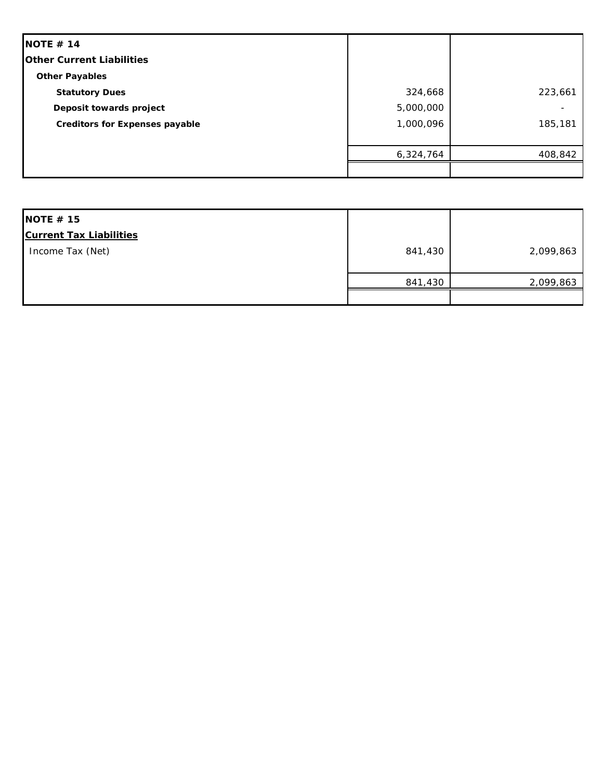| NOTE $#$ 14                           |           |         |
|---------------------------------------|-----------|---------|
| <b>Other Current Liabilities</b>      |           |         |
| <b>Other Payables</b>                 |           |         |
| <b>Statutory Dues</b>                 | 324,668   | 223,661 |
| Deposit towards project               | 5,000,000 |         |
| <b>Creditors for Expenses payable</b> | 1,000,096 | 185,181 |
|                                       |           |         |
|                                       | 6,324,764 | 408,842 |
|                                       |           |         |

| NOTE $#$ 15                    |         |           |
|--------------------------------|---------|-----------|
| <b>Current Tax Liabilities</b> |         |           |
| Income Tax (Net)               | 841,430 | 2,099,863 |
|                                |         |           |
|                                | 841,430 | 2,099,863 |
|                                |         |           |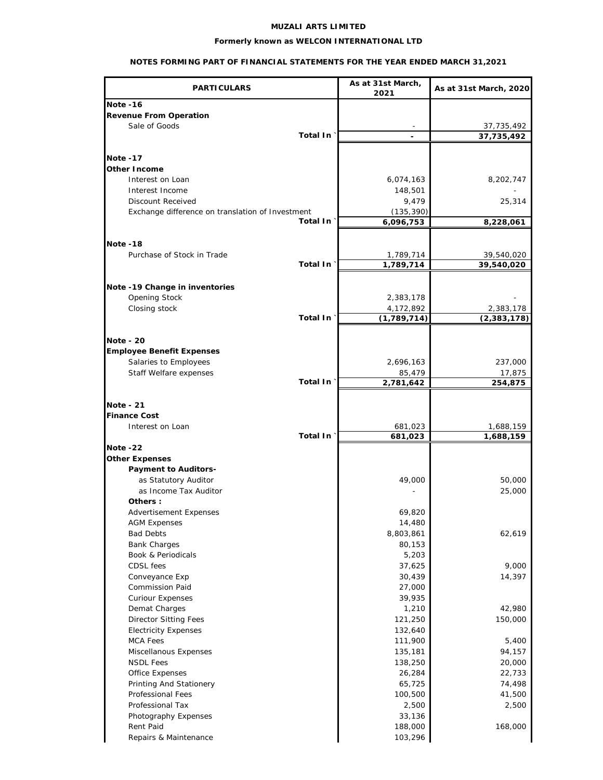#### **Formerly known as WELCON INTERNATIONAL LTD**

## **As at 31st March, <sup>2021</sup>As at 31st March, 2020 Note -16 Revenue From Operation** Sale of Goods - 37,735,492<br>
Total In Section 2nd State Company - 37,735,492<br>
Total In Section 2nd State Company - 37,735,492 **Total In ` - 37,735,492 Note -17 Other Income** Interest on Loan 6,074,163 8,202,747 Interest Income 148,501 Discount Received 25,314 Exchange difference on translation of Investment (135,390)<br>
Total In \
6.096.753 **Total In ` 6,096,753 8,228,061 Note -18** Purchase of Stock in Trade 2012 1,789,714 39,540,020 **Total In ` 1,789,714 39,540,020 Note -19 Change in inventories** Opening Stock 2,383,178 Closing stock 2,383,178 **Total In ` (1,789,714) (2,383,178) Note - 20 Employee Benefit Expenses** Salaries to Employees 2,696,163 237,000 Staff Welfare expenses and the state of the state of the state of the state of the state of the state of the state of the state of the state of the state of the state of the state of the state of the state of the state of **Total In ` 2,781,642 254,875 Note - 21 Finance Cost Interest on Loan** 681,023 **1,688,159 1,688,159 Total In ` 681,023 1,688,159 Note -22 Other Expenses Payment to Auditors** as Statutory Auditor and the control of the control of the 49,000  $\sim$  49,000 50,000 50,000 50,000 50,000 50,000 50,000 50,000 50,000 50,000 50,000 50,000 50,000 50,000 50,000 50,000 50,000 50,000 50,000 50,000 50,000 50,0 as Income Tax Auditor **25,000** as Income Tax Auditor **25,000 Others :** Advertisement Expenses 69,820 AGM Expenses 14,480 Bad Debts 8,803,861 62,619 Bank Charges 80,153 Book & Periodicals 5,203 CDSL fees 37,625 9,000 Conveyance Exp 30,439 14,397 Commission Paid 27,000 Curiour Expenses 39,935 Demat Charges 2,980 and 2,980 and 2,980 and 2,980 and 2,980 and 2,980 and 2,980 and 2,980 and 2,980 and 2,980 and 2,980 and 2,980 and 2,980 and 2,980 and 2,980 and 2,980 and 2,980 and 2,980 and 2,980 and 2,980 and 2,980 an Director Sitting Fees 121,250 150,000 150,000 Electricity Expenses 132,640 MCA Fees 5,400 5,400 5,400 5,400 5,400 5,400 5,400 5,400 5,400 5,400 5,400 5,400 5,400 5,400 5,400 5,400 5,400 Miscellanous Expenses and the control of the control of the 135,181 94,157 NSDL Fees 20,000 20,000 20,000 20,000 20,000 20,000 20,000 20,000 20,000 20,000 20,000 20,000 20,000 20,000 20 Office Expenses 26,284 22,733 Printing And Stationery **65,725** 65,725 74,498 Professional Fees 200 41,500 41,500 41,500 41,500 41,500 41,500 41,500 41,500 41,500 41,500 41,500 41,500 41,500 41,500 41,500 41,500 41,500 41,500 41,500 41,500 41,500 41,500 41,500 41,500 41,500 41,500 41,500 41,500 41,5 Professional Tax 2,500 2,500 2,500 Photography Expenses 33,136 Rent Paid 188,000 **168,000** 168,000 **168,000** 168,000 **168,000** 168,000 **168,000** Repairs & Maintenance 103,296 **PARTICULARS**

#### **NOTES FORMING PART OF FINANCIAL STATEMENTS FOR THE YEAR ENDED MARCH 31,2021**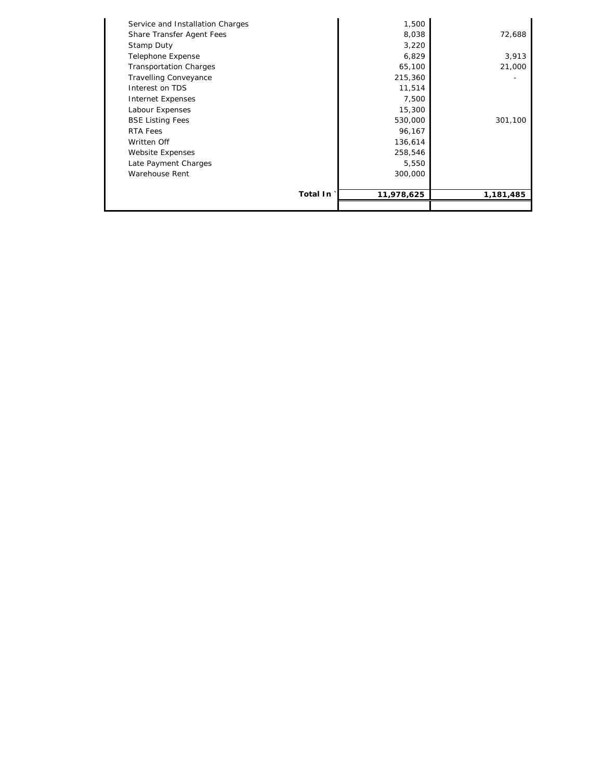| Service and Installation Charges | 1,500      |           |
|----------------------------------|------------|-----------|
| Share Transfer Agent Fees        | 8,038      | 72,688    |
| Stamp Duty                       | 3,220      |           |
| Telephone Expense                | 6,829      | 3,913     |
| <b>Transportation Charges</b>    | 65,100     | 21,000    |
| <b>Travelling Conveyance</b>     | 215,360    |           |
| Interest on TDS                  | 11,514     |           |
| Internet Expenses                | 7,500      |           |
| Labour Expenses                  | 15,300     |           |
| <b>BSE Listing Fees</b>          | 530,000    | 301,100   |
| <b>RTA Fees</b>                  | 96,167     |           |
| Written Off                      | 136,614    |           |
| Website Expenses                 | 258,546    |           |
| Late Payment Charges             | 5,550      |           |
| Warehouse Rent                   | 300,000    |           |
|                                  |            |           |
| Total In                         | 11,978,625 | 1,181,485 |
|                                  |            |           |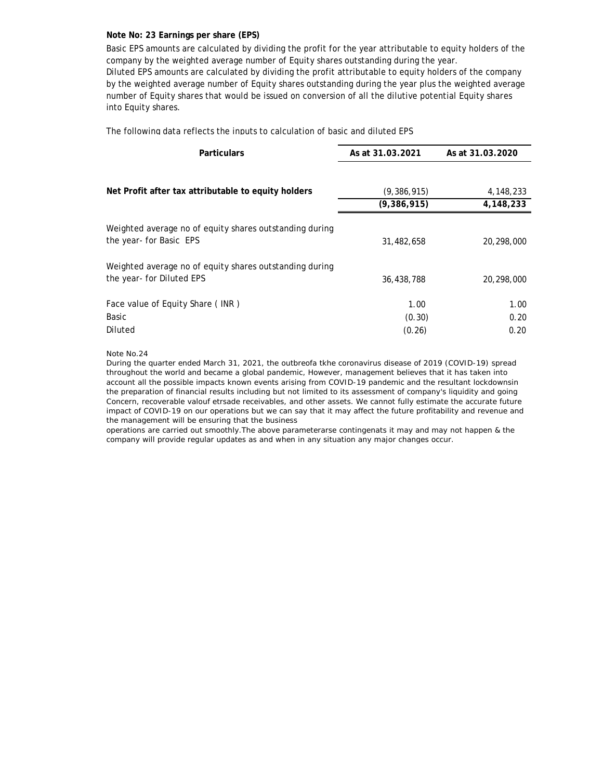# **Note No: 23 Earnings per share (EPS)**

Basic EPS amounts are calculated by dividing the profit for the year attributable to equity holders of the company by the weighted average number of Equity shares outstanding during the year. Diluted EPS amounts are calculated by dividing the profit attributable to equity holders of the company by the weighted average number of Equity shares outstanding during the year plus the weighted average number of Equity shares that would be issued on conversion of all the dilutive potential Equity shares into Equity shares.

The following data reflects the inputs to calculation of basic and diluted EPS

| <b>Particulars</b>                                                                   | As at 31.03.2021         | As at 31.03.2020     |  |
|--------------------------------------------------------------------------------------|--------------------------|----------------------|--|
|                                                                                      |                          |                      |  |
| Net Profit after tax attributable to equity holders                                  | (9,386,915)              | 4,148,233            |  |
|                                                                                      | (9,386,915)              | 4,148,233            |  |
| Weighted average no of equity shares outstanding during<br>the year- for Basic EPS   | 31,482,658               | 20,298,000           |  |
| Weighted average no of equity shares outstanding during<br>the year- for Diluted EPS | 36,438,788               | 20,298,000           |  |
| Face value of Equity Share (INR)<br>Basic<br>Diluted                                 | 1.00<br>(0.30)<br>(0.26) | 1.00<br>0.20<br>0.20 |  |

#### Note No.24

During the quarter ended March 31, 2021, the outbreofa tkhe coronavirus disease of 2019 (COVID-19) spread throughout the world and became a global pandemic, However, management believes that it has taken into account all the possible impacts known events arising from COVID-19 pandemic and the resultant lockdownsin the preparation of financial results including but not limited to its assessment of company's liquidity and going Concern, recoverable valouf etrsade receivables, and other assets. We cannot fully estimate the accurate future impact of COVID-19 on our operations but we can say that it may affect the future profitability and revenue and the management will be ensuring that the business

operations are carried out smoothly.The above parameterarse contingenats it may and may not happen & the company will provide regular updates as and when in any situation any major changes occur.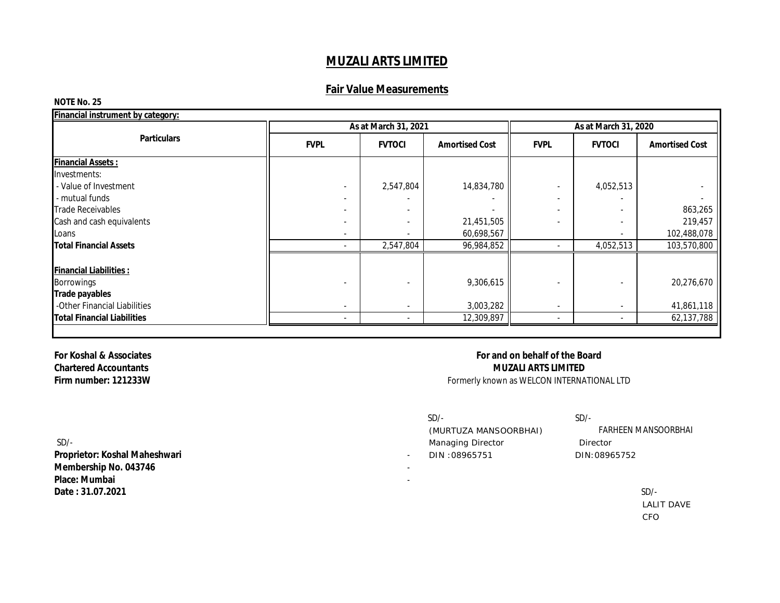# **Fair Value Measurements**

#### **NOTE No. 25**

|                                    |             | As at March 31, 2021 |                       |             | As at March 31, 2020 |                       |  |
|------------------------------------|-------------|----------------------|-----------------------|-------------|----------------------|-----------------------|--|
| <b>Particulars</b>                 | <b>FVPL</b> | <b>FVTOCI</b>        | <b>Amortised Cost</b> | <b>FVPL</b> | <b>FVTOCI</b>        | <b>Amortised Cost</b> |  |
| <b>Financial Assets:</b>           |             |                      |                       |             |                      |                       |  |
| Investments:                       |             |                      |                       |             |                      |                       |  |
| - Value of Investment              |             | 2,547,804            | 14,834,780            |             | 4,052,513            |                       |  |
| - mutual funds                     |             |                      |                       |             |                      |                       |  |
| <b>Trade Receivables</b>           |             |                      |                       |             |                      | 863,265               |  |
| Cash and cash equivalents          |             |                      | 21,451,505            |             |                      | 219,457               |  |
| Loans                              | ٠           |                      | 60,698,567            |             |                      | 102,488,078           |  |
| <b>Total Financial Assets</b>      |             | 2,547,804            | 96,984,852            |             | 4,052,513            | 103,570,800           |  |
| <b>Financial Liabilities:</b>      |             |                      |                       |             |                      |                       |  |
| <b>Borrowings</b>                  |             |                      | 9,306,615             |             |                      | 20,276,670            |  |
| <b>Trade payables</b>              |             |                      |                       |             |                      |                       |  |
| -Other Financial Liabilities       | $\sim$      | $\sim$               | 3,003,282             |             | ۰                    | 41,861,118            |  |
| <b>Total Financial Liabilities</b> | ٠           | $\sim$               | 12,309,897            | -           | ۰                    | 62,137,788            |  |

**For Koshal & Associates Chartered Accountants Firm number: 121233W**

SD/- Director Managing Director **Proprietor: Koshal Maheshwari All and Structure Control Control Control Control Control Control Control Control Control Control Control Control Control Control Control Control Control Control Control Control Control Con Membership No. 043746 Place: Mumbai** - **Date : 31.07.2021** SD/-

# **MUZALI ARTS LIMITED For and on behalf of the Board**

Formerly known as WELCON INTERNATIONAL LTD

(MURTUZA MANSOORBHAI)

- 
- 

#### SD/- SD/-

FARHEEN MANSOORBHAI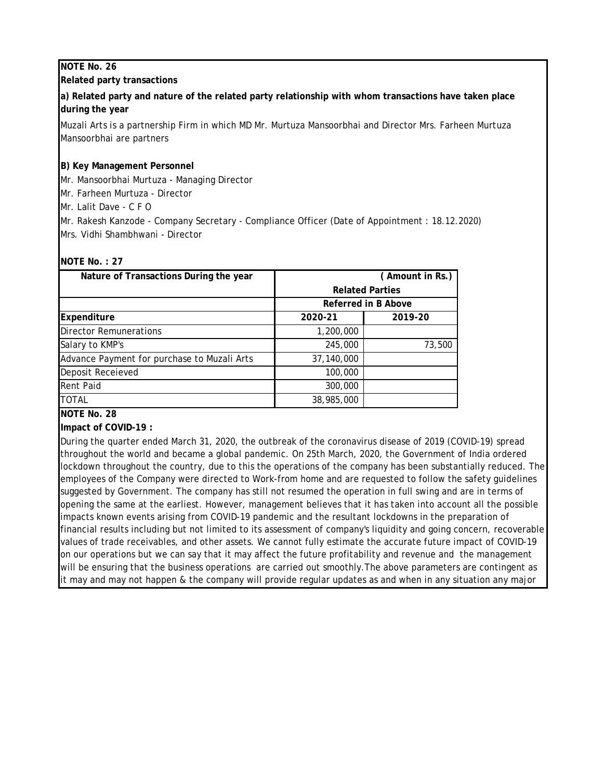# **NOTE No. 26**

# **Related party transactions**

# **a) Related party and nature of the related party relationship with whom transactions have taken place during the year**

Muzali Arts is a partnership Firm in which MD Mr. Murtuza Mansoorbhai and Director Mrs. Farheen Murtuza Mansoorbhai are partners

# **B) Key Management Personnel**

Mr. Mansoorbhai Murtuza - Managing Director

Mr. Farheen Murtuza - Director

Mr. Lalit Dave - C F O

Mr. Rakesh Kanzode - Company Secretary - Compliance Officer (Date of Appointment : 18.12.2020)

Mrs. Vidhi Shambhwani - Director

# **NOTE No. : 27**

| Nature of Transactions During the year      | (Amount in Rs.)            |         |
|---------------------------------------------|----------------------------|---------|
|                                             | <b>Related Parties</b>     |         |
|                                             | <b>Referred in B Above</b> |         |
| <b>Expenditure</b>                          | 2020-21                    | 2019-20 |
| <b>Director Remunerations</b>               | 1,200,000                  |         |
| Salary to KMP's                             | 245,000                    | 73,500  |
| Advance Payment for purchase to Muzali Arts | 37,140,000                 |         |
| Deposit Receieved                           | 100,000                    |         |
| <b>Rent Paid</b>                            | 300,000                    |         |
| <b>TOTAL</b>                                | 38,985,000                 |         |

# **NOTE No. 28**

changes occur.

### **Impact of COVID-19 :**

During the quarter ended March 31, 2020, the outbreak of the coronavirus disease of 2019 (COVID-19) spread throughout the world and became a global pandemic. On 25th March, 2020, the Government of India ordered lockdown throughout the country, due to this the operations of the company has been substantially reduced. The employees of the Company were directed to Work-from home and are requested to follow the safety guidelines suggested by Government. The company has still not resumed the operation in full swing and are in terms of opening the same at the earliest. However, management believes that it has taken into account all the possible impacts known events arising from COVID-19 pandemic and the resultant lockdowns in the preparation of financial results including but not limited to its assessment of company's liquidity and going concern, recoverable values of trade receivables, and other assets. We cannot fully estimate the accurate future impact of COVID-19 on our operations but we can say that it may affect the future profitability and revenue and the management will be ensuring that the business operations are carried out smoothly.The above parameters are contingent as it may and may not happen & the company will provide regular updates as and when in any situation any major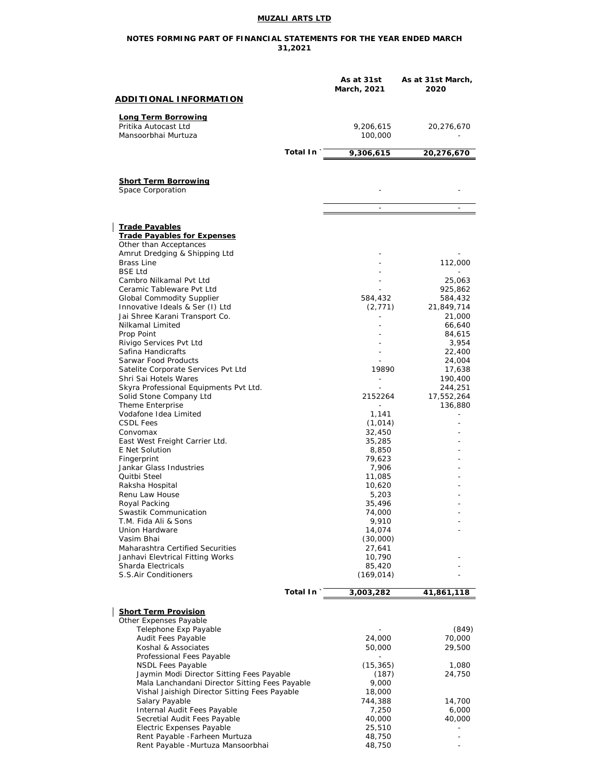#### **MUZALI ARTS LTD**

#### **NOTES FORMING PART OF FINANCIAL STATEMENTS FOR THE YEAR ENDED MARCH 31,2021**

| <b>ADDITIONAL INFORMATION</b>                                     |          | As at 31st<br>March, 2021 | As at 31st March,<br>2020 |
|-------------------------------------------------------------------|----------|---------------------------|---------------------------|
|                                                                   |          |                           |                           |
| <b>Long Term Borrowing</b><br>Pritika Autocast Ltd                |          |                           |                           |
| Mansoorbhai Murtuza                                               |          | 9,206,615<br>100,000      | 20,276,670                |
|                                                                   |          |                           |                           |
|                                                                   | Total In | 9,306,615                 | 20,276,670                |
|                                                                   |          |                           |                           |
| <b>Short Term Borrowing</b>                                       |          |                           |                           |
| Space Corporation                                                 |          | ÷,                        | ٠                         |
|                                                                   |          |                           |                           |
| <b>Trade Payables</b>                                             |          |                           |                           |
| <b>Trade Payables for Expenses</b><br>Other than Acceptances      |          |                           |                           |
| Amrut Dredging & Shipping Ltd                                     |          |                           |                           |
| Brass Line                                                        |          |                           | 112,000                   |
| <b>BSE Ltd</b>                                                    |          | ٠                         |                           |
| Cambro Nilkamal Pvt Ltd<br>Ceramic Tableware Pvt Ltd              |          |                           | 25,063<br>925,862         |
| Global Commodity Supplier                                         |          | 584,432                   | 584,432                   |
| Innovative Ideals & Ser (I) Ltd                                   |          | (2, 771)                  | 21,849,714                |
| Jai Shree Karani Transport Co.                                    |          |                           | 21,000                    |
| Nilkamal Limited                                                  |          |                           | 66,640                    |
| Prop Point<br>Rivigo Services Pvt Ltd                             |          | ÷                         | 84,615<br>3,954           |
| Safina Handicrafts                                                |          | ÷                         | 22,400                    |
| Sarwar Food Products                                              |          | ÷                         | 24,004                    |
| Satelite Corporate Services Pvt Ltd                               |          | 19890                     | 17,638                    |
| Shri Sai Hotels Wares                                             |          | $\blacksquare$            | 190,400                   |
| Skyra Professional Equipments Pvt Ltd.<br>Solid Stone Company Ltd |          | ٠<br>2152264              | 244,251<br>17,552,264     |
| Theme Enterprise                                                  |          | $\overline{\phantom{a}}$  | 136,880                   |
| Vodafone Idea Limited                                             |          | 1,141                     |                           |
| <b>CSDL Fees</b>                                                  |          | (1,014)                   |                           |
| Convomax                                                          |          | 32,450                    |                           |
| East West Freight Carrier Ltd.<br>E Net Solution                  |          | 35,285<br>8,850           |                           |
| Fingerprint                                                       |          | 79,623                    |                           |
| Jankar Glass Industries                                           |          | 7,906                     |                           |
| Quitbi Steel                                                      |          | 11,085                    |                           |
| Raksha Hospital                                                   |          | 10,620                    |                           |
| Renu Law House                                                    |          | 5,203                     |                           |
| Royal Packing<br>Swastik Communication                            |          | 35,496<br>74,000          | ٠                         |
| T.M. Fida Ali & Sons                                              |          | 9,910                     |                           |
| Union Hardware                                                    |          | 14,074                    |                           |
| Vasim Bhai                                                        |          | (30,000)                  |                           |
| Maharashtra Certified Securities                                  |          | 27,641                    |                           |
| Janhavi Elevtrical Fitting Works<br>Sharda Electricals            |          | 10,790<br>85,420          |                           |
| S.S.Air Conditioners                                              |          | (169, 014)                |                           |
|                                                                   | Total In | 3,003,282                 | 41,861,118                |
|                                                                   |          |                           |                           |
| <b>Short Term Provision</b><br>Other Expenses Payable             |          |                           |                           |
| Telephone Exp Payable                                             |          |                           | (849)                     |
| Audit Fees Payable                                                |          | 24,000                    | 70,000                    |
| Koshal & Associates                                               |          | 50,000                    | 29,500                    |
| Professional Fees Payable                                         |          |                           |                           |
| NSDL Fees Payable<br>Jaymin Modi Director Sitting Fees Payable    |          | (15, 365)                 | 1,080<br>24,750           |
| Mala Lanchandani Director Sitting Fees Payable                    |          | (187)<br>9,000            |                           |
| Vishal Jaishigh Director Sitting Fees Payable                     |          | 18,000                    |                           |
| Salary Payable                                                    |          | 744,388                   | 14,700                    |
| Internal Audit Fees Payable                                       |          | 7,250                     | 6,000                     |
| Secretial Audit Fees Payable                                      |          | 40,000                    | 40,000                    |
| Electric Expenses Payable<br>Rent Payable -Farheen Murtuza        |          | 25,510<br>48,750          | ä,                        |
| Rent Payable -Murtuza Mansoorbhai                                 |          | 48,750                    |                           |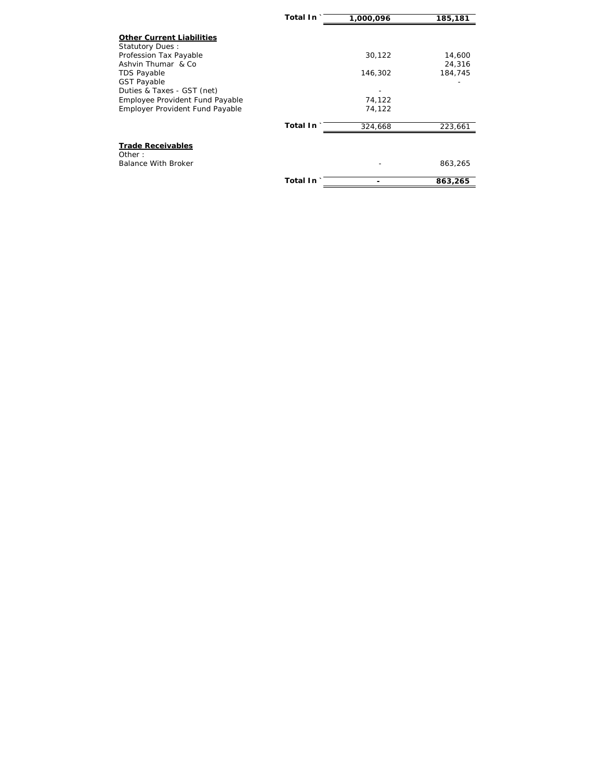|                                  | Total In        | 1,000,096 | 185,181 |
|----------------------------------|-----------------|-----------|---------|
| <b>Other Current Liabilities</b> |                 |           |         |
| Statutory Dues:                  |                 |           |         |
| Profession Tax Payable           |                 | 30,122    | 14,600  |
| Ashvin Thumar & Co.              |                 |           | 24,316  |
| <b>TDS Payable</b>               |                 | 146,302   | 184,745 |
| <b>GST Payable</b>               |                 |           |         |
| Duties & Taxes - GST (net)       |                 |           |         |
| Employee Provident Fund Payable  |                 | 74,122    |         |
| Employer Provident Fund Payable  |                 | 74,122    |         |
|                                  | <b>Total In</b> | 324.668   | 223,661 |
| <b>Trade Receivables</b>         |                 |           |         |
| Other:                           |                 |           |         |
| <b>Balance With Broker</b>       |                 |           | 863,265 |
|                                  | <b>Total In</b> |           | 863,265 |